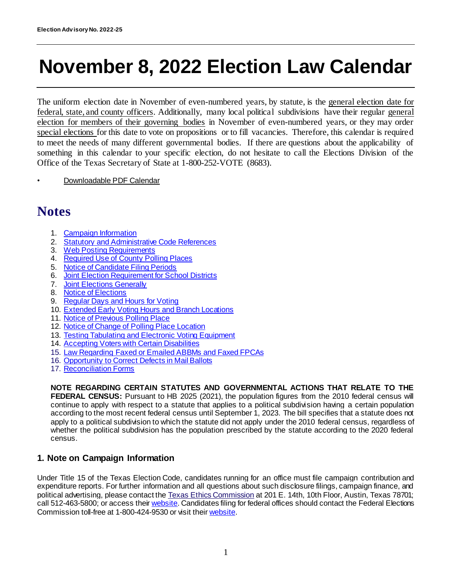# **November 8, 2022 Election Law Calendar**

The uniform election date in November of even-numbered years, by statute, is the general election date for federal, state, and county officers. Additionally, many local political subdivisions have their regular general election for members of their governing bodies in November of even-numbered years, or they may order special elections for this date to vote on propositions or to fill vacancies. Therefore, this calendar is required to meet the needs of many different governmental bodies. If there are questions about the applicability of something in this calendar to your specific election, do not hesitate to call the Elections Division of the Office of the Texas Secretary of State at 1-800-252-VOTE (8683).

• Downloadable PDF Calendar

# **Notes**

- 1. [Campaign Information](#page-0-0)
- 2. [Statutory and Administrative Code References](#page-1-0)
- 3. [Web Posting Requirements](#page-1-1)
- 4. [Required Use of County Polling Places](#page-2-0)
- 5. [Notice of Candidate Filing Periods](#page-3-0)
- 6. [Joint Election Requirement for School Districts](#page-3-1)
- 7. [Joint Elections Generally](#page-3-2)
- 8. [Notice of Elections](#page-4-0)
- 9. [Regular Days and Hours for Voting](#page-6-0)
- 10. [Extended Early Voting Hours and Branch Locations](#page-6-1)
- 11. [Notice of Previous Polling Place](#page-9-0)
- 12. [Notice of Change of Polling Place](#page-9-1) Location
- 13. [Testing Tabulating and Electronic Voting Equipment](#page-10-0)
- 14. [Accepting Voters with](#page-11-0) Certain Disabilities
- 15. [Law Regarding Faxed or Emailed ABBMs and Faxed FPCAs](#page-11-1)
- 16. [Opportunity to Correct Defects in Mail Ballots](#page-12-0)
- 17. [Reconciliation Forms](#page-13-0)

**NOTE REGARDING CERTAIN STATUTES AND GOVERNMENTAL ACTIONS THAT RELATE TO THE FEDERAL CENSUS:** Pursuant to HB 2025 (2021), the population figures from the 2010 federal census will continue to apply with respect to a statute that applies to a political subdivision having a certain population according to the most recent federal census until September 1, 2023. The bill specifies that a statute does not apply to a political subdivision to which the statute did not apply under the 2010 federal census, regardless of whether the political subdivision has the population prescribed by the statute according to the 2020 federal census.

#### <span id="page-0-0"></span>**1. Note on Campaign Information**

Under Title 15 of the Texas Election Code, candidates running for an office must file campaign contribution and expenditure reports. For further information and all questions about such disclosure filings, campaign finance, and political advertising, please contact the [Texas Ethics Commission](http://www.ethics.state.tx.us/) at 201 E. 14th, 10th Floor, Austin, Texas 78701; call 512-463-5800; or access thei[r website](https://www.ethics.state.tx.us/). Candidates filing for federal offices should contact the Federal Elections Commission toll-free at 1-800-424-9530 or visit thei[r website](https://www.fec.gov/).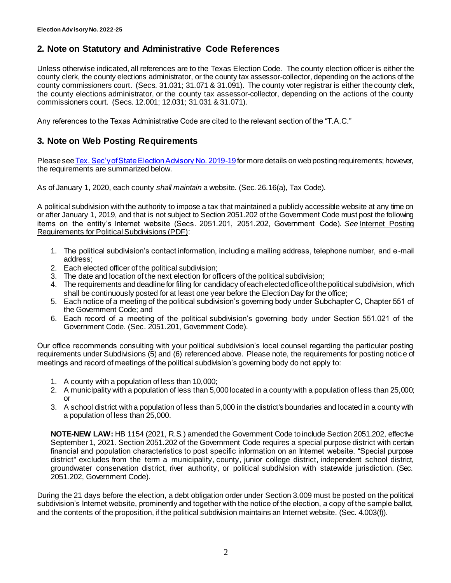## <span id="page-1-0"></span>**2. Note on Statutory and Administrative Code References**

Unless otherwise indicated, all references are to the Texas Election Code. The county election officer is either the county clerk, the county elections administrator, or the county tax assessor-collector, depending on the actions of the county commissioners court. (Secs. 31.031; 31.071 & 31.091). The county voter registrar is either the county clerk, the county elections administrator, or the county tax assessor-collector, depending on the actions of the county commissioners court. (Secs. 12.001; 12.031; 31.031 & 31.071).

Any references to the Texas Administrative Code are cited to the relevant section of the "T.A.C."

# <span id="page-1-1"></span>**3. Note on Web Posting Requirements**

Please se[e Tex. Sec'y of State Election Advisory No. 2019-19](https://www.sos.texas.gov/elections/laws/advisory2019-19.shtml) for more details on web posting requirements; however, the requirements are summarized below.

As of January 1, 2020, each county *shall maintain* a website. (Sec. 26.16(a), Tax Code).

A political subdivision with the authority to impose a tax that maintained a publicly accessible website at any time on or after January 1, 2019, and that is not subject to Section 2051.202 of the Government Code must post the following items on the entity's Internet website (Secs. 2051.201, 2051.202, Government Code). *See* [Internet Posting](https://www.sos.texas.gov/elections/forms/pol-sub/1-15f.pdf)  [Requirements for Political Subdivisions \(PDF\)](https://www.sos.texas.gov/elections/forms/pol-sub/1-15f.pdf):

- 1. The political subdivision's contact information, including a mailing address, telephone number, and e-mail address;
- 2. Each elected officer of the political subdivision;
- 3. The date and location of the next election for officers of the political subdivision;
- 4. The requirements and deadline for filing for candidacy of each elected office of the political subdivision, which shall be continuously posted for at least one year before the Election Day for the office;
- 5. Each notice of a meeting of the political subdivision's governing body under Subchapter C, Chapter 551 of the Government Code; and
- 6. Each record of a meeting of the political subdivision's governing body under Section 551.021 of the Government Code. (Sec. 2051.201, Government Code).

Our office recommends consulting with your political subdivision's local counsel regarding the particular posting requirements under Subdivisions (5) and (6) referenced above. Please note, the requirements for posting notic e of meetings and record of meetings of the political subdivision's governing body do not apply to:

- 1. A county with a population of less than 10,000;
- 2. A municipality with a population of less than 5,000 located in a county with a population of less than 25,000; or
- 3. A school district with a population of less than 5,000 in the district's boundaries and located in a county with a population of less than 25,000.

**NOTE-NEW LAW:** HB 1154 (2021, R.S.) amended the Government Code to include Section 2051.202, effective September 1, 2021. Section 2051.202 of the Government Code requires a special purpose district with certain financial and population characteristics to post specific information on an Internet website. "Special purpose district" excludes from the term a municipality, county, junior college district, independent school district, groundwater conservation district, river authority, or political subdivision with statewide jurisdiction. (Sec. 2051.202, Government Code).

During the 21 days before the election, a debt obligation order under Section 3.009 must be posted on the political subdivision's Internet website, prominently and together with the notice of the election, a copy of the sample ballot, and the contents of the proposition, if the political subdivision maintains an Internet website. (Sec. 4.003(f)).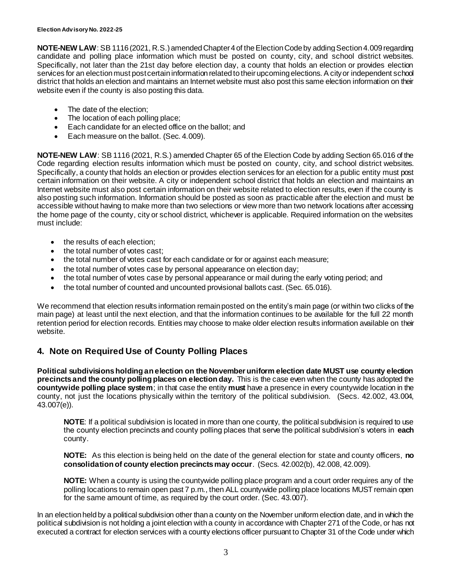**NOTE-NEW LAW**: SB 1116 (2021, R.S.) amended Chapter 4 of the Election Code by adding Section 4.009 regarding candidate and polling place information which must be posted on county, city, and school district websites. Specifically, not later than the 21st day before election day, a county that holds an election or provides election services for an election must post certain information related to their upcoming elections. A city or independent school district that holds an election and maintains an Internet website must also post this same election information on their website even if the county is also posting this data.

- The date of the election;
- The location of each polling place;
- Each candidate for an elected office on the ballot; and
- Each measure on the ballot. (Sec. 4.009).

**NOTE-NEW LAW**: SB 1116 (2021, R.S.) amended Chapter 65 of the Election Code by adding Section 65.016 of the Code regarding election results information which must be posted on county, city, and school district websites. Specifically, a county that holds an election or provides election services for an election for a public entity must post certain information on their website. A city or independent school district that holds an election and maintains an Internet website must also post certain information on their website related to election results, even if the county is also posting such information. Information should be posted as soon as practicable after the election and must be accessible without having to make more than two selections or view more than two network locations after accessing the home page of the county, city or school district, whichever is applicable. Required information on the websites must include:

- the results of each election;
- the total number of votes cast:
- the total number of votes cast for each candidate or for or against each measure;
- the total number of votes case by personal appearance on election day;
- the total number of votes case by personal appearance or mail during the early voting period; and
- the total number of counted and uncounted provisional ballots cast. (Sec. 65.016).

We recommend that election results information remain posted on the entity's main page (or within two clicks of the main page) at least until the next election, and that the information continues to be available for the full 22 month retention period for election records. Entities may choose to make older election results information available on their website.

### <span id="page-2-0"></span>**4. Note on Required Use of County Polling Places**

**Political subdivisions holding an election on the November uniform election date MUST use county election precincts and the county polling places on election day.** This is the case even when the county has adopted the **countywide polling place system**; in that case the entity **must** have a presence in every countywide location in the county, not just the locations physically within the territory of the political subdivision. (Secs. 42.002, 43.004, 43.007(e)).

**NOTE**: If a political subdivision is located in more than one county, the political subdivision is required to use the county election precincts and county polling places that serve the political subdivision's voters in **each** county.

**NOTE:** As this election is being held on the date of the general election for state and county officers, **no consolidation of county election precincts may occur**. (Secs. 42.002(b), 42.008, 42.009).

**NOTE:** When a county is using the countywide polling place program and a court order requires any of the polling locations to remain open past 7 p.m., then ALL countywide polling place locations MUST remain open for the same amount of time, as required by the court order. (Sec. 43.007).

In an election held by a political subdivision other than a county on the November uniform election date, and in which the political subdivision is not holding a joint election with a county in accordance with Chapter 271 of the Code, or has not executed a contract for election services with a county elections officer pursuant to Chapter 31 of the Code under which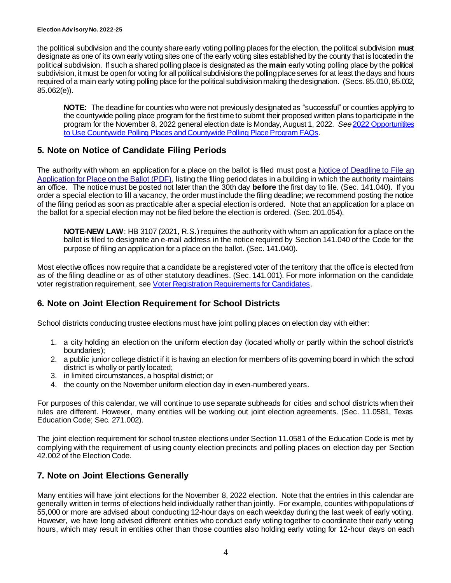the political subdivision and the county share early voting polling places for the election, the political subdivision **must**  designate as one of its own early voting sites one of the early voting sites established by the county that is located in the political subdivision. If such a shared polling place is designated as the **main** early voting polling place by the political subdivision, it must be open for voting for all political subdivisions the polling place serves for at least the days and hours required of a main early voting polling place for the political subdivision making the designation. (Secs. 85.010, 85.002, 85.062(e)).

**NOTE:** The deadline for counties who were not previously designated as "successful" or counties applying to the countywide polling place program for the first time to submit their proposed written plans to participate in the program for the November 8, 2022 general election date is Monday, August 1, 2022. *See* 2022 [Opportunitites](https://www.sos.texas.gov/elections/laws/advisory2021-20.shtml)  [to Use Countywide Polling Places and Countywide Polling Place Program FAQs.](https://www.sos.texas.gov/elections/laws/advisory2021-20.shtml)

### <span id="page-3-0"></span>**5. Note on Notice of Candidate Filing Periods**

The authority with whom an application for a place on the ballot is filed must post a Notice of Deadline to File an [Application for Place on the Ballot \(PDF\)](http://www.sos.state.tx.us/elections/forms/pol-sub/3-2af.pdf), listing the filing period dates in a building in which the authority maintains an office. The notice must be posted not later than the 30th day **before** the first day to file. (Sec. 141.040). If you order a special election to fill a vacancy, the order must include the filing deadline; we recommend posting the notice of the filing period as soon as practicable after a special election is ordered. Note that an application for a place on the ballot for a special election may not be filed before the election is ordered. (Sec. 201.054).

**NOTE-NEW LAW**: HB 3107 (2021, R.S.) requires the authority with whom an application for a place on the ballot is filed to designate an e-mail address in the notice required by Section 141.040 of the Code for the purpose of filing an application for a place on the ballot. (Sec. 141.040).

Most elective offices now require that a candidate be a registered voter of the territory that the office is elected from as of the filing deadline or as of other statutory deadlines. (Sec. 141.001). For more information on the candidate voter registration requirement, se[e Voter Registration Requirements](https://www.sos.texas.gov/elections/laws/hb484-faq.shtml) for Candidates.

### <span id="page-3-1"></span>**6. Note on Joint Election Requirement for School Districts**

School districts conducting trustee elections must have joint polling places on election day with either:

- 1. a city holding an election on the uniform election day (located wholly or partly within the school district's boundaries);
- 2. a public junior college district if it is having an election for members of its governing board in which the school district is wholly or partly located;
- 3. in limited circumstances, a hospital district; or
- 4. the county on the November uniform election day in even-numbered years.

For purposes of this calendar, we will continue to use separate subheads for cities and school districts when their rules are different. However, many entities will be working out joint election agreements. (Sec. 11.0581, Texas Education Code; Sec. 271.002).

The joint election requirement for school trustee elections under Section 11.0581 of the Education Code is met by complying with the requirement of using county election precincts and polling places on election day per Section 42.002 of the Election Code.

### <span id="page-3-2"></span>**7. Note on Joint Elections Generally**

Many entities will have joint elections for the November 8, 2022 election. Note that the entries in this calendar are generally written in terms of elections held individually rather than jointly. For example, counties with populations of 55,000 or more are advised about conducting 12-hour days on each weekday during the last week of early voting. However, we have long advised different entities who conduct early voting together to coordinate their early voting hours, which may result in entities other than those counties also holding early voting for 12-hour days on each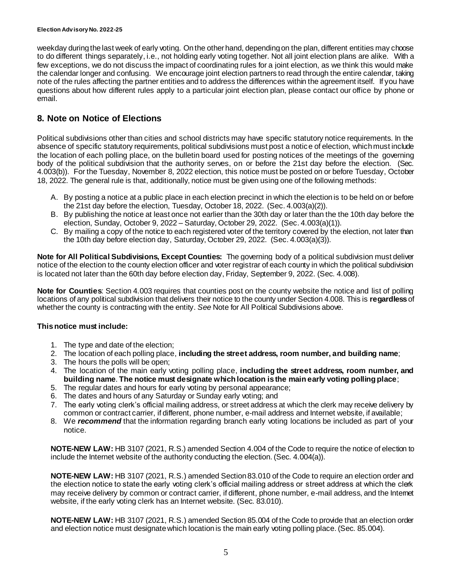weekday during the last week of early voting. On the other hand, depending on the plan, different entities may choose to do different things separately, i.e., not holding early voting together. Not all joint election plans are alike. With a few exceptions, we do not discuss the impact of coordinating rules for a joint election, as we think this would make the calendar longer and confusing. We encourage joint election partners to read through the entire calendar, taking note of the rules affecting the partner entities and to address the differences within the agreement itself. If you have questions about how different rules apply to a particular joint election plan, please contact our office by phone or email.

## <span id="page-4-1"></span><span id="page-4-0"></span>**8. Note on Notice of Elections**

Political subdivisions other than cities and school districts may have specific statutory notice requirements. In the absence of specific statutory requirements, political subdivisions must post a notice of election, which must include the location of each polling place, on the bulletin board used for posting notices of the meetings of the governing body of the political subdivision that the authority serves, on or before the 21st day before the election. (Sec. 4.003(b)). For the Tuesday, November 8, 2022 election, this notice must be posted on or before Tuesday, October 18, 2022. The general rule is that, additionally, notice must be given using one of the following methods:

- A. By posting a notice at a public place in each election precinct in which the election is to be held on or before the 21st day before the election, Tuesday, October 18, 2022. (Sec. 4.003(a)(2)).
- B. By publishing the notice at least once not earlier than the 30th day or later than the the 10th day before the election, Sunday, October 9, 2022 – Saturday, October 29, 2022. (Sec. 4.003(a)(1)).
- C. By mailing a copy of the notice to each registered voter of the territory covered by the election, not later than the 10th day before election day, Saturday, October 29, 2022. (Sec. 4.003(a)(3)).

**Note for All Political Subdivisions, Except Counties:** The governing body of a political subdivision must deliver notice of the election to the county election officer and voter registrar of each county in which the political subdivision is located not later than the 60th day before election day, Friday, September 9, 2022. (Sec. 4.008).

**Note for Counties**: Section 4.003 requires that counties post on the county website the notice and list of polling locations of any political subdivision that delivers their notice to the county under Section 4.008. This is **regardless** of whether the county is contracting with the entity. *See* Note for All Political Subdivisions above.

#### **This notice must include:**

- 1. The type and date of the election;
- 2. The location of each polling place, **including the street address, room number, and building name**;
- 3. The hours the polls will be open;
- 4. The location of the main early voting polling place, **including the street address, room number, and building name**. **The notice must designate which location is the main early voting polling place**;
- 5. The regular dates and hours for early voting by personal appearance;
- 6. The dates and hours of any Saturday or Sunday early voting; and
- 7. The early voting clerk's official mailing address, or street address at which the clerk may receive delivery by common or contract carrier, if different, phone number, e-mail address and Internet website, if available;
- 8. We *recommend* that the information regarding branch early voting locations be included as part of your notice.

**NOTE-NEW LAW:** HB 3107 (2021, R.S.) amended Section 4.004 of the Code to require the notice of election to include the Internet website of the authority conducting the election. (Sec. 4.004(a)).

**NOTE-NEW LAW:** HB 3107 (2021, R.S.) amended Section 83.010 of the Code to require an election order and the election notice to state the early voting clerk's official mailing address or street address at which the clerk may receive delivery by common or contract carrier, if different, phone number, e-mail address, and the Internet website, if the early voting clerk has an Internet website. (Sec. 83.010).

**NOTE-NEW LAW:** HB 3107 (2021, R.S.) amended Section 85.004 of the Code to provide that an election order and election notice must designate which location is the main early voting polling place. (Sec. 85.004).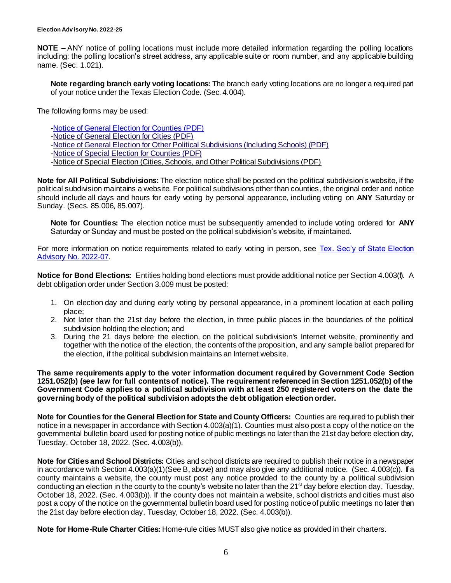**NOTE –** ANY notice of polling locations must include more detailed information regarding the polling locations including: the polling location's street address, any applicable suite or room number, and any applicable building name. (Sec. 1.021).

**Note regarding branch early voting locations:** The branch early voting locations are no longer a required part of your notice under the Texas Election Code. (Sec. 4.004).

The following forms may be used:

[-Notice of General Election for Counties \(PDF\)](http://www.sos.state.tx.us/elections/forms/pol-sub/1-7f.pdf) [-Notice of General Election for Cities \(PDF\)](http://www.sos.state.tx.us/elections/forms/pol-sub/1-10f.pdf) [-Notice of General Election for Other Political Subdivisions \(Including Schools\) \(PDF\)](http://www.sos.state.tx.us/elections/forms/pol-sub/1-11f.pdf) [-Notice of Special Election for Counties \(PDF\)](http://www.sos.state.tx.us/elections/forms/pol-sub/1-8f.pdf) [-Notice of Special Election \(Cities, Schools, and Other Political Subdivisions \(PDF\)](https://www.sos.texas.gov/elections/forms/pol-sub/1-13f.pdf)

**Note for All Political Subdivisions:** The election notice shall be posted on the political subdivision's website, if the political subdivision maintains a website. For political subdivisions other than counties , the original order and notice should include all days and hours for early voting by personal appearance, including voting on **ANY** Saturday or Sunday. (Secs. 85.006, 85.007).

**Note for Counties:** The election notice must be subsequently amended to include voting ordered for **ANY** Saturday or Sunday and must be posted on the political subdivision's website, if maintained.

For more information on notice requirements related to early voting in person, see Tex. Sec'y of State Election [Advisory No. 2022-07.](https://www.sos.texas.gov/elections/laws/advisory2022-07.shtml)

**Notice for Bond Elections:** Entities holding bond elections must provide additional notice per Section 4.003(f). A debt obligation order under Section 3.009 must be posted:

- 1. On election day and during early voting by personal appearance, in a prominent location at each polling place;
- 2. Not later than the 21st day before the election, in three public places in the boundaries of the political subdivision holding the election; and
- 3. During the 21 days before the election, on the political subdivision's Internet website, prominently and together with the notice of the election, the contents of the proposition, and any sample ballot prepared for the election, if the political subdivision maintains an Internet website.

**The same requirements apply to the voter information document required by Government Code Section 1251.052(b) (see law for full contents of notice). The requirement referenced in Section 1251.052(b) of the Government Code applies to a political subdivision with at least 250 registered voters on the date the governing body of the political subdivision adopts the debt obligation election order.**

**Note for Counties for the General Election for State and County Officers:** Counties are required to publish their notice in a newspaper in accordance with Section 4.003(a)(1). Counties must also post a copy of the notice on the governmental bulletin board used for posting notice of public meetings no later than the 21st day before election day, Tuesday, October 18, 2022. (Sec. 4.003(b)).

**Note for Cities and School Districts:** Cities and school districts are required to publish their notice in a newspaper in accordance with Section 4.003(a)(1)(See B, above) and may also give any additional notice. (Sec. 4.003(c)). If a county maintains a website, the county must post any notice provided to the county by a political subdivision conducting an election in the county to the county's website no later than the 21<sup>st</sup> day before election day, Tuesday, October 18, 2022. (Sec. 4.003(b)). If the county does not maintain a website, school districts and cities must also post a copy of the notice on the governmental bulletin board used for posting notice of public meetings no later than the 21st day before election day, Tuesday, October 18, 2022. (Sec. 4.003(b)).

**Note for Home-Rule Charter Cities:** Home-rule cities MUST also give notice as provided in their charters.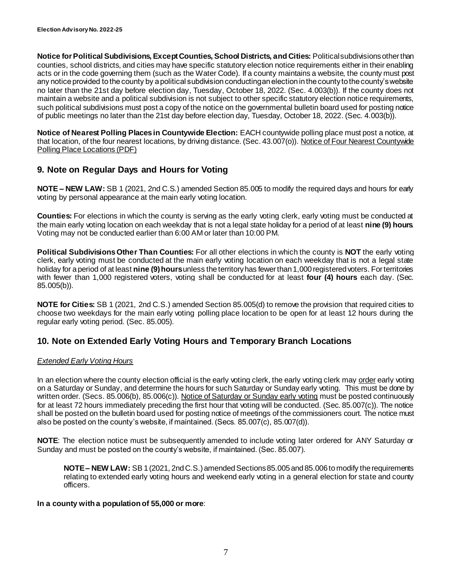**Notice for Political Subdivisions, Except Counties, School Districts, and Cities:** Political subdivisions other than counties, school districts, and cities may have specific statutory election notice requirements either in their enabling acts or in the code governing them (such as the Water Code). If a county maintains a website, the county must post any notice provided to the county by a political subdivision conducting an election in the county to the county's website no later than the 21st day before election day, Tuesday, October 18, 2022. (Sec. 4.003(b)). If the county does not maintain a website and a political subdivision is not subject to other specific statutory election notice requirements, such political subdivisions must post a copy of the notice on the governmental bulletin board used for posting notice of public meetings no later than the 21st day before election day, Tuesday, October 18, 2022. (Sec. 4.003(b)).

**Notice of Nearest Polling Places in Countywide Election:** EACH countywide polling place must post a notice, at that location, of the four nearest locations, by driving distance. (Sec. 43.007(o)). [Notice of Four Nearest Countywide](https://www.sos.texas.gov/elections/forms/pol-sub/1-16f.pdf)  [Polling Place Locations \(PDF\)](https://www.sos.texas.gov/elections/forms/pol-sub/1-16f.pdf)

## <span id="page-6-0"></span>**9. Note on Regular Days and Hours for Voting**

**NOTE – NEW LAW:** SB 1 (2021, 2nd C.S.) amended Section 85.005 to modify the required days and hours for early voting by personal appearance at the main early voting location.

**Counties:** For elections in which the county is serving as the early voting clerk, early voting must be conducted at the main early voting location on each weekday that is not a legal state holiday for a period of at least **nine (9) hours**. Voting may not be conducted earlier than 6:00 AM or later than 10:00 PM.

**Political Subdivisions Other Than Counties:** For all other elections in which the county is **NOT** the early voting clerk, early voting must be conducted at the main early voting location on each weekday that is not a legal state holiday for a period of at least **nine (9) hours**unless the territory has fewer than 1,000 registered voters. For territories with fewer than 1,000 registered voters, voting shall be conducted for at least **four (4) hours** each day. (Sec. 85.005(b)).

**NOTE for Cities:** SB 1 (2021, 2nd C.S.) amended Section 85.005(d) to remove the provision that required cities to choose two weekdays for the main early voting polling place location to be open for at least 12 hours during the regular early voting period. (Sec. 85.005).

### <span id="page-6-1"></span>**10. Note on Extended Early Voting Hours and Temporary Branch Locations**

#### *Extended Early Voting Hours*

In an election where the county election official is the early voting clerk, the early voting clerk ma[y order](http://www.sos.state.tx.us/elections/forms/pol-sub/5-47f.pdf) early voting on a Saturday or Sunday, and determine the hours for such Saturday or Sunday early voting. This must be done by written order. (Secs. 85.006(b), 85.006(c))[. Notice of Saturday or Sunday early voting](http://www.sos.state.tx.us/elections/forms/pol-sub/5-48f.pdf) must be posted continuously for at least 72 hours immediately preceding the first hour that voting will be conducted. (Sec. 85.007(c)). The notice shall be posted on the bulletin board used for posting notice of meetings of the commissioners court. The notice must also be posted on the county's website, if maintained. (Secs. 85.007(c), 85.007(d)).

**NOTE**: The election notice must be subsequently amended to include voting later ordered for ANY Saturday or Sunday and must be posted on the county's website, if maintained. (Sec. 85.007).

**NOTE – NEW LAW:** SB 1 (2021, 2nd C.S.) amended Sections 85.005 and 85.006 to modify the requirements relating to extended early voting hours and weekend early voting in a general election for state and county officers.

#### **In a county with a population of 55,000 or more**: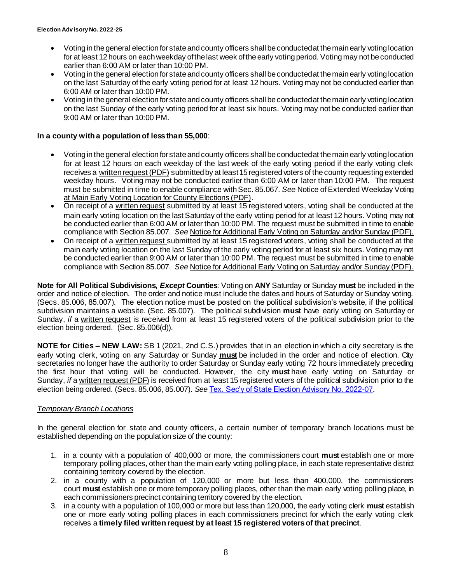- Voting in the general election for state and county officers shall be conducted at the main early voting location for at least 12 hours on each weekday of the last week of the early voting period. Voting may not be conducted earlier than 6:00 AM or later than 10:00 PM.
- Voting in the general election for state and county officers shall be conducted at the main early voting location on the last Saturday of the early voting period for at least 12 hours. Voting may not be conducted earlier than 6:00 AM or later than 10:00 PM.
- Voting in the general election for state and county officers shall be conducted at the main early voting location on the last Sunday of the early voting period for at least six hours. Voting may not be conducted earlier than 9:00 AM or later than 10:00 PM.

#### **In a county with a population of less than 55,000**:

- Voting in thegeneral election for state and county officers shall be conducted at the main early voting location for at least 12 hours on each weekday of the last week of the early voting period if the early voting clerk receives a [written request \(PDF\)](https://www.sos.texas.gov/elections/forms/pol-sub/5-50f.pdf) submitted by at least 15 registered voters of the county requesting extended weekday hours. Voting may not be conducted earlier than 6:00 AM or later than 10:00 PM. The request must be submitted in time to enable compliance with Sec. 85.067. *See* [Notice of Extended Weekday Voting](https://www.sos.texas.gov/elections/forms/pol-sub/5-51f.pdf)  [at Main Early Voting Location for County Elections \(PDF\)](https://www.sos.texas.gov/elections/forms/pol-sub/5-51f.pdf).
- On receipt of a [written request](https://www.sos.texas.gov/elections/forms/pol-sub/5-45f.pdf) submitted by at least 15 registered voters, voting shall be conducted at the main early voting location on the last Saturday of the early voting period for at least 12 hours. Voting may not be conducted earlier than 6:00 AM or later than 10:00 PM. The request must be submitted in time to enable compliance with Section 85.007. *See* [Notice for Additional Early Voting on Saturday and/or Sunday \(PDF\).](https://www.sos.texas.gov/elections/forms/pol-sub/5-48f.pdf)
- On receipt of a [written request](https://www.sos.texas.gov/elections/forms/pol-sub/5-45f.pdf) submitted by at least 15 registered voters, voting shall be conducted at the main early voting location on the last Sunday of the early voting period for at least six hours. Voting may not be conducted earlier than 9:00 AM or later than 10:00 PM. The request must be submitted in time to enable compliance with Section 85.007. *See* [Notice for Additional Early Voting on Saturday and/or Sunday \(PDF\).](https://www.sos.texas.gov/elections/forms/pol-sub/5-48f.pdf)

**Note for All Political Subdivisions,** *Except* **Counties**: Voting on **ANY** Saturday or Sunday **must** be included in the order and notice of election. The order and notice must include the dates and hours of Saturday or Sunday voting. (Secs. 85.006, 85.007). The election notice must be posted on the political subdivision's website, if the political subdivision maintains a website. (Sec. 85.007). The political subdivision **must** have early voting on Saturday or Sunday, *if* a [written request](http://www.sos.state.tx.us/elections/forms/pol-sub/5-46f.pdf) is received from at least 15 registered voters of the political subdivision prior to the election being ordered. (Sec. 85.006(d)).

**NOTE for Cities – NEW LAW:** SB 1 (2021, 2nd C.S.) provides that in an election in which a city secretary is the early voting clerk, voting on any Saturday or Sunday **must** be included in the order and notice of election. City secretaries no longer have the authority to order Saturday or Sunday early voting 72 hours immediately preceding the first hour that voting will be conducted. However, the city **must** have early voting on Saturday or Sunday, *if* a [written request \(PDF\)](https://www.sos.texas.gov/elections/forms/pol-sub/5-46f.pdf) is received from at least 15 registered voters of the political subdivision prior to the election being ordered. (Secs. 85.006, 85.007). *See* [Tex. Sec'y of State Election Advisory No. 2022-07](https://www.sos.texas.gov/elections/laws/advisory2022-07.shtml).

#### *Temporary Branch Locations*

In the general election for state and county officers, a certain number of temporary branch locations must be established depending on the population size of the county:

- 1. in a county with a population of 400,000 or more, the commissioners court **must** establish one or more temporary polling places, other than the main early voting polling place, in each state representative district containing territory covered by the election.
- 2. in a county with a population of 120,000 or more but less than 400,000, the commissioners court **must** establish one or more temporary polling places, other than the main early voting polling place, in each commissioners precinct containing territory covered by the election.
- 3. in a county with a population of 100,000 or more but less than 120,000, the early voting clerk **must** establish one or more early voting polling places in each commissioners precinct for which the early voting clerk receives a **timely filed written request by at least 15 registered voters of that precinct**.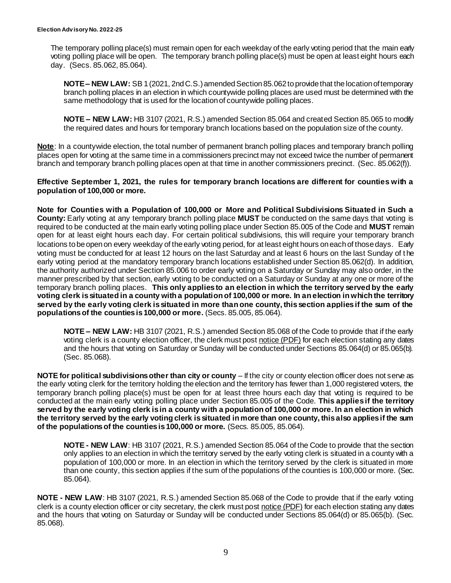The temporary polling place(s) must remain open for each weekday of the early voting period that the main early voting polling place will be open. The temporary branch polling place(s) must be open at least eight hours each day. (Secs. 85.062, 85.064).

**NOTE – NEW LAW:** SB 1 (2021, 2nd C.S.) amended Section 85.062 to provide that the location of temporary branch polling places in an election in which countywide polling places are used must be determined with the same methodology that is used for the location of countywide polling places.

**NOTE – NEW LAW:** HB 3107 (2021, R.S.) amended Section 85.064 and created Section 85.065 to modify the required dates and hours for temporary branch locations based on the population size of the county.

**Note**: In a countywide election, the total number of permanent branch polling places and temporary branch polling places open for voting at the same time in a commissioners precinct may not exceed twice the number of permanent branch and temporary branch polling places open at that time in another commissioners precinct. (Sec. 85.062(f)).

**Effective September 1, 2021, the rules for temporary branch locations are different for counties with a population of 100,000 or more.**

**Note for Counties with a Population of 100,000 or More and Political Subdivisions Situated in Such a County:** Early voting at any temporary branch polling place **MUST** be conducted on the same days that voting is required to be conducted at the main early voting polling place under Section 85.005 of the Code and **MUST** remain open for at least eight hours each day. For certain political subdivisions, this will require your temporary branch locations to be open on every weekday of the early voting period, for at least eight hours on each of those days. Early voting must be conducted for at least 12 hours on the last Saturday and at least 6 hours on the last Sunday of t he early voting period at the mandatory temporary branch locations established under Section 85.062(d). In addition, the authority authorized under Section 85.006 to order early voting on a Saturday or Sunday may also order, in the manner prescribed by that section, early voting to be conducted on a Saturday or Sunday at any one or more of the temporary branch polling places. **This only applies to an election in which the territory served by the early voting clerk is situated in a county with a population of 100,000 or more. In an election in which the territory served by the early voting clerk is situated in more than one county, this section applies if the sum of the populations of the counties is 100,000 or more.** (Secs. 85.005, 85.064).

**NOTE – NEW LAW:** HB 3107 (2021, R.S.) amended Section 85.068 of the Code to provide that if the early voting clerk is a county election officer, the clerk must post [notice \(PDF\)](https://www.sos.texas.gov/elections/forms/pol-sub/5-48f.pdf) for each election stating any dates and the hours that voting on Saturday or Sunday will be conducted under Sections 85.064(d) or 85.065(b). (Sec. 85.068).

**NOTE for political subdivisions other than city or county** – If the city or county election officer does not serve as the early voting clerk for the territory holding the election and the territory has fewer than 1,000 registered voters, the temporary branch polling place(s) must be open for at least three hours each day that voting is required to be conducted at the main early voting polling place under Section 85.005 of the Code. **This applies if the territory served by the early voting clerk is in a county with a population of 100,000 or more. In an election in which the territory served by the early voting clerk is situated in more than one county, this also applies if the sum of the populations of the counties is 100,000 or more.** (Secs. 85.005, 85.064).

**NOTE - NEW LAW**: HB 3107 (2021, R.S.) amended Section 85.064 of the Code to provide that the section only applies to an election in which the territory served by the early voting clerk is situated in a county with a population of 100,000 or more. In an election in which the territory served by the clerk is situated in more than one county, this section applies if the sum of the populations of the counties is 100,000 or more. (Sec. 85.064).

**NOTE - NEW LAW**: HB 3107 (2021, R.S.) amended Section 85.068 of the Code to provide that if the early voting clerk is a county election officer or city secretary, the clerk must post [notice \(PDF\)](https://www.sos.texas.gov/elections/forms/pol-sub/5-48f.pdf) for each election stating any dates and the hours that voting on Saturday or Sunday will be conducted under Sections 85.064(d) or 85.065(b). (Sec. 85.068).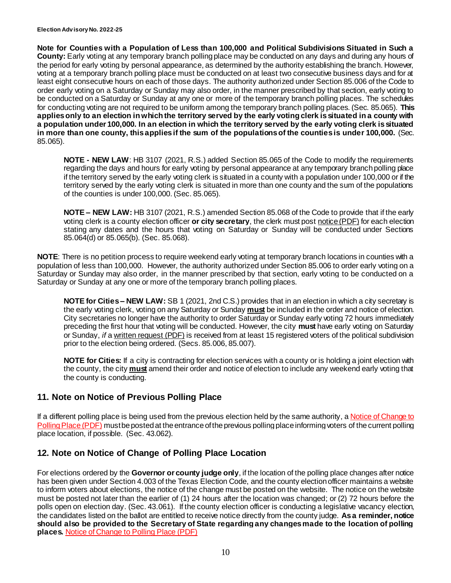**Note for Counties with a Population of Less than 100,000 and Political Subdivisions Situated in Such a County:** Early voting at any temporary branch polling place may be conducted on any days and during any hours of the period for early voting by personal appearance, as determined by the authority establishing the branch. However, voting at a temporary branch polling place must be conducted on at least two consecutive business days and for at least eight consecutive hours on each of those days. The authority authorized under Section 85.006 of the Code to order early voting on a Saturday or Sunday may also order, in the manner prescribed by that section, early voting to be conducted on a Saturday or Sunday at any one or more of the temporary branch polling places. The schedules for conducting voting are not required to be uniform among the temporary branch polling places. (Sec. 85.065). **This applies only to an election in which the territory served by the early voting clerk is situated in a county with a population under 100,000. In an election in which the territory served by the early voting clerk is situated in more than one county, this applies if the sum of the populations of the counties is under 100,000.** (Sec. 85.065).

**NOTE - NEW LAW**: HB 3107 (2021, R.S.) added Section 85.065 of the Code to modify the requirements regarding the days and hours for early voting by personal appearance at any temporary branch polling place if the territory served by the early voting clerk is situated in a county with a population under 100,000 or if the territory served by the early voting clerk is situated in more than one county and the sum of the populations of the counties is under 100,000. (Sec. 85.065).

**NOTE – NEW LAW:** HB 3107 (2021, R.S.) amended Section 85.068 of the Code to provide that if the early voting clerk is a county election officer **or city secretary**, the clerk must post [notice \(PDF\)](https://www.sos.texas.gov/elections/forms/pol-sub/5-48f.pdf) for each election stating any dates and the hours that voting on Saturday or Sunday will be conducted under Sections 85.064(d) or 85.065(b). (Sec. 85.068).

**NOTE**: There is no petition process to require weekend early voting at temporary branch locations in counties with a population of less than 100,000. However, the authority authorized under Section 85.006 to order early voting on a Saturday or Sunday may also order, in the manner prescribed by that section, early voting to be conducted on a Saturday or Sunday at any one or more of the temporary branch polling places.

**NOTE for Cities – NEW LAW:** SB 1 (2021, 2nd C.S.) provides that in an election in which a city secretary is the early voting clerk, voting on any Saturday or Sunday **must** be included in the order and notice of election. City secretaries no longer have the authority to order Saturday or Sunday early voting 72 hours immediately preceding the first hour that voting will be conducted. However, the city **must** have early voting on Saturday or Sunday, *if* a [written request \(PDF\)](https://www.sos.texas.gov/elections/forms/pol-sub/5-46f.pdf) is received from at least 15 registered voters of the political subdivision prior to the election being ordered. (Secs. 85.006, 85.007).

**NOTE for Cities:** If a city is contracting for election services with a county or is holding a joint election with the county, the city **must** amend their order and notice of election to include any weekend early voting that the county is conducting.

# <span id="page-9-0"></span>**11. Note on Notice of Previous Polling Place**

If a different polling place is being used from the previous election held by the same authority, a Notice of Change to [Polling Place](https://www.sos.texas.gov/elections/forms/pol-sub/1-23f.pdf) (PDF) must be posted at the entrance of the previous polling place informing voters of the current polling place location, if possible. (Sec. 43.062).

### <span id="page-9-1"></span>**12. Note on Notice of Change of Polling Place Location**

For elections ordered by the **Governor or county judge only**, if the location of the polling place changes after notice has been given under Section 4.003 of the Texas Election Code, and the county election officer maintains a website to inform voters about elections, the notice of the change must be posted on the website. The notice on the website must be posted not later than the earlier of (1) 24 hours after the location was changed; or (2) 72 hours before the polls open on election day. (Sec. 43.061). If the county election officer is conducting a legislative vacancy election, the candidates listed on the ballot are entitled to receive notice directly from the county judge. **As a reminder, notice should also be provided to the Secretary of State regarding any changes made to the location of polling places.** [Notice of Change to Polling Place \(PDF\)](https://www.sos.texas.gov/elections/forms/pol-sub/1-23f.pdf)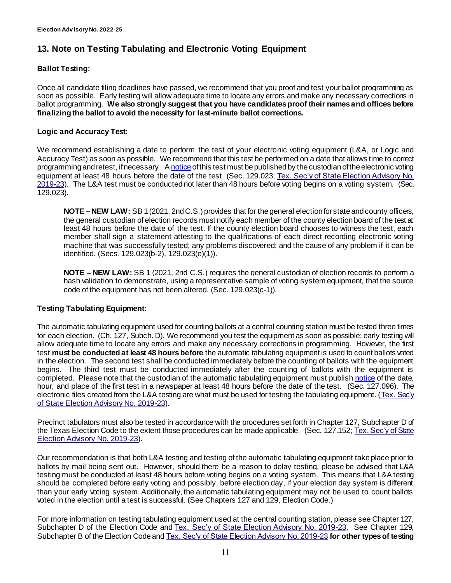# <span id="page-10-1"></span><span id="page-10-0"></span>**13. Note on Testing Tabulating and Electronic Voting Equipment**

#### **Ballot Testing:**

Once all candidate filing deadlines have passed, we recommend that you proof and test your ballot programming as soon as possible. Early testing will allow adequate time to locate any errors and make any necessary corrections in ballot programming. **We also strongly suggest that you have candidates proof their names and offices before finalizing the ballot to avoid the necessity for last-minute ballot corrections.**

#### **Logic and Accuracy Test:**

We recommend establishing a date to perform the test of your electronic voting equipment (L&A, or Logic and Accuracy Test) as soon as possible. We recommend that this test be performed on a date that allows time to correct programming and retest, if necessary. A [notice](https://www.sos.state.tx.us/elections/forms/pol-sub/6-1f.pdf) of this test must be published by the custodian of the electronic voting equipment at least 48 hours before the date of the test. (Sec. 129.023; Tex. Sec'y of State Election Advisory No. [2019-23\)](https://www.sos.texas.gov/elections/laws/advisory2019-23.shtml). The L&A test must be conducted not later than 48 hours before voting begins on a voting system. (Sec. 129.023).

**NOTE –NEW LAW:** SB 1 (2021, 2nd C.S.) provides that for the general election for state and county officers, the general custodian of election records must notify each member of the county election board of the test at least 48 hours before the date of the test. If the county election board chooses to witness the test, each member shall sign a statement attesting to the qualifications of each direct recording electronic voting machine that was successfully tested; any problems discovered; and the cause of any problem if it can be identified. (Secs. 129.023(b-2), 129.023(e)(1)).

**NOTE – NEW LAW:** SB 1 (2021, 2nd C.S.) requires the general custodian of election records to perform a hash validation to demonstrate, using a representative sample of voting system equipment, that the source code of the equipment has not been altered. (Sec. 129.023(c-1)).

#### **Testing Tabulating Equipment:**

The automatic tabulating equipment used for counting ballots at a central counting station must be tested three times for each election. (Ch. 127, Subch. D). We recommend you test the equipment as soon as possible; early testing will allow adequate time to locate any errors and make any necessary corrections in programming. However, the first test **must be conducted at least 48 hours before** the automatic tabulating equipment is used to count ballots voted in the election. The second test shall be conducted immediately before the counting of ballots with the equipment begins. The third test must be conducted immediately after the counting of ballots with the equipment is completed. Please note that the custodian of the automatic tabulating equipment must publis[h notice](http://www.sos.state.tx.us/elections/forms/pol-sub/6-1f.pdf) of the date, hour, and place of the first test in a newspaper at least 48 hours before the date of the test. (Sec. 127.096). The electronic files created from the L&A testing are what must be used for testing the tabulating equipment. (Tex. Sec'y [of State Election Advisory No. 2019-23](https://www.sos.texas.gov/elections/laws/advisory2019-23.shtml)).

Precinct tabulators must also be tested in accordance with the procedures set forth in Chapter 127, Subchapter D of the Texas Election Code to the extent those procedures can be made applicable. (Sec. 127.152; Tex. Sec'y of State [Election Advisory No. 2019-23](https://www.sos.texas.gov/elections/laws/advisory2019-23.shtml)).

Our recommendation is that both L&A testing and testing of the automatic tabulating equipment take place prior to ballots by mail being sent out. However, should there be a reason to delay testing, please be advised that L&A testing must be conducted at least 48 hours before voting begins on a voting system. This means that L&A testing should be completed before early voting and possibly, before election day, if your election day system is different than your early voting system. Additionally, the automatic tabulating equipment may not be used to count ballots voted in the election until a test is successful. (See Chapters 127 and 129, Election Code.)

For more information on testing tabulating equipment used at the central counting station, please see Chapter 127, Subchapter D of the Election Code and [Tex. Sec'y of State Election Advisory No. 2019-23.](https://www.sos.texas.gov/elections/laws/advisory2019-23.shtml) See Chapter 129, Subchapter B of the Election Code and [Tex. Sec'y of State Election Advisory No. 2019-23](https://www.sos.texas.gov/elections/laws/advisory2019-23.shtml) **for other types of testing**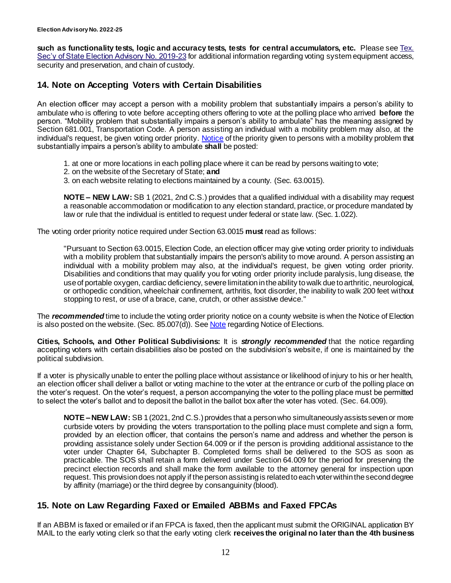**such as functionality tests, logic and accuracy tests, tests for central accumulators, etc.** Please se[e Tex.](https://www.sos.texas.gov/elections/laws/advisory2019-23.shtml)  [Sec'y of State Election Advisory No. 2019-23](https://www.sos.texas.gov/elections/laws/advisory2019-23.shtml) for additional information regarding voting system equipment access, security and preservation, and chain of custody.

### <span id="page-11-2"></span><span id="page-11-0"></span>**14. Note on Accepting Voters with Certain Disabilities**

An election officer may accept a person with a mobility problem that substantially impairs a person's ability to ambulate who is offering to vote before accepting others offering to vote at the polling place who arrived **before** the person. "Mobility problem that substantially impairs a person's ability to ambulate" has the meaning assigned by Section 681.001, Transportation Code. A person assisting an individual with a mobility problem may also, at the individual's request, be given voting order priority. [Notice](https://www.sos.texas.gov/elections/forms/pol-sub/7-33f.pdf) of the priority given to persons with a mobility problem that substantially impairs a person's ability to ambulate **shall** be posted:

- 1. at one or more locations in each polling place where it can be read by persons waiting to vote;
- 2. on the website of the Secretary of State; **and**
- 3. on each website relating to elections maintained by a county. (Sec. 63.0015).

**NOTE – NEW LAW:** SB 1 (2021, 2nd C.S.) provides that a qualified individual with a disability may request a reasonable accommodation or modification to any election standard, practice, or procedure mandated by law or rule that the individual is entitled to request under federal or state law. (Sec. 1.022).

The voting order priority notice required under Section 63.0015 **must** read as follows:

"Pursuant to Section 63.0015, Election Code, an election officer may give voting order priority to individuals with a mobility problem that substantially impairs the person's ability to move around. A person assisting an individual with a mobility problem may also, at the individual's request, be given voting order priority. Disabilities and conditions that may qualify you for voting order priority include paralysis, lung disease, the use of portable oxygen, cardiac deficiency, severe limitation in the ability to walk due to arthritic, neurological, or orthopedic condition, wheelchair confinement, arthritis, foot disorder, the inability to walk 200 feet without stopping to rest, or use of a brace, cane, crutch, or other assistive device."

The *recommended* time to include the voting order priority notice on a county website is when the Notice of Election is also posted on the website. (Sec.  $85.007(d)$ ). See **Note regarding Notice of Elections.** 

**Cities, Schools, and Other Political Subdivisions:** It is *strongly recommended* that the notice regarding accepting voters with certain disabilities also be posted on the subdivision's website, if one is maintained by the political subdivision.

If a voter is physically unable to enter the polling place without assistance or likelihood of injury to his or her health, an election officer shall deliver a ballot or voting machine to the voter at the entrance or curb of the polling place on the voter's request. On the voter's request, a person accompanying the voter to the polling place must be permitted to select the voter's ballot and to deposit the ballot in the ballot box after the voter has voted. (Sec. 64.009).

**NOTE – NEW LAW:** SB 1 (2021, 2nd C.S.) provides that a person who simultaneously assists seven or more curbside voters by providing the voters transportation to the polling place must complete and sign a form, provided by an election officer, that contains the person's name and address and whether the person is providing assistance solely under Section 64.009 or if the person is providing additional assistance to the voter under Chapter 64, Subchapter B. Completed forms shall be delivered to the SOS as soon as practicable. The SOS shall retain a form delivered under Section 64.009 for the period for preserving the precinct election records and shall make the form available to the attorney general for inspection upon request. This provision does not apply if the person assisting is related to each voter within the second degree by affinity (marriage) or the third degree by consanguinity (blood).

### <span id="page-11-1"></span>**15. Note on Law Regarding Faxed or Emailed ABBMs and Faxed FPCAs**

If an ABBM is faxed or emailed or if an FPCA is faxed, then the applicant must submit the ORIGINAL application BY MAIL to the early voting clerk so that the early voting clerk **receives the original no later than the 4th business**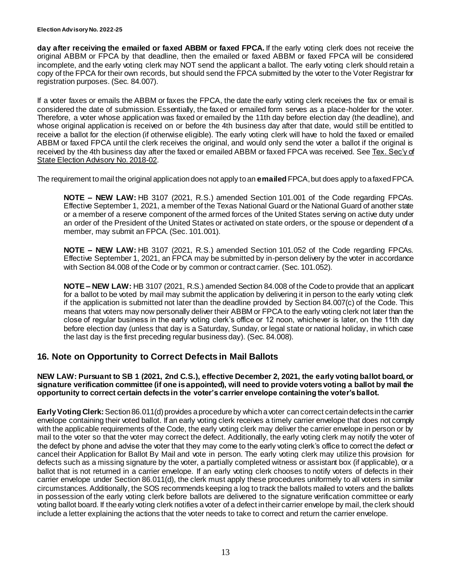**day after receiving the emailed or faxed ABBM or faxed FPCA.** If the early voting clerk does not receive the original ABBM or FPCA by that deadline, then the emailed or faxed ABBM or faxed FPCA will be considered incomplete, and the early voting clerk may NOT send the applicant a ballot. The early voting c lerk should retain a copy of the FPCA for their own records, but should send the FPCA submitted by the voter to the Voter Registrar for registration purposes. (Sec. 84.007).

If a voter faxes or emails the ABBM or faxes the FPCA, the date the early voting clerk receives the fax or email is considered the date of submission. Essentially, the faxed or emailed form serves as a place-holder for the voter. Therefore, a voter whose application was faxed or emailed by the 11th day before election day (the deadline), and whose original application is received on or before the 4th business day after that date, would still be entitled to receive a ballot for the election (if otherwise eligible). The early voting clerk will have to hold the faxed or emailed ABBM or faxed FPCA until the clerk receives the original, and would only send the voter a ballot if the original is received by the 4th business day after the faxed or emailed ABBM or faxed FPCA was received. See [Tex. Sec'y of](https://www.sos.texas.gov/elections/laws/advisory2018-02.shtml)  [State Election Advisory No. 2018-02.](https://www.sos.texas.gov/elections/laws/advisory2018-02.shtml)

The requirement to mail the original application does not apply to an **emailed** FPCA, but does apply to a faxed FPCA.

**NOTE – NEW LAW:** HB 3107 (2021, R.S.) amended Section 101.001 of the Code regarding FPCAs. Effective September 1, 2021, a member of the Texas National Guard or the National Guard of another state or a member of a reserve component of the armed forces of the United States serving on active duty under an order of the President of the United States or activated on state orders, or the spouse or dependent of a member, may submit an FPCA. (Sec. 101.001).

**NOTE – NEW LAW:** HB 3107 (2021, R.S.) amended Section 101.052 of the Code regarding FPCAs. Effective September 1, 2021, an FPCA may be submitted by in-person delivery by the voter in accordance with Section 84.008 of the Code or by common or contract carrier. (Sec. 101.052).

**NOTE – NEW LAW:** HB 3107 (2021, R.S.) amended Section 84.008 of the Code to provide that an applicant for a ballot to be voted by mail may submit the application by delivering it in person to the early voting clerk if the application is submitted not later than the deadline provided by Section 84.007(c) of the Code. This means that voters may now personally deliver their ABBM or FPCA to the early voting clerk not later than the close of regular business in the early voting clerk's office or 12 noon, whichever is later, on the 11th day before election day (unless that day is a Saturday, Sunday, or legal state or national holiday, in which case the last day is the first preceding regular business day). (Sec. 84.008).

#### <span id="page-12-0"></span>**16. Note on Opportunity to Correct Defects in Mail Ballots**

#### **NEW LAW: Pursuant to SB 1 (2021, 2nd C.S.), effective December 2, 2021, the early voting ballot board, or signature verification committee (if one is appointed), will need to provide voters voting a ballot by mail the opportunity to correct certain defects in the voter's carrier envelope containing the voter's ballot.**

**Early Voting Clerk:** Section 86.011(d) provides a procedure by which a voter can correct certain defects in the carrier envelope containing their voted ballot. If an early voting clerk receives a timely carrier envelope that does not comply with the applicable requirements of the Code, the early voting clerk may deliver the carrier envelope in person or by mail to the voter so that the voter may correct the defect. Additionally, the early voting clerk may notify the voter of the defect by phone and advise the voter that they may come to the early voting clerk's office to correct the defect or cancel their Application for Ballot By Mail and vote in person. The early voting clerk may utilize this provision for defects such as a missing signature by the voter, a partially completed witness or assistant box (if applicable), or a ballot that is not returned in a carrier envelope. If an early voting clerk chooses to notify voters of defects in their carrier envelope under Section 86.011(d), the clerk must apply these procedures uniformely to all voters in similar circumstances. Additionally, the SOS recommends keeping a log to track the ballots mailed to voters and the ballots in possession of the early voting clerk before ballots are delivered to the signature verification committee or early voting ballot board. If the early voting clerk notifies a voter of a defect in their carrier envelope by mail, the clerk should include a letter explaining the actions that the voter needs to take to correct and return the carrier envelope.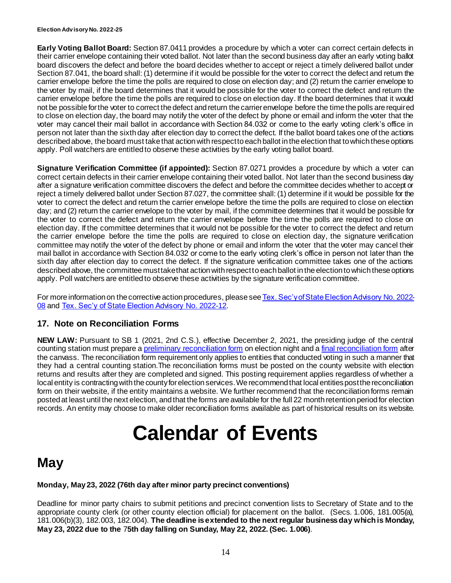#### **Election Adv isory No. 2022-25**

**Early Voting Ballot Board:** Section 87.0411 provides a procedure by which a voter can correct certain defects in their carrier envelope containing their voted ballot. Not later than the second business day after an early voting ballot board discovers the defect and before the board decides whether to accept or reject a timely delivered ballot under Section 87.041, the board shall: (1) determine if it would be possible for the voter to correct the defect and return the carrier envelope before the time the polls are required to close on election day; and (2) return the carrier envelope to the voter by mail, if the board determines that it would be possible for the voter to correct the defect and return the carrier envelope before the time the polls are required to close on election day. If the board determines that it would not be possible for the voter to correct the defect and return the carrier envelope before the time the polls are required to close on election day, the board may notify the voter of the defect by phone or email and inform the voter that the voter may cancel their mail ballot in accordance with Section 84.032 or come to the early voting clerk's office in person not later than the sixth day after election day to correct the defect. If the ballot board takes one of the actions described above, the board must take that action with respect to each ballot in the election that to which these options apply. Poll watchers are entitled to observe these activities by the early voting ballot board.

**Signature Verification Committee (if appointed):** Section 87.0271 provides a procedure by which a voter can correct certain defects in their carrier envelope containing their voted ballot. Not later than the second business day after a signature verification committee discovers the defect and before the committee decides whether to accept or reject a timely delivered ballot under Section 87.027, the committee shall: (1) determine if it would be possible for the voter to correct the defect and return the carrier envelope before the time the polls are required to close on election day; and (2) return the carrier envelope to the voter by mail, if the committee determines that it would be possible for the voter to correct the defect and return the carrier envelope before the time the polls are required to close on election day. If the committee determines that it would not be possible for the voter to correct the defect and return the carrier envelope before the time the polls are required to close on election day, the signature verification committee may notify the voter of the defect by phone or email and inform the voter that the voter may cancel their mail ballot in accordance with Section 84.032 or come to the early voting clerk's office in person not later than the sixth day after election day to correct the defect. If the signature verification committee takes one of the actions described above, the committee must take that action with respect to each ballot in the election to which these options apply. Poll watchers are entitled to observe these activities by the signature verification committee.

For more information on the corrective action procedures, please se[eTex. Sec'y of State Election Advisory No. 2022-](https://www.sos.texas.gov/elections/laws/advisory2022-08.shtml) [08](https://www.sos.texas.gov/elections/laws/advisory2022-08.shtml) and [Tex. Sec'y of State Election Advisory No. 2022-12](https://www.sos.texas.gov/elections/laws/advisory2022-12.shtml).

### <span id="page-13-0"></span>**17. Note on Reconciliation Forms**

**NEW LAW:** Pursuant to SB 1 (2021, 2nd C.S.), effective December 2, 2021, the presiding judge of the central counting station must prepare [a preliminary reconciliation form](https://www.sos.texas.gov/elections/forms/pol-sub/9-12f.pdf) on election night and [a final reconciliation form](https://www.sos.texas.gov/elections/forms/pol-sub/9-13f.pdf) after the canvass. The reconciliation form requirement only applies to entities that conducted voting in such a manner that they had a central counting station.The reconciliation forms must be posted on the county website with election returns and results after they are completed and signed. This posting requirement applies regardless of whether a local entity is contracting with the county for election services. We recommend that local entities post the reconciliation form on their website, if the entity maintains a website. We further recommend that the reconciliation forms remain posted at least until the next election, and that the forms are available for the full 22 month retention period for election records. An entity may choose to make older reconciliation forms available as part of historical results on its website.

# **Calendar of Events**

# **May**

#### **Monday, May 23, 2022 (76th day after minor party precinct conventions)**

Deadline for minor party chairs to submit petitions and precinct convention lists to Secretary of State and to the appropriate county clerk (or other county election official) for placement on the ballot. (Secs. 1.006, 181.005(a), 181.006(b)(3), 182.003, 182.004). **The deadline is extended to the next regular business day which is Monday, May 23, 2022 due to the** 7**5th day falling on Sunday, May 22, 2022. (Sec. 1.006)**.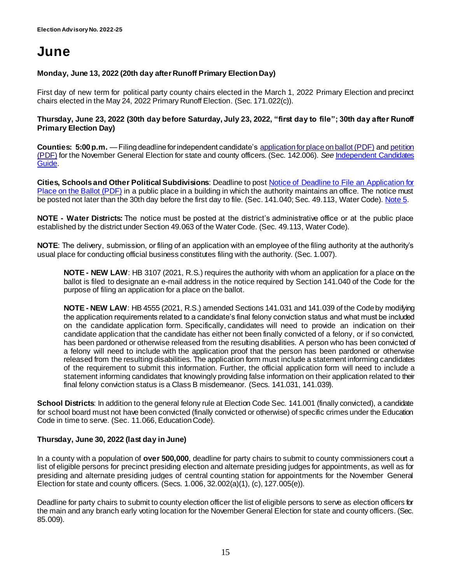# **June**

#### **Monday, June 13, 2022 (20th day after Runoff Primary Election Day)**

First day of new term for political party county chairs elected in the March 1, 2022 Primary Election and precinct chairs elected in the May 24, 2022 Primary Runoff Election. (Sec. 171.022(c)).

#### **Thursday, June 23, 2022 (30th day before Saturday, July 23, 2022, "first day to file"; 30th day after Runoff Primary Election Day)**

**Counties: 5:00 p.m.** —Filing deadline for independent candidate's [application for place on ballot \(PDF\)](https://www.sos.state.tx.us/elections/forms/pol-sub/2-14f.pdf) and [petition](https://www.sos.state.tx.us/elections/forms/pol-sub/2-15f.pdf)  [\(PDF\)](https://www.sos.state.tx.us/elections/forms/pol-sub/2-15f.pdf) for the November General Election for state and county officers. (Sec. 142.006). *See* [Independent Candidates](https://www.sos.texas.gov/elections/candidates/guide/2022/ind2022.shtml)  [Guide.](https://www.sos.texas.gov/elections/candidates/guide/2022/ind2022.shtml)

**Cities, Schools and Other Political Subdivisions**: Deadline to pos[t Notice of Deadline to File an Application for](https://www.sos.state.tx.us/elections/forms/pol-sub/3-2af.pdf)  [Place on the Ballot \(PDF\)](https://www.sos.state.tx.us/elections/forms/pol-sub/3-2af.pdf) in a public place in a building in which the authority maintains an office. The notice must be posted not later than the 30th day before the first day to file. (Sec. 141.040; Sec. 49.113, Water Code). [Note 5](#page-3-0).

**NOTE - Water Districts:** The notice must be posted at the district's administrative office or at the public place established by the district under Section 49.063 of the Water Code. (Sec. 49.113, Water Code).

**NOTE**: The delivery, submission, or filing of an application with an employee of the filing authority at the authority's usual place for conducting official business constitutes filing with the authority. (Sec. 1.007).

**NOTE - NEW LAW**: HB 3107 (2021, R.S.) requires the authority with whom an application for a place on the ballot is filed to designate an e-mail address in the notice required by Section 141.040 of the Code for the purpose of filing an application for a place on the ballot.

**NOTE - NEW LAW**: HB 4555 (2021, R.S.) amended Sections 141.031 and 141.039 of the Code by modifying the application requirements related to a candidate's final felony conviction status and what must be included on the candidate application form. Specifically, candidates will need to provide an indication on their candidate application that the candidate has either not been finally convicted of a felony, or if so convicted, has been pardoned or otherwise released from the resulting disabilities. A person who has been convicted of a felony will need to include with the application proof that the person has been pardoned or otherwise released from the resulting disabilities. The application form must include a statement informing candidates of the requirement to submit this information. Further, the official application form will need to include a statement informing candidates that knowingly providing false information on their application related to their final felony conviction status is a Class B misdemeanor. (Secs. 141.031, 141.039).

**School Districts**: In addition to the general felony rule at Election Code Sec. 141.001 (finally convicted), a candidate for school board must not have been convicted (finally convicted or otherwise) of specific crimes under the Education Code in time to serve. (Sec. 11.066, Education Code).

#### **Thursday, June 30, 2022 (last day in June)**

In a county with a population of **over 500,000**, deadline for party chairs to submit to county commissioners court a list of eligible persons for precinct presiding election and alternate presiding judges for appointments, as well as for presiding and alternate presiding judges of central counting station for appointments for the November General Election for state and county officers. (Secs. 1.006, 32.002(a)(1), (c), 127.005(e)).

Deadline for party chairs to submit to county election officer the list of eligible persons to serve as election officers for the main and any branch early voting location for the November General Election for state and county officers. (Sec. 85.009).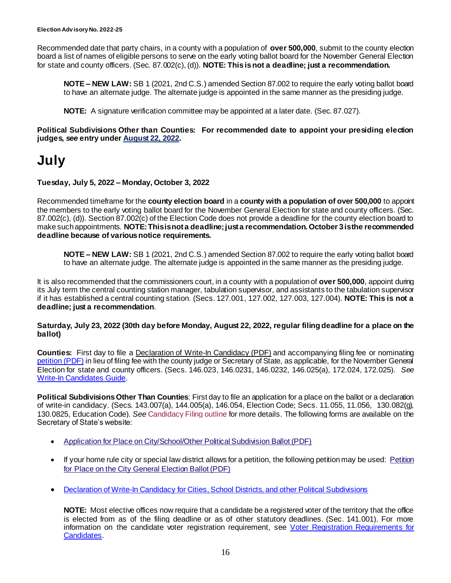Recommended date that party chairs, in a county with a population of **over 500,000**, submit to the county election board a list of names of eligible persons to serve on the early voting ballot board for the November General Election for state and county officers. (Sec. 87.002(c), (d)). **NOTE: This is not a deadline; just a recommendation.**

**NOTE – NEW LAW:** SB 1 (2021, 2nd C.S.) amended Section 87.002 to require the early voting ballot board to have an alternate judge. The alternate judge is appointed in the same manner as the presiding judge.

**NOTE:** A signature verification committee may be appointed at a later date. (Sec. 87.027).

**Political Subdivisions Other than Counties: For recommended date to appoint your presiding election judges,** *see* **entry unde[r August 22, 2022.](#page-17-0)**

# **July**

**Tuesday, July 5, 2022 – Monday, October 3, 2022**

Recommended timeframe for the **county election board** in a **county with a population of over 500,000** to appoint the members to the early voting ballot board for the November General Election for state and county officers. (Sec. 87.002(c), (d)). Section 87.002(c) of the Election Code does not provide a deadline for the county election board to make such appointments. **NOTE: This is not a deadline; just a recommendation. October 3is the recommended deadline because of various notice requirements.**

**NOTE – NEW LAW:** SB 1 (2021, 2nd C.S.) amended Section 87.002 to require the early voting ballot board to have an alternate judge. The alternate judge is appointed in the same manner as the presiding judge.

It is also recommended that the commissioners court, in a county with a population of **over 500,000**, appoint during its July term the central counting station manager, tabulation supervisor, and assistants to the tabulation supervisor if it has established a central counting station. (Secs. 127.001, 127.002, 127.003, 127.004). **NOTE: This is not a deadline; just a recommendation**.

**Saturday, July 23, 2022 (30th day before Monday, August 22, 2022, regular filing deadline for a place on the ballot)**

**Counties:** First day to file a [Declaration of Write-In Candidacy \(PDF\)](https://www.sos.state.tx.us/elections/forms/pol-sub/2-16nf.pdf) and accompanying filing fee or nominating [petition \(PDF\)](https://www.sos.texas.gov/elections/forms/pol-sub/2-10f.pdf) in lieu of filing fee with the county judge or Secretary of State, as applicable, for the November General Election for state and county officers. (Secs. 146.023, 146.0231, 146.0232, 146.025(a), 172.024, 172.025). *See* [Write-In Candidates Guide.](https://www.sos.texas.gov/elections/candidates/guide/2022/writein2022.shtml)

**Political Subdivisions Other Than Counties**: First day to file an application for a place on the ballot or a declaration of write-in candidacy. (Secs. 143.007(a), 144.005(a), 146.054, Election Code; Secs. 11.055, 11.056, 130.082(g), 130.0825, Education Code). *See* [Candidacy Filing outline](http://www.sos.state.tx.us/elections/laws/candidacy.shtml) for more details. The following forms are available on the Secretary of State's website:

- [Application for Place on City/School/Other Political Subdivision Ballot \(PDF\)](http://www.sos.state.tx.us/elections/forms/pol-sub/2-21f.pdf)
- If your home rule city or special law district allows for a petition, the following petition may be used: [Petition](http://www.sos.state.tx.us/elections/forms/pol-sub/2-16f.pdf)  [for Place on the City General Election Ballot \(PDF\)](http://www.sos.state.tx.us/elections/forms/pol-sub/2-16f.pdf)
- Declaration of Write-In [Candidacy for Cities, School](http://www.sos.state.tx.us/elections/forms/pol-sub/2-23f.pdf) Districts, and other Political Subdivisions

**NOTE:** Most elective offices now require that a candidate be a registered voter of the territory that the office is elected from as of the filing deadline or as of other statutory deadlines. (Sec. 141.001). For more information on the candidate voter registration requirement, see [Voter Registration Requirements](https://www.sos.texas.gov/elections/laws/hb484-faq.shtml) for [Candidates.](https://www.sos.texas.gov/elections/laws/hb484-faq.shtml)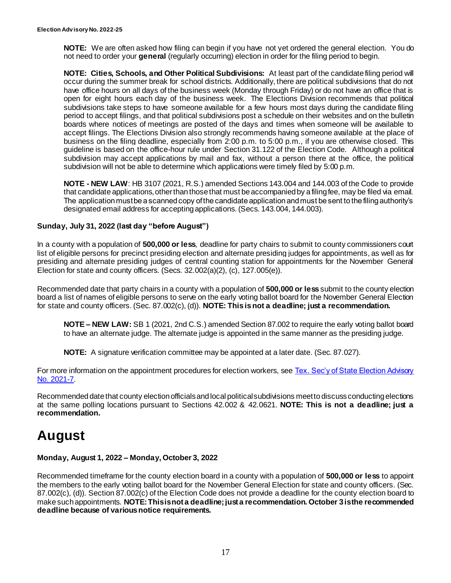**NOTE:** We are often asked how filing can begin if you have not yet ordered the general election. You do not need to order your **general** (regularly occurring) election in order for the filing period to begin.

**NOTE: Cities, Schools, and Other Political Subdivisions:** At least part of the candidate filing period will occur during the summer break for school districts. Additionally, there are political subdivisions that do not have office hours on all days of the business week (Monday through Friday) or do not have an office that is open for eight hours each day of the business week. The Elections Division recommends that political subdivisions take steps to have someone available for a few hours most days during the candidate filing period to accept filings, and that political subdivisions post a schedule on their websites and on the bulletin boards where notices of meetings are posted of the days and times when someone will be available to accept filings. The Elections Division also strongly recommends having someone available at the place of business on the filing deadline, especially from 2:00 p.m. to 5:00 p.m., if you are otherwise closed. This guideline is based on the office-hour rule under Section 31.122 of the Election Code. Although a political subdivision may accept applications by mail and fax, without a person there at the office, the political subdivision will not be able to determine which applications were timely filed by 5:00 p.m.

**NOTE - NEW LAW**: HB 3107 (2021, R.S.) amended Sections 143.004 and 144.003 of the Code to provide that candidate applications, other than those that must be accompanied by a filing fee, may be filed via email. The application must be a scanned copy of the candidate application and must be sent to the filing authority's designated email address for accepting applications. (Secs. 143.004, 144.003).

#### **Sunday, July 31, 2022 (last day "before August")**

In a county with a population of **500,000 or less**, deadline for party chairs to submit to county commissioners court list of eligible persons for precinct presiding election and alternate presiding judges for appointments, as well as for presiding and alternate presiding judges of central counting station for appointments for the November General Election for state and county officers. (Secs. 32.002(a)(2), (c), 127.005(e)).

Recommended date that party chairs in a county with a population of **500,000 or less** submit to the county election board a list of names of eligible persons to serve on the early voting ballot board for the November General Election for state and county officers. (Sec. 87.002(c), (d)). **NOTE: This is not a deadline; just a recommendation.**

**NOTE – NEW LAW:** SB 1 (2021, 2nd C.S.) amended Section 87.002 to require the early voting ballot board to have an alternate judge. The alternate judge is appointed in the same manner as the presiding judge.

**NOTE:** A signature verification committee may be appointed at a later date. (Sec. 87.027).

For more information on the appointment procedures for election workers, see Tex. Sec'y of State Election Advisory [No. 2021-7.](https://www.sos.texas.gov/elections/laws/advisory2021-07.shtml)

Recommended date that county election officials and local political subdivisions meet to discuss conducting elections at the same polling locations pursuant to Sections 42.002 & 42.0621. **NOTE: This is not a deadline; just a recommendation.**

# **August**

#### **Monday, August 1, 2022 – Monday, October 3, 2022**

Recommended timeframe for the county election board in a county with a population of **500,000 or less** to appoint the members to the early voting ballot board for the November General Election for state and county officers. (Sec. 87.002(c), (d)). Section 87.002(c) of the Election Code does not provide a deadline for the county election board to make such appointments. **NOTE: This is not a deadline; just a recommendation. October 3is the recommended deadline because of various notice requirements.**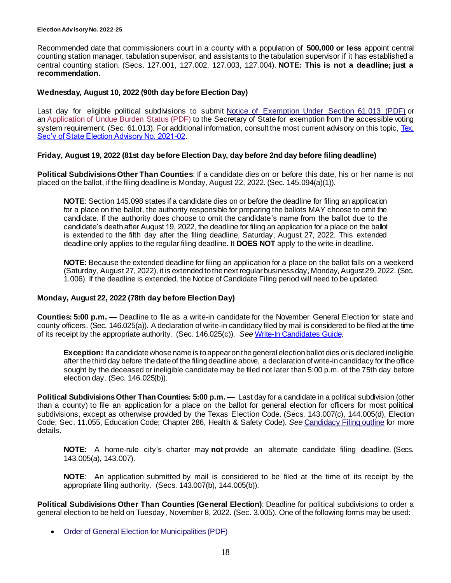Recommended date that commissioners court in a county with a population of **500,000 or less** appoint central counting station manager, tabulation supervisor, and assistants to the tabulation supervisor if it has established a central counting station. (Secs. 127.001, 127.002, 127.003, 127.004). **NOTE: This is not a deadline; just a recommendation.**

#### **Wednesday, August 10, 2022 (90th day before Election Day)**

Last day for eligible political subdivisions to submit [Notice of Exemption Under Section 61.013 \(PDF\)](http://www.sos.state.tx.us/elections/forms/pol-sub/13-5f.pdf) or an [Application of Undue Burden Status \(PDF\)](http://www.sos.state.tx.us/elections/forms/pol-sub/13-4f.pdf) to the Secretary of State for exemption from the accessible voting system requirement. (Sec. 61.013). For additional information, consult the most current advisory on this topic, [Tex.](https://www.sos.texas.gov/elections/laws/advisory2021-02.shtml)  [Sec'y of State Election Advisory No. 2021-02.](https://www.sos.texas.gov/elections/laws/advisory2021-02.shtml)

#### **Friday, August 19, 2022 (81st day before Election Day, day before 2nd day before filing deadline)**

**Political Subdivisions Other Than Counties**: If a candidate dies on or before this date, his or her name is not placed on the ballot, if the filing deadline is Monday, August 22, 2022. (Sec. 145.094(a)(1)).

**NOTE**: Section 145.098 states if a candidate dies on or before the deadline for filing an application for a place on the ballot, the authority responsible for preparing the ballots MAY choose to omit the candidate. If the authority does choose to omit the candidate's name from the ballot due to the candidate's death after August 19, 2022, the deadline for filing an application for a place on the ballot is extended to the fifth day after the filing deadline, Saturday, August 27, 2022. This extended deadline only applies to the regular filing deadline. It **DOES NOT** apply to the write-in deadline.

**NOTE:** Because the extended deadline for filing an application for a place on the ballot falls on a weekend (Saturday, August 27, 2022), it is extended to the next regular business day, Monday, August 29, 2022. (Sec. 1.006). If the deadline is extended, the Notice of Candidate Filing period will need to be updated.

#### <span id="page-17-0"></span>**Monday, August 22, 2022 (78th day before Election Day)**

**Counties: 5:00 p.m. —** Deadline to file as a write-in candidate for the November General Election for state and county officers. (Sec. 146.025(a)). A declaration of write-in candidacy filed by mail is considered to be filed at the time of its receipt by the appropriate authority. (Sec. 146.025(c)). *See* [Write-In Candidates Guide.](https://www.sos.texas.gov/elections/candidates/guide/2022/writein2022.shtml)

**Exception:** If a candidate whose name is to appear on the general election ballot dies or is declared ineligible after the third day before the date of the filing deadline above, a declaration of write-in candidacy for the office sought by the deceased or ineligible candidate may be filed not later than 5:00 p.m. of the 75th day before election day. (Sec. 146.025(b)).

**Political Subdivisions Other Than Counties: 5:00 p.m. —** Last day for a candidate in a political subdivision (other than a county) to file an application for a place on the ballot for general election for officers for most political subdivisions, except as otherwise provided by the Texas Election Code. (Secs. 143.007(c), 144.005(d), Election Code; Sec. 11.055, Education Code; Chapter 286, Health & Safety Code). *See* [Candidacy Filing outline](http://www.sos.state.tx.us/elections/laws/candidacy.shtml) for more details.

**NOTE:** A home-rule city's charter may **not** provide an alternate candidate filing deadline. (Secs. 143.005(a), 143.007).

**NOTE**: An application submitted by mail is considered to be filed at the time of its receipt by the appropriate filing authority. (Secs. 143.007(b), 144.005(b)).

**Political Subdivisions Other Than Counties (General Election)**: Deadline for political subdivisions to order a general election to be held on Tuesday, November 8, 2022. (Sec. 3.005). One of the following forms may be used:

• [Order of General Election for Municipalities \(PDF\)](http://www.sos.state.tx.us/elections/forms/pol-sub/1-2f.pdf)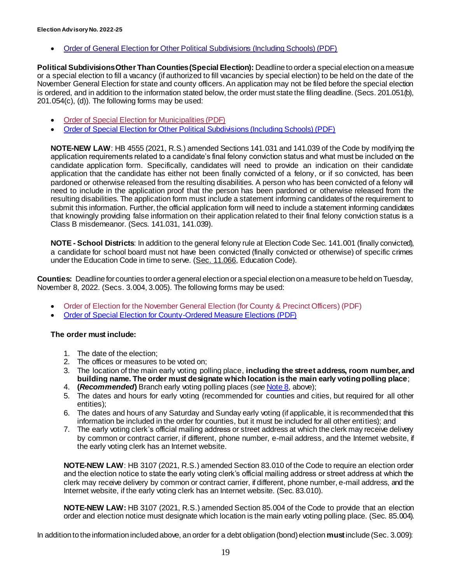• [Order of General Election for Other Political Subdivisions \(Including Schools\) \(PDF\)](http://www.sos.state.tx.us/elections/forms/pol-sub/1-3f.pdf)

**Political Subdivisions Other Than Counties(Special Election):** Deadline to order a special election on a measure or a special election to fill a vacancy (if authorized to fill vacancies by special election) to be held on the date of the November General Election for state and county officers. An application may not be filed before the special election is ordered, and in addition to the information stated below, the order must state the filing deadline. (Secs. 201.051(b), 201.054(c), (d)). The following forms may be used:

- [Order of Special Election for Municipalities \(PDF\)](http://www.sos.state.tx.us/elections/forms/pol-sub/1-6f.pdf)
- [Order of Special Election for Other Political Subdivisions \(Including Schools\) \(PDF\)](https://www.sos.texas.gov/elections/forms/pol-sub/1-7fa.pdf)

**NOTE-NEW LAW**: HB 4555 (2021, R.S.) amended Sections 141.031 and 141.039 of the Code by modifying the application requirements related to a candidate's final felony conviction status and what must be included on the candidate application form. Specifically, candidates will need to provide an indication on their candidate application that the candidate has either not been finally convicted of a felony, or if so convicted, has been pardoned or otherwise released from the resulting disabilities. A person who has been convicted of a felony will need to include in the application proof that the person has been pardoned or otherwise released from the resulting disabilities. The application form must include a statement informing candidates of the requirement to submit this information. Further, the official application form will need to include a statement informing candidates that knowingly providing false information on their application related to their final felony conviction status is a Class B misdemeanor. (Secs. 141.031, 141.039).

**NOTE - School Districts**: In addition to the general felony rule at Election Code Sec. 141.001 (finally convicted), a candidate for school board must not have been convicted (finally convicted or otherwise) of specific crimes under the Education Code in time to serve. [\(Sec. 11.066](https://statutes.capitol.texas.gov/Docs/ED/htm/ED.11.htm#11.066), Education Code).

**Counties:** Deadline for counties to order a general election or a special election on a measure to be held on Tuesday, November 8, 2022. (Secs. 3.004, 3.005). The following forms may be used:

- [Order of Election for the November General Election \(for County & Precinct Officers\) \(PDF\)](http://www.sos.state.tx.us/elections/forms/pol-sub/1-1f.pdf)
- [Order of Special Election for County-Ordered Measure Elections \(PDF\)](http://www.sos.state.tx.us/elections/forms/pol-sub/1-5f.pdf)

#### **The order must include:**

- 1. The date of the election;
- 2. The offices or measures to be voted on;
- 3. The location of the main early voting polling place, **including the street address, room number, and building name. The order must designate which location is the main early voting polling place**;
- 4. **(***Recommended***)** Branch early voting polling places (*see* [Note 8](#page-4-0), above);
- 5. The dates and hours for early voting (recommended for counties and cities, but required for all other entities);
- 6. The dates and hours of any Saturday and Sunday early voting (if applicable, it is recommended that this information be included in the order for counties, but it must be included for all other entities); and
- 7. The early voting clerk's official mailing address or street address at which the clerk may receive delivery by common or contract carrier, if different, phone number, e-mail address, and the Internet website, if the early voting clerk has an Internet website.

**NOTE-NEW LAW**: HB 3107 (2021, R.S.) amended Section 83.010 of the Code to require an election order and the election notice to state the early voting clerk's official mailing address or street address at which the clerk may receive delivery by common or contract carrier, if different, phone number, e-mail address, and the Internet website, if the early voting clerk has an Internet website. (Sec. 83.010).

**NOTE-NEW LAW:** HB 3107 (2021, R.S.) amended Section 85.004 of the Code to provide that an election order and election notice must designate which location is the main early voting polling place. (Sec. 85.004).

In addition to the information included above, an order for a debt obligation (bond) election **must**include (Sec. 3.009):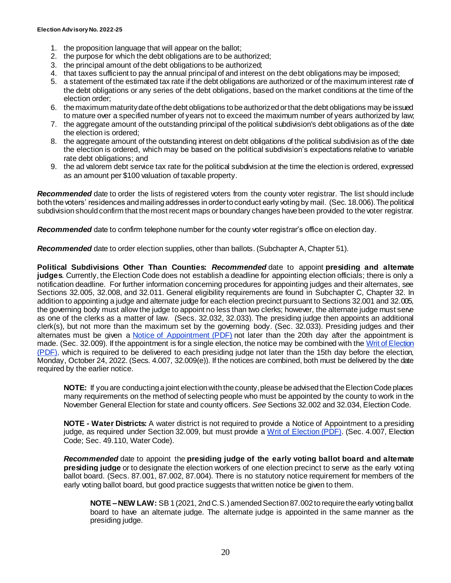- 1. the proposition language that will appear on the ballot;
- 2. the purpose for which the debt obligations are to be authorized;
- 3. the principal amount of the debt obligations to be authorized;
- 4. that taxes sufficient to pay the annual principal of and interest on the debt obligations may be imposed;
- 5. a statement of the estimated tax rate if the debt obligations are authorized or of the maximum interest rate of the debt obligations or any series of the debt obligations, based on the market conditions at the time of the election order;
- 6. the maximum maturity date of the debt obligations to be authorized or that the debt obligations may be issued to mature over a specified number of years not to exceed the maximum number of years authorized by law;
- 7. the aggregate amount of the outstanding principal of the political subdivision's debt obligations as of the date the election is ordered;
- 8. the aggregate amount of the outstanding interest on debt obligations of the political subdivision as of the date the election is ordered, which may be based on the political subdivision's expectations relative to variable rate debt obligations; and
- 9. the ad valorem debt service tax rate for the political subdivision at the time the election is ordered, expressed as an amount per \$100 valuation of taxable property.

*Recommended* date to order the lists of registered voters from the county voter registrar. The list should include both the voters' residences and mailing addresses in order to conduct early voting by mail. (Sec. 18.006).The political subdivision should confirm that the most recent maps or boundary changes have been provided to the voter registrar.

*Recommended* date to confirm telephone number for the county voter registrar's office on election day.

*Recommended* date to order election supplies, other than ballots. (Subchapter A, Chapter 51).

**Political Subdivisions Other Than Counties:** *Recommended* date to appoint **presiding and alternate judges**. Currently, the Election Code does not establish a deadline for appointing election officials; there is only a notification deadline. For further information concerning procedures for appointing judges and their alternates, see Sections 32.005, 32.008, and 32.011. General eligibility requirements are found in Subchapter C, Chapter 32. In addition to appointing a judge and alternate judge for each election precinct pursuant to Sections 32.001 and 32.005, the governing body must allow the judge to appoint no less than two clerks; however, the alternate judge must serve as one of the clerks as a matter of law. (Secs. 32.032, 32.033). The presiding judge then appoints an additional clerk(s), but not more than the maximum set by the governing body. (Sec. 32.033). Presiding judges and their alternates must be given a [Notice of Appointment \(PDF\)](http://www.sos.state.tx.us/elections/forms/pol-sub/4-11f.pdf) not later than the 20th day after the appointment is made. (Sec. 32.009). If the appointment is for a single election, the notice may be combined with the Writ of Election [\(PDF\),](http://www.sos.state.tx.us/elections/forms/pol-sub/4-12f.pdf) which is required to be delivered to each presiding judge not later than the 15th day before the election, Monday, October 24, 2022. (Secs. 4.007, 32.009(e)). If the notices are combined, both must be delivered by the date required by the earlier notice.

**NOTE:** If you are conducting a joint election with the county, please be advised that the Election Code places many requirements on the method of selecting people who must be appointed by the county to work in the November General Election for state and county officers. *See* Sections 32.002 and 32.034, Election Code.

**NOTE - Water Districts:** A water district is not required to provide a Notice of Appointment to a presiding judge, as required under Section 32.009, but must provide a [Writ of Election \(PDF\).](http://www.sos.state.tx.us/elections/forms/pol-sub/4-12f.pdf) (Sec. 4.007, Election Code; Sec. 49.110, Water Code).

*Recommended* date to appoint the **presiding judge of the early voting ballot board and alternate presiding judge** or to designate the election workers of one election precinct to serve as the early voting ballot board. (Secs. 87.001, 87.002, 87.004). There is no statutory notice requirement for members of the early voting ballot board, but good practice suggests that written notice be given to them.

**NOTE –NEW LAW:** SB 1 (2021, 2nd C.S.) amended Section 87.002 to require the early voting ballot board to have an alternate judge. The alternate judge is appointed in the same manner as the presiding judge.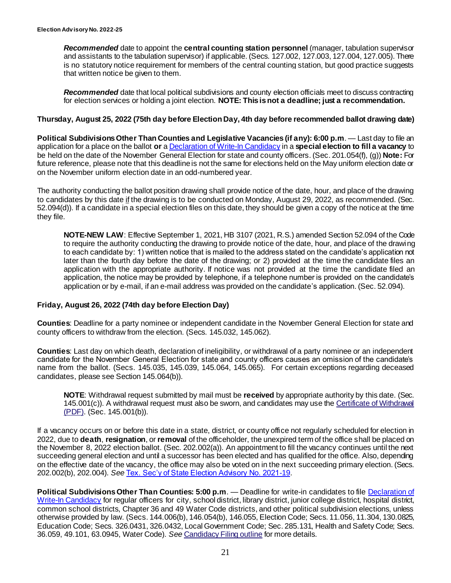*Recommended* date to appoint the **central counting station personnel** (manager, tabulation supervisor and assistants to the tabulation supervisor) if applicable. (Secs. 127.002, 127.003, 127.004, 127.005). There is no statutory notice requirement for members of the central counting station, but good practice suggests that written notice be given to them.

*Recommended* date that local political subdivisions and county election officials meet to discuss contracting for election services or holding a joint election. **NOTE: This is not a deadline; just a recommendation.**

#### **Thursday, August 25, 2022 (75th day before Election Day, 4th day before recommended ballot drawing date)**

**Political Subdivisions Other Than Counties and Legislative Vacancies (if any): 6:00 p.m**. — Last day to file an application for a place on the ballot **or** [a Declaration of Write-In Candidacy](http://www.sos.state.tx.us/elections/forms/pol-sub/2-23f.pdf) in a **special election to fill a vacancy** to be held on the date of the November General Election for state and county officers. (Sec. 201.054(f), (g)) **Note:** For future reference, please note that this deadline is not the same for elections held on the May uniform election date or on the November uniform election date in an odd-numbered year.

The authority conducting the ballot position drawing shall provide notice of the date, hour, and place of the drawing to candidates by this date if the drawing is to be conducted on Monday, August 29, 2022, as recommended. (Sec. 52.094(d)). If a candidate in a special election files on this date, they should be given a copy of the notice at the time they file.

**NOTE-NEW LAW**: Effective September 1, 2021, HB 3107 (2021, R.S.) amended Section 52.094 of the Code to require the authority conducting the drawing to provide notice of the date, hour, and place of the drawing to each candidate by: 1) written notice that is mailed to the address stated on the candidate's application not later than the fourth day before the date of the drawing; or 2) provided at the time the candidate files an application with the appropriate authority. If notice was not provided at the time the candidate filed an application, the notice may be provided by telephone, if a telephone number is provided on the candidate's application or by e-mail, if an e-mail address was provided on the candidate's application. (Sec. 52.094).

#### **Friday, August 26, 2022 (74th day before Election Day)**

**Counties**: Deadline for a party nominee or independent candidate in the November General Election for state and county officers to withdraw from the election. (Secs. 145.032, 145.062).

**Counties**: Last day on which death, declaration of ineligibility, or withdrawal of a party nominee or an independent candidate for the November General Election for state and county officers causes an omission of the candidate's name from the ballot. (Secs. 145.035, 145.039, 145.064, 145.065). For certain exceptions regarding deceased candidates, please see Section 145.064(b)).

**NOTE**: Withdrawal request submitted by mail must be **received** by appropriate authority by this date. (Sec. 145.001(c)). A withdrawal request must also be sworn, and candidates may use the [Certificate of Withdrawal](http://www.sos.state.tx.us/elections/forms/pol-sub/3-16f.pdf)  [\(PDF\).](http://www.sos.state.tx.us/elections/forms/pol-sub/3-16f.pdf) (Sec. 145.001(b)).

If a vacancy occurs on or before this date in a state, district, or county office not regularly scheduled for election in 2022, due to **death**, **resignation**, or **removal** of the officeholder, the unexpired term of the office shall be placed on the November 8, 2022 election ballot. (Sec. 202.002(a)). An appointment to fill the vacancy continues until the next succeeding general election and until a successor has been elected and has qualified for the office. Also, depending on the effective date of the vacancy, the office may also be voted on in the next succeeding primary election. (Secs. 202.002(b), 202.004). *See* [Tex. Sec'y of State Election Advisory No. 2021-19](https://www.sos.texas.gov/elections/laws/advisory2021-19.shtml).

**Political Subdivisions Other Than Counties: 5:00 p.m**. — Deadline for write-in candidates to file [Declaration of](http://www.sos.state.tx.us/elections/forms/pol-sub/2-23f.pdf)  [Write-In Candidacy](http://www.sos.state.tx.us/elections/forms/pol-sub/2-23f.pdf) for regular officers for city, school district, library district, junior college district, hospital district, common school districts, Chapter 36 and 49 Water Code districts, and other political subdivision elections, unless otherwise provided by law. (Secs. 144.006(b), 146.054(b), 146.055, Election Code; Secs. 11.056, 11.304, 130.0825, Education Code; Secs. 326.0431, 326.0432, Local Government Code; Sec. 285.131, Health and Safety Code; Secs. 36.059, 49.101, 63.0945, Water Code). *See* [Candidacy Filing outline](http://www.sos.state.tx.us/elections/laws/candidacy.shtml) for more details.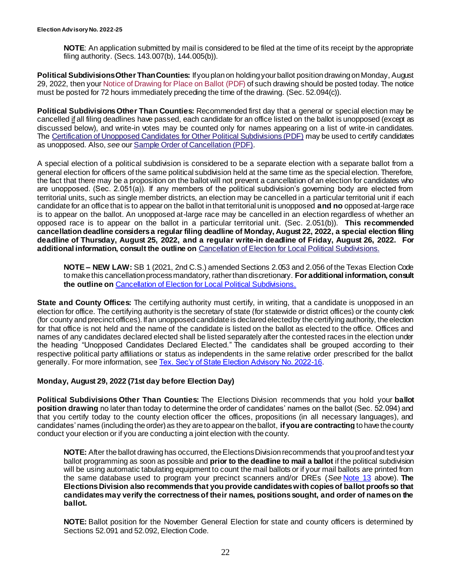**NOTE**: An application submitted by mail is considered to be filed at the time of its receipt by the appropriate filing authority. (Secs. 143.007(b), 144.005(b)).

**Political Subdivisions Other Than Counties:** If you plan on holding your ballot position drawing on Monday, August 29, 2022, then your [Notice of Drawing for Place on Ballot](http://www.sos.state.tx.us/elections/forms/pol-sub/3-2f.pdf) (PDF) of such drawing should be posted today. The notice must be posted for 72 hours immediately preceding the time of the drawing. (Sec. 52.094(c)).

**Political Subdivisions Other Than Counties:** Recommended first day that a general or special election may be cancelled if all filing deadlines have passed, each candidate for an office listed on the ballot is unopposed (except as discussed below), and write-in votes may be counted only for names appearing on a list of write-in candidates. The [Certification of Unopposed Candidates for Other Political Subdivisions \(PDF\)](http://www.sos.state.tx.us/elections/forms/pol-sub/12-1f.pdf) may be used to certify candidates as unopposed. Also, *see* our [Sample Order of Cancellation \(PDF\)](http://www.sos.state.tx.us/elections/forms/pol-sub/12-2f.pdf).

A special election of a political subdivision is considered to be a separate election with a separate ballot from a general election for officers of the same political subdivision held at the same time as the special election. Therefore, the fact that there may be a proposition on the ballot will not prevent a cancellation of an election for candidates who are unopposed. (Sec. 2.051(a)). If any members of the political subdivision's governing body are elected from territorial units, such as single member districts, an election may be cancelled in a particular territorial unit if each candidate for an office that is to appear on the ballot in that territorial unit is unopposed **and no** opposed at-large race is to appear on the ballot. An unopposed at-large race may be cancelled in an election regardless of whether an opposed race is to appear on the ballot in a particular territorial unit. (Sec. 2.051(b)). **This recommended cancellation deadline considers a regular filing deadline of Monday, August 22, 2022, a special election filing deadline of Thursday, August 25, 2022, and a regular write-in deadline of Friday, August 26, 2022. For additional information, consult the outline on** [Cancellation of Election for Local Political Subdivisions](http://www.sos.state.tx.us/elections/laws/cancellation.shtml).

**NOTE – NEW LAW:** SB 1 (2021, 2nd C.S.) amended Sections 2.053 and 2.056 of the Texas Election Code to make this cancellation process mandatory, rather than discretionary. **For additional information, consult the outline on** [Cancellation of Election for Local Political Subdivisions.](https://www.sos.texas.gov/elections/laws/cancellation.shtml)

**State and County Offices:** The certifying authority must certify, in writing, that a candidate is unopposed in an election for office. The certifying authority is the secretary of state (for statewide or district offices) or the county clerk (for county and precinct offices). If an unopposed candidate is declared elected by the certifying authority, the election for that office is not held and the name of the candidate is listed on the ballot as elected to the office. Offices and names of any candidates declared elected shall be listed separately after the contested races in the election under the heading "Unopposed Candidates Declared Elected." The candidates shall be grouped according to their respective political party affiliations or status as independents in the same relative order prescribed for the ballot generally. For more information, se[e Tex. Sec'y of State Election Advisory No. 2022-16](https://www.sos.texas.gov/elections/laws/advisory2022-16.shtml).

#### **Monday, August 29, 2022 (71st day before Election Day)**

**Political Subdivisions Other Than Counties:** The Elections Division recommends that you hold your **ballot position drawing** no later than today to determine the order of candidates' names on the ballot (Sec. 52.094) and that you certify today to the county election officer the offices, propositions (in all necessary languages), and candidates' names (including the order) as they are to appear on the ballot, **if you are contracting** to have the county conduct your election or if you are conducting a joint election with the county.

**NOTE:** After the ballot drawing has occurred, the Elections Division recommends that you proof and test your ballot programming as soon as possible and **prior to the deadline to mail a ballot** if the political subdivision will be using automatic tabulating equipment to count the mail ballots or if your mail ballots are printed from the same database used to program your precinct scanners and/or DREs (*See* [Note 13](#page-10-0) above). **The Elections Division also recommends that you provide candidates with copies of ballot proofs so that candidates may verify the correctness of their names, positions sought, and order of names on the ballot.**

**NOTE:** Ballot position for the November General Election for state and county officers is determined by Sections 52.091 and 52.092, Election Code.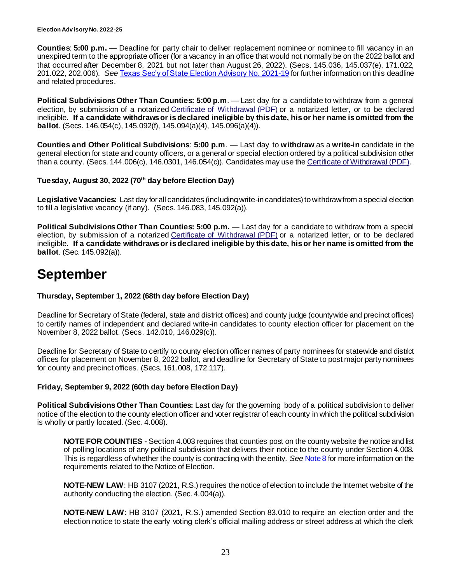**Counties**: **5:00 p.m.** — Deadline for party chair to deliver replacement nominee or nominee to fill vacancy in an unexpired term to the appropriate officer (for a vacancy in an office that would not normally be on the 2022 ballot and that occurred after December 8, 2021 but not later than August 26, 2022). (Secs. 145.036, 145.037(e), 171.022, 201.022, 202.006). *See* [Texas Sec'y of State Election Advisory No. 2021-19](https://www.sos.texas.gov/elections/laws/advisory2021-19.shtml) for further information on this deadline and related procedures.

**Political Subdivisions Other Than Counties: 5:00 p.m**. — Last day for a candidate to withdraw from a general election, by submission of a notarized [Certificate of Withdrawal \(PDF\)](http://www.sos.state.tx.us/elections/forms/pol-sub/3-16f.pdf) or a notarized letter, or to be declared ineligible. **If a candidate withdraws or is declared ineligible by this date, his or her name is omitted from the ballot**. (Secs. 146.054(c), 145.092(f), 145.094(a)(4), 145.096(a)(4)).

**Counties and Other Political Subdivisions**: **5:00 p.m**. — Last day to **withdraw** as a **write-in** candidate in the general election for state and county officers, or a general or special election ordered by a political subdivision other than a county. (Secs. 144.006(c), 146.0301, 146.054(c)). Candidates may use the [Certificate of Withdrawal \(PDF\)](http://www.sos.state.tx.us/elections/forms/pol-sub/3-16f.pdf).

#### **Tuesday, August 30, 2022 (70th day before Election Day)**

**Legislative Vacancies:** Last day for all candidates (including write-in candidates) to withdraw from a special election to fill a legislative vacancy (if any). (Secs. 146.083, 145.092(a)).

**Political Subdivisions Other Than Counties: 5:00 p.m.** — Last day for a candidate to withdraw from a special election, by submission of a notarized [Certificate of Withdrawal \(PDF\)](http://www.sos.state.tx.us/elections/forms/pol-sub/3-16f.pdf) or a notarized letter, or to be declared ineligible. **If a candidate withdraws or is declared ineligible by this date, his or her name is omitted from the ballot**. (Sec. 145.092(a)).

# **September**

#### **Thursday, September 1, 2022 (68th day before Election Day)**

Deadline for Secretary of State (federal, state and district offices) and county judge (countywide and precinct offices) to certify names of independent and declared write-in candidates to county election officer for placement on the November 8, 2022 ballot. (Secs. 142.010, 146.029(c)).

Deadline for Secretary of State to certify to county election officer names of party nominees for statewide and district offices for placement on November 8, 2022 ballot, and deadline for Secretary of State to post major party nominees for county and precinct offices. (Secs. 161.008, 172.117).

#### **Friday, September 9, 2022 (60th day before Election Day)**

**Political Subdivisions Other Than Counties:** Last day for the governing body of a political subdivision to deliver notice of the election to the county election officer and voter registrar of each county in which the political subdivision is wholly or partly located. (Sec. 4.008).

**NOTE FOR COUNTIES -** Section 4.003 requires that counties post on the county website the notice and list of polling locations of any political subdivision that delivers their notice to the county under Section 4.008. This is regardless of whether the county is contracting with the entity. *See* [Note 8](#page-4-1) for more information on the requirements related to the Notice of Election.

**NOTE-NEW LAW:** HB 3107 (2021, R.S.) requires the notice of election to include the Internet website of the authority conducting the election. (Sec. 4.004(a)).

**NOTE-NEW LAW**: HB 3107 (2021, R.S.) amended Section 83.010 to require an election order and the election notice to state the early voting clerk's official mailing address or street address at which the clerk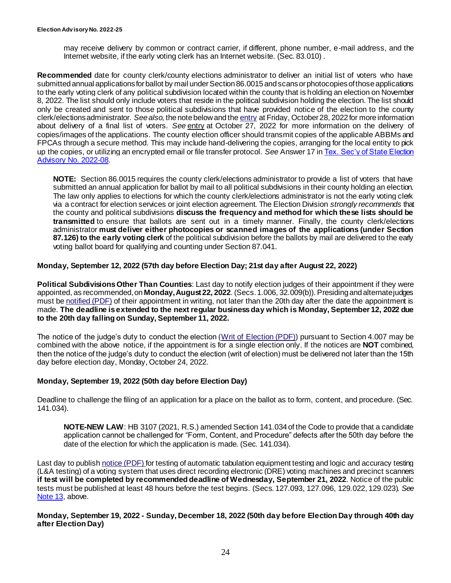may receive delivery by common or contract carrier, if different, phone number, e-mail address, and the Internet website, if the early voting clerk has an Internet website. (Sec. 83.010) .

**Recommended** date for county clerk/county elections administrator to deliver an initial list of voters who have submitted annual applications for ballot by mail under Section 86.0015 and scans or photocopies of those applications to the early voting clerk of any political subdivision located within the county that is holding an election on November 8, 2022. The list should only include voters that reside in the political subdivision holding the election. The list should only be created and sent to those political subdivisions that have provided notice of the election to the county clerk/elections administrator. *See also*, the note below and the [entry](#page-33-0) at Friday, October 28, 2022 for more information about delivery of a final list of voters. *See* [entry](#page-32-0) at October 27, 2022 for more information on the delivery of copies/images of the applications. The county election officer should transmit copies of the applicable ABBMs and FPCAs through a secure method. This may include hand-delivering the copies, arranging for the local entity to pick up the copies, or utilizing an encrypted email or file transfer protocol. *See* Answer 17 i[n Tex. Sec'y of State Election](https://www.sos.texas.gov/elections/laws/advisory2022-08.shtml)  [Advisory No. 2022-08.](https://www.sos.texas.gov/elections/laws/advisory2022-08.shtml)

**NOTE:** Section 86.0015 requires the county clerk/elections administrator to provide a list of voters that have submitted an annual application for ballot by mail to all political subdivisions in their county holding an election. The law only applies to elections for which the county clerk/elections administrator is not the early voting clerk via a contract for election services or joint election agreement. The Election Division *strongly recommends* that the county and political subdivisions **discuss the frequency and method for which these lists should be transmitted** to ensure that ballots are sent out in a timely manner. Finally, the county clerk/elections administrator **must deliver either photocopies or scanned images of the applications (under Section 87.126) to the early voting clerk** of the political subdivision before the ballots by mail are delivered to the early voting ballot board for qualifying and counting under Section 87.041.

#### **Monday, September 12, 2022 (57th day before Election Day; 21st day after August 22, 2022)**

**Political Subdivisions Other Than Counties**: Last day to notify election judges of their appointment if they were appointed, as recommended, on **Monday, August 22, 2022**. (Secs. 1.006, 32.009(b)). Presiding and alternate judges must be [notified \(PDF\)](http://www.sos.state.tx.us/elections/forms/pol-sub/4-11f.pdf) of their appointment in writing, not later than the 20th day after the date the appointment is made. **The deadline is extended to the next regular business day which is Monday, September 12, 2022 due to the 20th day falling on Sunday, September 11, 2022.**

The notice of the judge's duty to conduct the election [\(Writ of Election \(PDF\)\)](http://www.sos.state.tx.us/elections/forms/pol-sub/4-12f.pdf) pursuant to Section 4.007 may be combined with the above notice, if the appointment is for a single election only. If the notices are **NOT** combined, then the notice of the judge's duty to conduct the election (writ of election) must be delivered not later than the 15th day before election day, Monday, October 24, 2022.

#### **Monday, September 19, 2022 (50th day before Election Day)**

Deadline to challenge the filing of an application for a place on the ballot as to form, content, and procedure. (Sec. 141.034).

**NOTE-NEW LAW**: HB 3107 (2021, R.S.) amended Section 141.034 of the Code to provide that a candidate application cannot be challenged for "Form, Content, and Procedure" defects after the 50th day before the date of the election for which the application is made. (Sec. 141.034).

Last day to publis[h notice \(PDF\)](http://www.sos.state.tx.us/elections/forms/pol-sub/6-1f.pdf) for testing of automatic tabulation equipment testing and logic and accuracy testing (L&A testing) of a voting system that uses direct recording electronic (DRE) voting machines and precinct scanners **if test will be completed by recommended deadline of Wednesday, September 21, 2022**. Notice of the public tests must be published at least 48 hours before the test begins. (Secs. 127.093, 127.096, 129.022, 129.023). *See* [Note 13,](#page-10-1) above.

#### <span id="page-23-0"></span>**Monday, September 19, 2022 - Sunday, December 18, 2022 (50th day before Election Day through 40th day after Election Day)**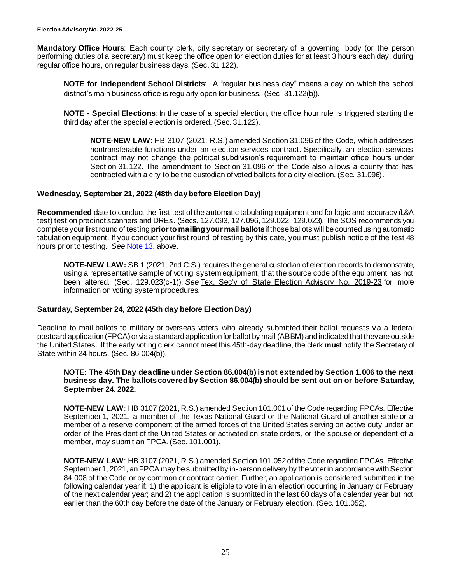**Mandatory Office Hours**: Each county clerk, city secretary or secretary of a governing body (or the person performing duties of a secretary) must keep the office open for election duties for at least 3 hours each day, during regular office hours, on regular business days. (Sec. 31.122).

**NOTE for Independent School Districts**: A "regular business day" means a day on which the school district's main business office is regularly open for business. (Sec. 31.122(b)).

**NOTE - Special Elections**: In the case of a special election, the office hour rule is triggered starting the third day after the special election is ordered. (Sec. 31.122).

**NOTE-NEW LAW**: HB 3107 (2021, R.S.) amended Section 31.096 of the Code, which addresses nontransferable functions under an election services contract. Specifically, an election services contract may not change the political subdivision's requirement to maintain office hours under Section 31.122. The amendment to Section 31.096 of the Code also allows a county that has contracted with a city to be the custodian of voted ballots for a city election. (Sec. 31.096).

#### **Wednesday, September 21, 2022 (48th day before Election Day)**

**Recommended** date to conduct the first test of the automatic tabulating equipment and for logic and accuracy (L&A test) test on precinct scanners and DREs. (Secs. 127.093, 127.096, 129.022, 129.023). The SOS recommends you complete your first round of testing **prior to mailing your mail ballots**if those ballots will be counted using automatic tabulation equipment. If you conduct your first round of testing by this date, you must publish notic e of the test 48 hours prior to testing. *See* [Note 13,](#page-10-1) above.

**NOTE-NEW LAW:** SB 1 (2021, 2nd C.S.) requires the general custodian of election records to demonstrate, using a representative sample of voting system equipment, that the source code of the equipment has not been altered. (Sec. 129.023(c-1)). *See* [Tex. Sec'y of State Election Advisory No. 2019-23](https://www.sos.texas.gov/elections/laws/advisory2019-23.shtml) for more information on voting system procedures.

#### **Saturday, September 24, 2022 (45th day before Election Day)**

Deadline to mail ballots to military or overseas voters who already submitted their ballot requests via a federal postcard application (FPCA) or via a standard application for ballot by mail (ABBM) and indicated that they are outside the United States. If the early voting clerk cannot meet this 45th-day deadline, the clerk **must** notify the Secretary of State within 24 hours. (Sec. 86.004(b)).

#### **NOTE: The 45th Day deadline under Section 86.004(b) is not extended by Section 1.006 to the next business day. The ballots covered by Section 86.004(b) should be sent out on or before Saturday, September 24, 2022.**

**NOTE-NEW LAW**: HB 3107 (2021, R.S.) amended Section 101.001 of the Code regarding FPCAs. Effective September 1, 2021, a member of the Texas National Guard or the National Guard of another state or a member of a reserve component of the armed forces of the United States serving on active duty under an order of the President of the United States or activated on state orders, or the spouse or dependent of a member, may submit an FPCA. (Sec. 101.001).

**NOTE-NEW LAW**: HB 3107 (2021, R.S.) amended Section 101.052 of the Code regarding FPCAs. Effective September 1, 2021, an FPCA may be submitted by in-person delivery by the voter in accordance with Section 84.008 of the Code or by common or contract carrier. Further, an application is considered submitted in the following calendar year if: 1) the applicant is eligible to vote in an election occurring in January or February of the next calendar year; and 2) the application is submitted in the last 60 days of a calendar year but not earlier than the 60th day before the date of the January or February election. (Sec. 101.052).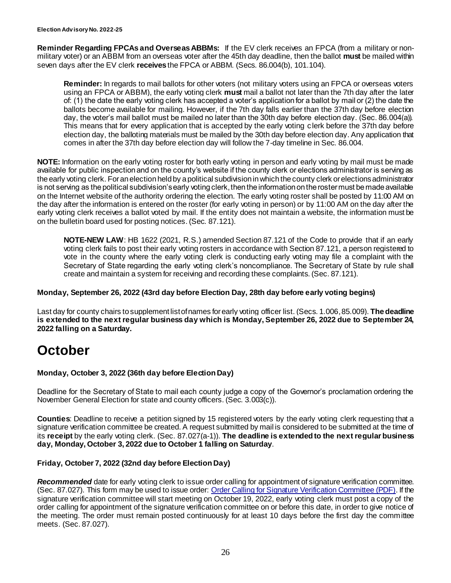**Reminder Regarding FPCAs and Overseas ABBMs:** If the EV clerk receives an FPCA (from a military or nonmilitary voter) or an ABBM from an overseas voter after the 45th day deadline, then the ballot **must** be mailed within seven days after the EV clerk **receives** the FPCA or ABBM. (Secs. 86.004(b), 101.104).

**Reminder:** In regards to mail ballots for other voters (not military voters using an FPCA or overseas voters using an FPCA or ABBM), the early voting clerk **must** mail a ballot not later than the 7th day after the later of: (1) the date the early voting clerk has accepted a voter's application for a ballot by mail or (2) the date the ballots become available for mailing. However, if the 7th day falls earlier than the 37th day before election day, the voter's mail ballot must be mailed no later than the 30th day before election day. (Sec. 86.004(a)). This means that for every application that is accepted by the early voting clerk before the 37th day before election day, the balloting materials must be mailed by the 30th day before election day. Any application that comes in after the 37th day before election day will follow the 7-day timeline in Sec. 86.004.

**NOTE:** Information on the early voting roster for both early voting in person and early voting by mail must be made available for public inspection and on the county's website if the county clerk or elections administrator is serving as the early voting clerk. For an election held by a political subdivision in which the county clerk or elections administrator is not serving as the political subdivision's early voting clerk, then the information on the roster must be made available on the Internet website of the authority ordering the election. The early voting roster shall be posted by 11:00 AM on the day after the information is entered on the roster (for early voting in person) or by 11:00 AM on the day after the early voting clerk receives a ballot voted by mail. If the entity does not maintain a website, the information must be on the bulletin board used for posting notices. (Sec. 87.121).

**NOTE-NEW LAW**: HB 1622 (2021, R.S.) amended Section 87.121 of the Code to provide that if an early voting clerk fails to post their early voting rosters in accordance with Section 87.121, a person registered to vote in the county where the early voting clerk is conducting early voting may file a complaint with the Secretary of State regarding the early voting clerk's noncompliance. The Secretary of State by rule shall create and maintain a system for receiving and recording these complaints. (Sec. 87.121).

#### **Monday, September 26, 2022 (43rd day before Election Day, 28th day before early voting begins)**

Last day for county chairs to supplement list of names for early voting officer list. (Secs. 1.006,85.009). **The deadline is extended to the next regular business day which is Monday, September 26, 2022 due to September 24, 2022 falling on a Saturday.** 

# **October**

#### **Monday, October 3, 2022 (36th day before Election Day)**

Deadline for the Secretary of State to mail each county judge a copy of the Governor's proclamation ordering the November General Election for state and county officers. (Sec. 3.003(c)).

**Counties**: Deadline to receive a petition signed by 15 registered voters by the early voting clerk requesting that a signature verification committee be created. A request submitted by mail is considered to be submitted at the time of its **receipt** by the early voting clerk. (Sec. 87.027(a-1)). **The deadline is extended to the next regular business day, Monday, October 3, 2022 due to October 1 falling on Saturday**.

#### **Friday, October 7, 2022 (32nd day before Election Day)**

<span id="page-25-0"></span>*Recommended* date for early voting clerk to issue order calling for appointment of signature verification committee. (Sec. 87.027). This form may be used to issue order: [Order Calling for Signature Verification Committee \(PDF\)](http://www.sos.state.tx.us/elections/forms/pol-sub/5-52f.pdf). If the signature verification committee will start meeting on October 19, 2022, early voting clerk must post a copy of the order calling for appointment of the signature verification committee on or before this date, in order to give notice of the meeting. The order must remain posted continuously for at least 10 days before the first day the committee meets. (Sec. 87.027).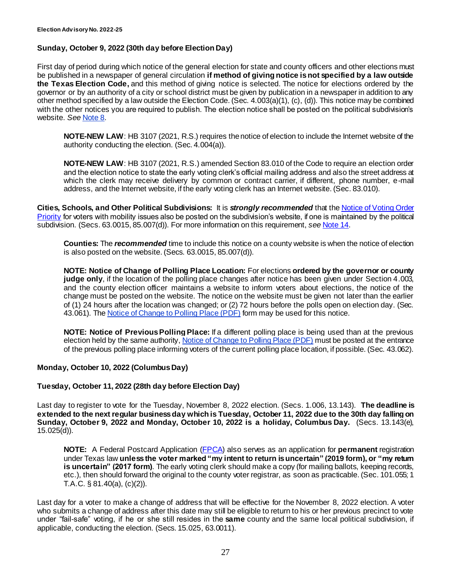#### **Sunday, October 9, 2022 (30th day before Election Day)**

First day of period during which notice of the general election for state and county officers and other elections must be published in a newspaper of general circulation **if method of giving notice is not specified by a law outside the Texas Election Code,** and this method of giving notice is selected. The notice for elections ordered by the governor or by an authority of a city or school district must be given by publication in a newspaper in addition to any other method specified by a law outside the Election Code. (Sec. 4.003(a)(1), (c), (d)). This notice may be combined with the other notices you are required to publish. The election notice shall be posted on the political subdivision's website. *See* [Note 8.](#page-4-1)

**NOTE-NEW LAW:** HB 3107 (2021, R.S.) requires the notice of election to include the Internet website of the authority conducting the election. (Sec. 4.004(a)).

**NOTE-NEW LAW**: HB 3107 (2021, R.S.) amended Section 83.010 of the Code to require an election order and the election notice to state the early voting clerk's official mailing address and also the street address at which the clerk may receive delivery by common or contract carrier, if different, phone number, e-mail address, and the Internet website, if the early voting clerk has an Internet website. (Sec. 83.010).

**Cities, Schools, and Other Political Subdivisions:** It is *strongly recommended* that the [Notice of Voting Order](https://www.sos.texas.gov/elections/forms/pol-sub/7-33f.pdf)  [Priority](https://www.sos.texas.gov/elections/forms/pol-sub/7-33f.pdf) for voters with mobility issues also be posted on the subdivision's website, if one is maintained by the political subdivision. (Secs. 63.0015, 85.007(d)). For more information on this requirement, *see* [Note](#page-11-2) 14.

**Counties:** The *recommended* time to include this notice on a county website is when the notice of election is also posted on the website. (Secs. 63.0015, 85.007(d)).

**NOTE: Notice of Change of Polling Place Location:** For elections **ordered by the governor or county judge only**, if the location of the polling place changes after notice has been given under Section 4.003, and the county election officer maintains a website to inform voters about elections, the notice of the change must be posted on the website. The notice on the website must be given not later than the earlier of (1) 24 hours after the location was changed; or (2) 72 hours before the polls open on election day. (Sec. 43.061). The [Notice of Change to Polling Place \(PDF\)](https://www.sos.texas.gov/elections/forms/pol-sub/1-23f.pdf) form may be used for this notice.

**NOTE: Notice of Previous Polling Place:** If a different polling place is being used than at the previous election held by the same authority, [Notice of Change to Polling Place \(PDF\)](https://www.sos.texas.gov/elections/forms/pol-sub/1-23f.pdf) must be posted at the entrance of the previous polling place informing voters of the current polling place location, if possible. (Sec. 43.062).

#### **Monday, October 10, 2022 (Columbus Day)**

#### **Tuesday, October 11, 2022 (28th day before Election Day)**

Last day to register to vote for the Tuesday, November 8, 2022 election. (Secs. 1.006, 13.143). **The deadline is extended to the next regular business day which is Tuesday, October 11, 2022 due to the 30th day falling on Sunday, October 9, 2022 and Monday, October 10, 2022 is a holiday, Columbus Day.** (Secs. 13.143(e), 15.025(d)).

**NOTE:** A Federal Postcard Application [\(FPCA](https://www.fvap.gov/uploads/FVAP/Forms/fpca2013.pdf)) also serves as an application for **permanent** registration under Texas law **unless the voter marked "my intent to return is uncertain" (2019 form), or "my return is uncertain" (2017 form)**. The early voting clerk should make a copy (for mailing ballots, keeping records, etc.), then should forward the original to the county voter registrar, as soon as practicable. (Sec. 101.055; 1 T.A.C. § 81.40(a), (c)(2)).

Last day for a voter to make a change of address that will be effective for the November 8, 2022 election. A voter who submits a change of address after this date may still be eligible to return to his or her previous precinct to vote under "fail-safe" voting, if he or she still resides in the **same** county and the same local political subdivision, if applicable, conducting the election. (Secs. 15.025, 63.0011).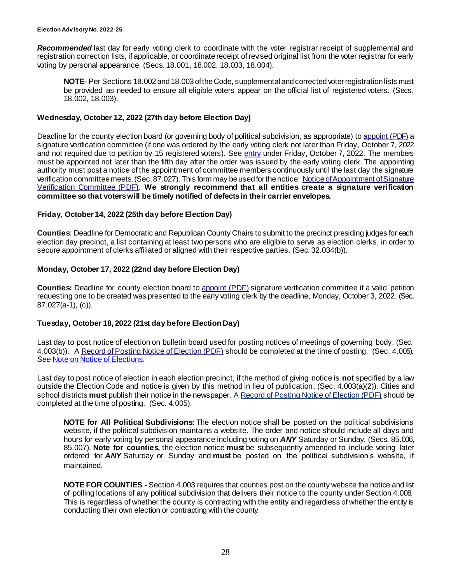*Recommended* last day for early voting clerk to coordinate with the voter registrar receipt of supplemental and registration correction lists, if applicable, or coordinate receipt of revised original list from the voter registrar for early voting by personal appearance. (Secs. 18.001, 18.002, 18.003, 18.004).

**NOTE-** Per Sections 18.002 and 18.003 of the Code, supplemental and corrected voter registration lists must be provided as needed to ensure all eligible voters appear on the official list of registered voters. (Secs. 18.002, 18.003).

#### **Wednesday, October 12, 2022 (27th day before Election Day)**

Deadline for the county election board (or governing body of political subdivision, as appropriate) to [appoint \(PDF\)](http://www.sos.state.tx.us/elections/forms/pol-sub/5-53f.pdf) a signature verification committee (if one was ordered by the early voting clerk not later than Friday, October 7, 2022 and not required due to petition by 15 registered voters). See [entry](#page-25-0) under Friday, October 7, 2022. The members must be appointed not later than the fifth day after the order was issued by the early voting clerk. The appointing authority must post a notice of the appointment of committee members continuously until the last day the signature verification committee meets. (Sec. 87.027). This form may be used for the notice: [Notice of Appointment of Signature](http://www.sos.state.tx.us/elections/forms/pol-sub/5-54f.pdf)  [Verification Committee \(PDF\).](http://www.sos.state.tx.us/elections/forms/pol-sub/5-54f.pdf) **We strongly recommend that all entities create a signature verification committee so that voters will be timely notified of defects in their carrier envelopes.** 

#### **Friday, October 14, 2022 (25th day before Election Day)**

**Counties**: Deadline for Democratic and Republican County Chairs to submit to the precinct presiding judges for each election day precinct, a list containing at least two persons who are eligible to serve as election clerks, in order to secure appointment of clerks affiliated or aligned with their respective parties. (Sec. 32.034(b)).

#### **Monday, October 17, 2022 (22nd day before Election Day)**

**Counties:** Deadline for county election board to [appoint \(PDF\)](http://www.sos.state.tx.us/elections/forms/pol-sub/5-53f.pdf) signature verification committee if a valid petition requesting one to be created was presented to the early voting clerk by the deadline, Monday, October 3, 2022. (Sec. 87.027(a-1), (c)).

#### **Tuesday, October 18, 2022 (21st day before Election Day)**

Last day to post notice of election on bulletin board used for posting notices of meetings of governing body. (Sec. 4.003(b)). A [Record of Posting Notice of Election \(PDF\)](http://www.sos.state.tx.us/elections/forms/pol-sub/1-12f.pdf) should be completed at the time of posting. (Sec. 4.005). *See* [Note on Notice of Elections.](#page-4-0)

Last day to post notice of election in each election precinct, if the method of giving notice is **not** specified by a law outside the Election Code and notice is given by this method in lieu of publication. (Sec. 4.003(a)(2)). Cities and school districts **must** publish their notice in the newspaper. A [Record of Posting Notice of Election \(PDF\)](http://www.sos.state.tx.us/elections/forms/pol-sub/1-12f.pdf) should be completed at the time of posting. (Sec. 4.005).

**NOTE for All Political Subdivisions:** The election notice shall be posted on the political subdivision's website, if the political subdivision maintains a website. The order and notice should include all days and hours for early voting by personal appearance including voting on *ANY* Saturday or Sunday. (Secs. 85.006, 85.007). **Note for counties,** the election notice **must** be subsequently amended to include voting later ordered for *ANY* Saturday or Sunday and **must** be posted on the political subdivision's website, if maintained.

**NOTE FOR COUNTIES -** Section 4.003 requires that counties post on the county website the notice and list of polling locations of any political subdivision that delivers their notice to the county under Section 4.008. This is regardless of whether the county is contracting with the entity and regardless of whether the entity is conducting their own election or contracting with the county.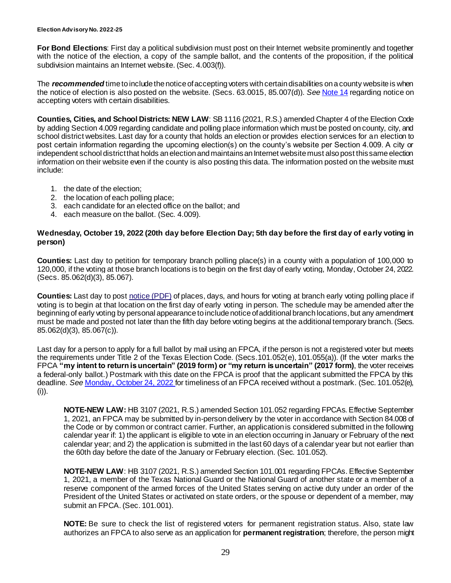**For Bond Elections**: First day a political subdivision must post on their Internet website prominently and together with the notice of the election, a copy of the sample ballot, and the contents of the proposition, if the political subdivision maintains an Internet website. (Sec. 4.003(f)).

The *recommended* time to include the notice of accepting voters with certain disabilities on a county website is when the notice of election is also posted on the website. (Secs. 63.0015, 85.007(d)). *See* [Note 14](#page-11-0) regarding notice on accepting voters with certain disabilities.

**Counties, Cities, and School Districts: NEW LAW**: SB 1116 (2021, R.S.) amended Chapter 4 of the Election Code by adding Section 4.009 regarding candidate and polling place information which must be posted on county, city, and school district websites. Last day for a county that holds an election or provides election services for an election to post certain information regarding the upcoming election(s) on the county's website per Section 4.009. A city or independent school district that holds an election and maintains an Internet website must also post this same election information on their website even if the county is also posting this data. The information posted on the website must include:

- 1. the date of the election;
- 2. the location of each polling place;
- 3. each candidate for an elected office on the ballot; and
- 4. each measure on the ballot. (Sec. 4.009).

#### **Wednesday, October 19, 2022 (20th day before Election Day; 5th day before the first day of early voting in person)**

**Counties:** Last day to petition for temporary branch polling place(s) in a county with a population of 100,000 to 120,000, if the voting at those branch locations is to begin on the first day of early voting, Monday, October 24, 2022. (Secs. 85.062(d)(3), 85.067).

**Counties:** Last day to post [notice \(PDF\)](http://www.sos.state.tx.us/elections/forms/pol-sub/5-49f.pdf) of places, days, and hours for voting at branch early voting polling place if voting is to begin at that location on the first day of early voting in person. The schedule may be amended after the beginning of early voting by personal appearance to include notice of additional branch locations, but any amendment must be made and posted not later than the fifth day before voting begins at the additional temporary branch. (Secs. 85.062(d)(3), 85.067(c)).

Last day for a person to apply for a full ballot by mail using an FPCA, if the person is not a registered voter but meets the requirements under Title 2 of the Texas Election Code. (Secs.101.052(e), 101.055(a)). (If the voter marks the FPCA **"my intent to return is uncertain" (2019 form) or "my return is uncertain" (2017 form)**, the voter receives a federal-only ballot.) Postmark with this date on the FPCA is proof that the applicant submitted the FPCA by this deadline. *See* [Monday, October 24, 2022](#page-30-0) for timeliness of an FPCA received without a postmark. (Sec. 101.052(e), (i)).

**NOTE-NEW LAW:** HB 3107 (2021, R.S.) amended Section 101.052 regarding FPCAs. Effective September 1, 2021, an FPCA may be submitted by in-person delivery by the voter in accordance with Section 84.008 of the Code or by common or contract carrier. Further, an application is considered submitted in the following calendar year if: 1) the applicant is eligible to vote in an election occurring in January or February of the next calendar year; and 2) the application is submitted in the last 60 days of a calendar year but not earlier than the 60th day before the date of the January or February election. (Sec. 101.052).

**NOTE-NEW LAW**: HB 3107 (2021, R.S.) amended Section 101.001 regarding FPCAs. Effective September 1, 2021, a member of the Texas National Guard or the National Guard of another state or a member of a reserve component of the armed forces of the United States serving on active duty under an order of the President of the United States or activated on state orders, or the spouse or dependent of a member, may submit an FPCA. (Sec. 101.001).

**NOTE:** Be sure to check the list of registered voters for permanent registration status. Also, state law authorizes an FPCA to also serve as an application for **permanent registration**; therefore, the person might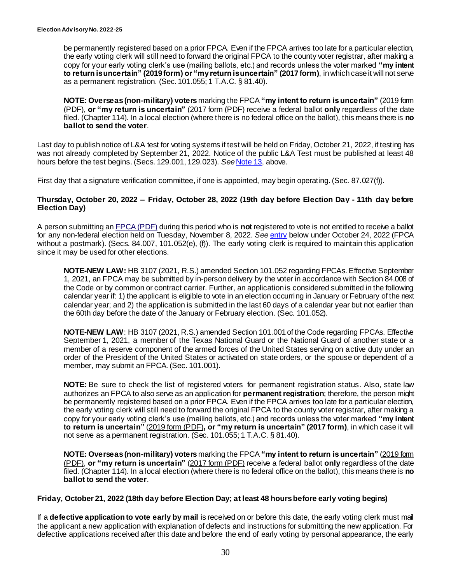be permanently registered based on a prior FPCA. Even if the FPCA arrives too late for a particular election, the early voting clerk will still need to forward the original FPCA to the county voter registrar, after making a copy for your early voting clerk's use (mailing ballots, etc.) and records unless the voter marked **"my intent to return is uncertain" (2019 form) or "my return is uncertain" (2017 form)**, in which case it will not serve as a permanent registration. (Sec. 101.055; 1 T.A.C. § 81.40).

**NOTE: Overseas (non-military) voters** marking the FPCA **"my intent to return is uncertain"** [\(2019 form](https://www.fvap.gov/uploads/FVAP/Forms/fpca2013.pdf)  [\(PDF\),](https://www.fvap.gov/uploads/FVAP/Forms/fpca2013.pdf) **or "my return is uncertain"** [\(2017 form \(PDF\)](https://www.fvap.gov/uploads/FVAP/fpca-qrg.pdf) receive a federal ballot **only** regardless of the date filed. (Chapter 114). In a local election (where there is no federal office on the ballot), this means there is **no ballot to send the voter**.

Last day to publish notice of L&A test for voting systems if test will be held on Friday, October 21, 2022, if testing has was not already completed by September 21, 2022. Notice of the public L&A Test must be published at least 48 hours before the test begins. (Secs. 129.001, 129.023). *See* [Note 13,](#page-10-1) above.

First day that a signature verification committee, if one is appointed, may begin operating. (Sec. 87.027(f)).

#### **Thursday, October 20, 2022 – Friday, October 28, 2022 (19th day before Election Day - 11th day before Election Day)**

A person submitting an [FPCA \(PDF\)](https://www.fvap.gov/uploads/FVAP/Forms/fpca.pdf) during this period who is **not** registered to vote is not entitled to receive a ballot for any non-federal election held on Tuesday, November 8, 2022. *See* [entry](#page-30-0) below under October 24, 2022 (FPCA without a postmark). (Secs. 84.007, 101.052(e), (f)). The early voting clerk is required to maintain this application since it may be used for other elections.

**NOTE-NEW LAW:** HB 3107 (2021, R.S.) amended Section 101.052 regarding FPCAs. Effective September 1, 2021, an FPCA may be submitted by in-person delivery by the voter in accordance with Section 84.008 of the Code or by common or contract carrier. Further, an application is considered submitted in the following calendar year if: 1) the applicant is eligible to vote in an election occurring in January or February of the next calendar year; and 2) the application is submitted in the last 60 days of a calendar year but not earlier than the 60th day before the date of the January or February election. (Sec. 101.052).

**NOTE-NEW LAW: HB 3107 (2021, R.S.) amended Section 101.001 of the Code regarding FPCAs. Effective** September 1, 2021, a member of the Texas National Guard or the National Guard of another state or a member of a reserve component of the armed forces of the United States serving on active duty under an order of the President of the United States or activated on state orders, or the spouse or dependent of a member, may submit an FPCA. (Sec. 101.001).

**NOTE:** Be sure to check the list of registered voters for permanent registration status . Also, state law authorizes an FPCA to also serve as an application for **permanent registration**; therefore, the person might be permanently registered based on a prior FPCA. Even if the FPCA arrives too late for a particular election, the early voting clerk will still need to forward the original FPCA to the county voter registrar, after making a copy for your early voting clerk's use (mailing ballots, etc.) and records unless the voter marked **"my intent to return is uncertain"** [\(2019 form \(PDF\)](https://www.fvap.gov/uploads/FVAP/Forms/fpca2013.pdf)**, or "my return is uncertain" (2017 form)**, in which case it will not serve as a permanent registration. (Sec. 101.055; 1 T.A.C. § 81.40).

**NOTE: Overseas (non-military) voters** marking the FPCA **"my intent to return is uncertain"** [\(2019 form](https://www.fvap.gov/uploads/FVAP/Forms/fpca2013.pdf)  [\(PDF\),](https://www.fvap.gov/uploads/FVAP/Forms/fpca2013.pdf) **or "my return is uncertain"** [\(2017 form \(PDF\)](https://www.fvap.gov/uploads/FVAP/fpca-qrg.pdf) receive a federal ballot **only** regardless of the date filed. (Chapter 114). In a local election (where there is no federal office on the ballot), this means there is **no ballot to send the voter**.

#### **Friday, October 21, 2022 (18th day before Election Day; at least 48 hours before early voting begins)**

If a **defective application to vote early by mail** is received on or before this date, the early voting clerk must mail the applicant a new application with explanation of defects and instructions for submitting the new application. For defective applications received after this date and before the end of early voting by personal appearance, the early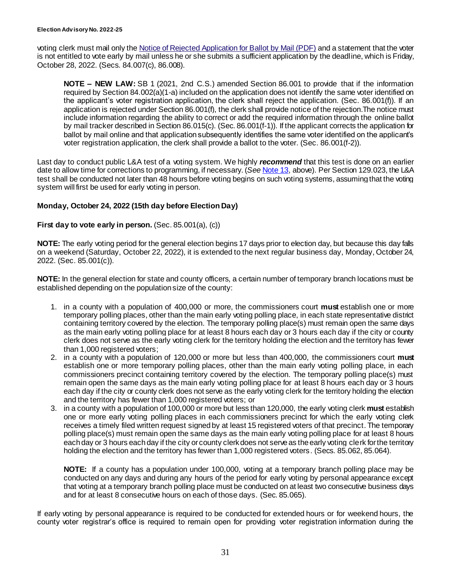voting clerk must mail only the Notice of Rejected [Application for Ballot by Mail \(PDF\)](http://www.sos.state.tx.us/elections/forms/pol-sub/5-16f.pdf) and a statement that the voter is not entitled to vote early by mail unless he or she submits a sufficient application by the deadline, which is Friday, October 28, 2022. (Secs. 84.007(c), 86.008).

**NOTE – NEW LAW:** SB 1 (2021, 2nd C.S.) amended Section 86.001 to provide that if the information required by Section 84.002(a)(1-a) included on the application does not identify the same voter identified on the applicant's voter registration application, the clerk shall reject the application. (Sec. 86.001(f)). If an application is rejected under Section 86.001(f), the clerk shall provide notice of the rejection. The notice must include information regarding the ability to correct or add the required information through the online ballot by mail tracker described in Section 86.015(c). (Sec. 86.001(f-1)). If the applicant corrects the application for ballot by mail online and that application subsequently identifies the same voter identified on the applicant's voter registration application, the clerk shall provide a ballot to the voter. (Sec. 86.001(f-2)).

Last day to conduct public L&A test of a voting system. We highly *recommend* that this test is done on an earlier date to allow time for corrections to programming, if necessary. (*See* [Note 13](#page-10-1), above). Per Section 129.023, the L&A test shall be conducted not later than 48 hours before voting begins on such voting systems, assuming that the voting system will first be used for early voting in person.

#### <span id="page-30-0"></span>**Monday, October 24, 2022 (15th day before Election Day)**

#### **First day to vote early in person.** (Sec. 85.001(a), (c))

**NOTE:** The early voting period for the general election begins 17 days prior to election day, but because this day falls on a weekend (Saturday, October 22, 2022), it is extended to the next regular business day, Monday, October 24, 2022. (Sec. 85.001(c)).

**NOTE:** In the general election for state and county officers, a certain number of temporary branch locations must be established depending on the population size of the county:

- 1. in a county with a population of 400,000 or more, the commissioners court **must** establish one or more temporary polling places, other than the main early voting polling place, in each state representative district containing territory covered by the election. The temporary polling place(s) must remain open the same days as the main early voting polling place for at least 8 hours each day or 3 hours each day if the city or county clerk does not serve as the early voting clerk for the territory holding the election and the territory has fewer than 1,000 registered voters;
- 2. in a county with a population of 120,000 or more but less than 400,000, the commissioners court **must** establish one or more temporary polling places, other than the main early voting polling place, in each commissioners precinct containing territory covered by the election. The temporary polling place(s) must remain open the same days as the main early voting polling place for at least 8 hours each day or 3 hours each day if the city or county clerk does not serve as the early voting clerk for the territory holding the election and the territory has fewer than 1,000 registered voters; or
- 3. in a county with a population of 100,000 or more but less than 120,000, the early voting clerk **must** establish one or more early voting polling places in each commissioners precinct for which the early voting clerk receives a timely filed written request signed by at least 15 registered voters of that precinct. The temporary polling place(s) must remain open the same days as the main early voting polling place for at least 8 hours each day or 3 hours each day if the city or county clerk does not serve as the early voting clerk for the territory holding the election and the territory has fewer than 1,000 registered voters. (Secs. 85,062, 85,064).

**NOTE:** If a county has a population under 100,000, voting at a temporary branch polling place may be conducted on any days and during any hours of the period for early voting by personal appearance except that voting at a temporary branch polling place must be conducted on at least two consecutive business days and for at least 8 consecutive hours on each of those days. (Sec. 85.065).

If early voting by personal appearance is required to be conducted for extended hours or for weekend hours, the county voter registrar's office is required to remain open for providing voter registration information during the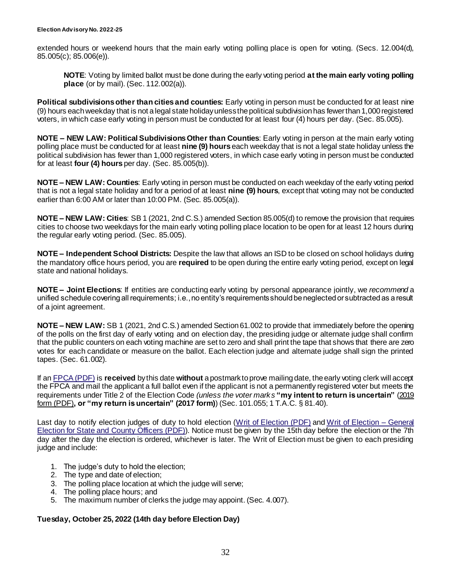extended hours or weekend hours that the main early voting polling place is open for voting. (Secs. 12.004(d), 85.005(c); 85.006(e)).

**NOTE**: Voting by limited ballot must be done during the early voting period **at the main early voting polling place** (or by mail). (Sec. 112.002(a)).

**Political subdivisions other than cities and counties:** Early voting in person must be conducted for at least nine (9) hours each weekday that is not a legal state holiday unless the political subdivision has fewer than 1,000 registered voters, in which case early voting in person must be conducted for at least four (4) hours per day. (Sec. 85.005).

**NOTE – NEW LAW: Political Subdivisions Other than Counties**: Early voting in person at the main early voting polling place must be conducted for at least **nine (9) hours** each weekday that is not a legal state holiday unless the political subdivision has fewer than 1,000 registered voters, in which case early voting in person must be conducted for at least **four (4) hours** per day. (Sec. 85.005(b)).

**NOTE – NEW LAW: Counties**: Early voting in person must be conducted on each weekday of the early voting period that is not a legal state holiday and for a period of at least **nine (9) hours**, except that voting may not be conducted earlier than 6:00 AM or later than 10:00 PM. (Sec. 85.005(a)).

**NOTE – NEW LAW: Cities**: SB 1 (2021, 2nd C.S.) amended Section 85.005(d) to remove the provision that requires cities to choose two weekdays for the main early voting polling place location to be open for at least 12 hours during the regular early voting period. (Sec. 85.005).

**NOTE – Independent School Districts:** Despite the law that allows an ISD to be closed on school holidays during the mandatory office hours period, you are **required** to be open during the entire early voting period, except on legal state and national holidays.

**NOTE – Joint Elections**: If entities are conducting early voting by personal appearance jointly, we *recommend* a unified schedule covering all requirements; i.e., no entity's requirements should be neglected or subtracted as a result of a joint agreement.

**NOTE – NEW LAW:** SB 1 (2021, 2nd C.S.) amended Section 61.002 to provide that immediately before the opening of the polls on the first day of early voting and on election day, the presiding judge or alternate judge shall confirm that the public counters on each voting machine are set to zero and shall print the tape that shows that there are zero votes for each candidate or measure on the ballot. Each election judge and alternate judge shall sign the printed tapes. (Sec. 61.002).

If an [FPCA \(PDF\)](http://www.fvap.gov/uploads/FVAP/Forms/fpca2013.pdf) is **received** by this date **without** a postmark to prove mailing date, the early voting clerk will accept the FPCA and mail the applicant a full ballot even if the applicant is not a permanently registered voter but meets the requirements under Title 2 of the Election Code *(unless the voter marks* **"my intent to return is uncertain"** [\(2019](https://www.fvap.gov/uploads/FVAP/Forms/fpca2013.pdf)  [form \(PDF\)](https://www.fvap.gov/uploads/FVAP/Forms/fpca2013.pdf)**, or "my return is uncertain" (2017 form)**) (Sec. 101.055; 1 T.A.C. § 81.40).

Last day to notify election judges of duty to hold election [\(Writ of Election \(PDF\)](http://www.sos.state.tx.us/elections/forms/pol-sub/4-12f.pdf) and [Writ of Election –](http://www.sos.state.tx.us/elections/forms/pol-sub/4-13f.pdf) General [Election for State and County Officers \(PDF\)\)](http://www.sos.state.tx.us/elections/forms/pol-sub/4-13f.pdf). Notice must be given by the 15th day before the election or the 7th day after the day the election is ordered, whichever is later. The Writ of Election must be given to each presiding judge and include:

- 1. The judge's duty to hold the election;
- 2. The type and date of election;
- 3. The polling place location at which the judge will serve;
- 4. The polling place hours; and
- <span id="page-31-0"></span>5. The maximum number of clerks the judge may appoint. (Sec. 4.007).

#### **Tuesday, October 25, 2022 (14th day before Election Day)**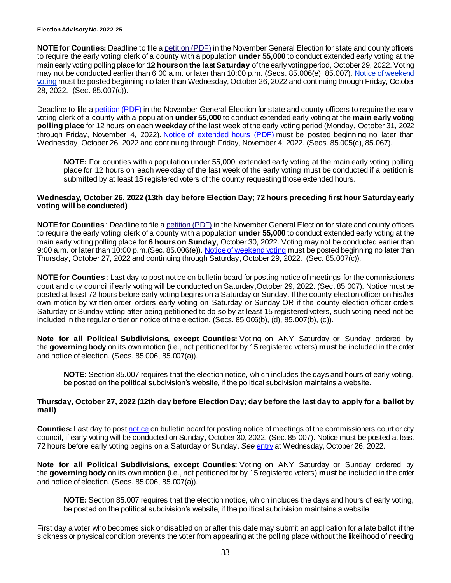**NOTE for Counties:** Deadline to file a [petition \(PDF\)](http://www.sos.state.tx.us/elections/forms/pol-sub/5-45f.pdf) in the November General Election for state and county officers to require the early voting clerk of a county with a population **under 55,000** to conduct extended early voting at the main early voting polling place for **12 hours on the last Saturday** of the early voting period, October 29, 2022. Voting may not be conducted earlier than 6:00 a.m. or later than 10:00 p.m. (Secs. 85.006(e), 85.007). Notice of weekend [voting](http://www.sos.state.tx.us/elections/forms/pol-sub/5-48f.pdf) must be posted beginning no later than Wednesday, October 26, 2022 and continuing through Friday, October 28, 2022. (Sec. 85.007(c)).

Deadline to file a [petition \(PDF\)](http://www.sos.state.tx.us/elections/forms/pol-sub/5-50f.pdf) in the November General Election for state and county officers to require the early voting clerk of a county with a population **under 55,000** to conduct extended early voting at the **main early voting polling place** for 12 hours on each **weekday** of the last week of the early voting period (Monday, October 31, 2022 through Friday, November 4, 2022). [Notice of extended hours \(PDF\)](http://www.sos.state.tx.us/elections/forms/pol-sub/5-51f.pdf) must be posted beginning no later than Wednesday, October 26, 2022 and continuing through Friday, November 4, 2022. (Secs. 85.005(c), 85.067).

<span id="page-32-1"></span>**NOTE:** For counties with a population under 55,000, extended early voting at the main early voting polling place for 12 hours on each weekday of the last week of the early voting must be conducted if a petition is submitted by at least 15 registered voters of the county requesting those extended hours.

#### **Wednesday, October 26, 2022 (13th day before Election Day; 72 hours preceding first hour Saturday early voting will be conducted)**

**NOTE for Counties** : Deadline to file a [petition \(PDF\)](http://www.sos.state.tx.us/elections/forms/pol-sub/5-45f.pdf) in the November General Election for state and county officers to require the early voting clerk of a county with a population **under 55,000** to conduct extended early voting at the main early voting polling place for **6 hours on Sunday**, October 30, 2022. Voting may not be conducted earlier than 9:00 a.m. or later than 10:00 p.m.(Sec. 85.006(e)). [Notice of weekend voting](http://www.sos.state.tx.us/elections/forms/pol-sub/5-48f.pdf) must be posted beginning no later than Thursday, October 27, 2022 and continuing through Saturday, October 29, 2022. (Sec. 85.007(c)).

**NOTE for Counties** : Last day to post notice on bulletin board for posting notice of meetings for the commissioners court and city council if early voting will be conducted on Saturday,October 29, 2022. (Sec. 85.007). Notice must be posted at least 72 hours before early voting begins on a Saturday or Sunday. If the county election officer on his/her own motion by written order orders early voting on Saturday or Sunday OR if the county election officer orders Saturday or Sunday voting after being petitioned to do so by at least 15 registered voters, such voting need not be included in the regular order or notice of the election. (Secs. 85.006(b), (d), 85.007(b), (c)).

**Note for all Political Subdivisions, except Counties:** Voting on ANY Saturday or Sunday ordered by the **governing body** on its own motion (i.e., not petitioned for by 15 registered voters) **must** be included in the order and notice of election. (Secs. 85.006, 85.007(a)).

<span id="page-32-0"></span>**NOTE:** Section 85.007 requires that the election notice, which includes the days and hours of early voting, be posted on the political subdivision's website, if the political subdivision maintains a website.

#### **Thursday, October 27, 2022 (12th day before Election Day; day before the last day to apply for a ballot by mail)**

**Counties:** Last day to pos[t notice](https://www.sos.texas.gov/elections/forms/pol-sub/5-48f.pdf) on bulletin board for posting notice of meetings of the commissioners court or city council, if early voting will be conducted on Sunday, October 30, 2022. (Sec. 85.007). Notice must be posted at least 72 hours before early voting begins on a Saturday or Sunday. *See* [entry](#page-32-1) at Wednesday, October 26, 2022.

**Note for all Political Subdivisions, except Counties:** Voting on ANY Saturday or Sunday ordered by the **governing body** on its own motion (i.e., not petitioned for by 15 registered voters) **must** be included in the order and notice of election. (Secs. 85.006, 85.007(a)).

**NOTE:** Section 85.007 requires that the election notice, which includes the days and hours of early voting, be posted on the political subdivision's website, if the political subdivision maintains a website.

First day a voter who becomes sick or disabled on or after this date may submit an application for a late ballot if the sickness or physical condition prevents the voter from appearing at the polling place without the likelihood of needing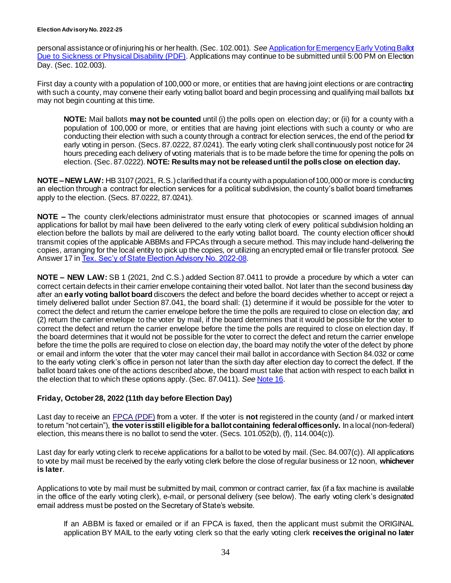personal assistance or of injuring his or her health. (Sec. 102.001). *See* [Application for Emergency Early Voting Ballot](https://www.sos.texas.gov/elections/forms/pol-sub/5-25f.pdf)  [Due to Sickness or Physical Disability \(PDF\)](https://www.sos.texas.gov/elections/forms/pol-sub/5-25f.pdf). Applications may continue to be submitted until 5:00 PM on Election Day. (Sec. 102.003).

First day a county with a population of 100,000 or more, or entities that are having joint elections or are contracting with such a county, may convene their early voting ballot board and begin processing and qualifying mail ballots but may not begin counting at this time.

**NOTE:** Mail ballots **may not be counted** until (i) the polls open on election day; or (ii) for a county with a population of 100,000 or more, or entities that are having joint elections with such a county or who are conducting their election with such a county through a contract for election services, the end of the period for early voting in person. (Secs. 87.0222, 87.0241). The early voting clerk shall continuously post notice for 24 hours preceding each delivery of voting materials that is to be made before the time for opening the polls on election. (Sec. 87.0222). **NOTE: Results may not be released until the polls close on election day.**

**NOTE –NEW LAW:** HB 3107 (2021, R.S.) clarified that if a county with a population of 100,000 or more is conducting an election through a contract for election services for a political subdivision, the county's ballot board timeframes apply to the election. (Secs. 87.0222, 87.0241).

**NOTE –** The county clerk/elections administrator must ensure that photocopies or scanned images of annual applications for ballot by mail have been delivered to the early voting clerk of every political subdivision holding an election before the ballots by mail are delivered to the early voting ballot board. The county election officer should transmit copies of the applicable ABBMs and FPCAs through a secure method. This may include hand-delivering the copies, arranging for the local entity to pick up the copies, or utilizing an encrypted email or file transfer protocol. *See*  Answer 17 i[n Tex. Sec'y of State Election Advisory No. 2022-08](https://www.sos.texas.gov/elections/laws/advisory2022-08.shtml).

**NOTE – NEW LAW:** SB 1 (2021, 2nd C.S.) added Section 87.0411 to provide a procedure by which a voter can correct certain defects in their carrier envelope containing their voted ballot. Not later than the second business day after an **early voting ballot board** discovers the defect and before the board decides whether to accept or reject a timely delivered ballot under Section 87.041, the board shall: (1) determine if it would be possible for the voter to correct the defect and return the carrier envelope before the time the polls are required to close on election day; and (2) return the carrier envelope to the voter by mail, if the board determines that it would be possible for the voter to correct the defect and return the carrier envelope before the time the polls are required to close on election day. If the board determines that it would not be possible for the voter to correct the defect and return the carrier envelope before the time the polls are required to close on election day, the board may notify the voter of the defect by phone or email and inform the voter that the voter may cancel their mail ballot in accordance with Section 84.032 or come to the early voting clerk's office in person not later than the sixth day after election day to correct the defect. If the ballot board takes one of the actions described above, the board must take that action with respect to each ballot in the election that to which these options apply. (Sec. 87.0411). *See* [Note 16](#page-12-0).

#### <span id="page-33-0"></span>**Friday, October 28, 2022 (11th day before Election Day)**

Last day to receive an [FPCA \(PDF\)](https://www.fvap.gov/uploads/FVAP/Forms/fpca.pdf) from a voter. If the voter is **not** registered in the county (and / or marked intent to return "not certain"), **the voter is still eligible for a ballot containing federal offices only.** In a local (non-federal) election, this means there is no ballot to send the voter. (Secs. 101.052(b), (f), 114.004(c)).

Last day for early voting clerk to receive applications for a ballot to be voted by mail. (Sec. 84.007(c)). All applications to vote by mail must be received by the early voting clerk before the close of regular business or 12 noon, **whichever is later**.

Applications to vote by mail must be submitted by mail, common or contract carrier, fax (if a fax machine is available in the office of the early voting clerk), e-mail, or personal delivery (see below). The early voting clerk's designated email address must be posted on the Secretary of State's website.

If an ABBM is faxed or emailed or if an FPCA is faxed, then the applicant must submit the ORIGINAL application BY MAIL to the early voting clerk so that the early voting clerk **receives the original no later**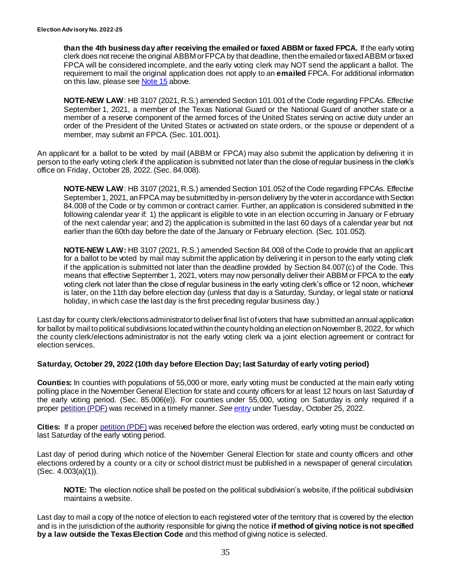**than the 4th business day after receiving the emailed or faxed ABBM or faxed FPCA.** If the early voting clerk does not receive the original ABBM or FPCA by that deadline, then the emailed or faxed ABBM or faxed FPCA will be considered incomplete, and the early voting clerk may NOT send the applicant a ballot. The requirement to mail the original application does not apply to an **emailed** FPCA. For additional information on this law, please se[e Note 15](#page-11-1) above.

**NOTE-NEW LAW: HB 3107 (2021, R.S.) amended Section 101.001 of the Code regarding FPCAs. Effective** September 1, 2021, a member of the Texas National Guard or the National Guard of another state or a member of a reserve component of the armed forces of the United States serving on active duty under an order of the President of the United States or activated on state orders, or the spouse or dependent of a member, may submit an FPCA. (Sec. 101.001).

An applicant for a ballot to be voted by mail (ABBM or FPCA) may also submit the application by delivering it in person to the early voting clerk if the application is submitted not later than the close of regular business in the clerk's office on Friday, October 28, 2022. (Sec. 84.008).

**NOTE-NEW LAW**: HB 3107 (2021, R.S.) amended Section 101.052 of the Code regarding FPCAs. Effective September 1, 2021, an FPCA may be submitted by in-person delivery by the voter in accordance with Section 84.008 of the Code or by common or contract carrier. Further, an application is considered submitted in the following calendar year if: 1) the applicant is eligible to vote in an election occurring in January or February of the next calendar year; and 2) the application is submitted in the last 60 days of a calendar year but not earlier than the 60th day before the date of the January or February election. (Sec. 101.052).

**NOTE-NEW LAW:** HB 3107 (2021, R.S.) amended Section 84.008 of the Code to provide that an applicant for a ballot to be voted by mail may submit the application by delivering it in person to the early voting clerk if the application is submitted not later than the deadline provided by Section 84.007(c) of the Code. This means that effective September 1, 2021, voters may now personally deliver their ABBM or FPCA to the early voting clerk not later than the close of regular business in the early voting clerk's office or 12 noon, whichever is later, on the 11th day before election day (unless that day is a Saturday, Sunday, or legal state or national holiday, in which case the last day is the first preceding regular business day.)

Last day for county clerk/elections administrator to deliver final list of voters that have submitted an annual application for ballot by mail to political subdivisions located within the county holding an election on November 8, 2022, for which the county clerk/elections administrator is not the early voting clerk via a joint election agreement or contract for election services.

#### **Saturday, October 29, 2022 (10th day before Election Day; last Saturday of early voting period)**

**Counties:** In counties with populations of 55,000 or more, early voting must be conducted at the main early voting polling place in the November General Election for state and county officers for at least 12 hours on last Saturday of the early voting period. (Sec. 85.006(e)). For counties under 55,000, voting on Saturday is only required if a proper [petition \(PDF\)](http://www.sos.state.tx.us/elections/forms/pol-sub/5-45f.pdf) was received in a timely manner. *See* [entry](#page-31-0) under Tuesday, October 25, 2022.

**Cities:** If a proper [petition \(PDF\)](http://www.sos.state.tx.us/elections/forms/pol-sub/5-45f.pdf) was received before the election was ordered, early voting must be conducted on last Saturday of the early voting period.

Last day of period during which notice of the November General Election for state and county officers and other elections ordered by a county or a city or school district must be published in a newspaper of general circulation. (Sec. 4.003(a)(1)).

**NOTE:** The election notice shall be posted on the political subdivision's website, if the political subdivision maintains a website.

Last day to mail a copy of the notice of election to each registered voter of the territory that is covered by the election and is in the jurisdiction of the authority responsible for giving the notice **if method of giving notice is not specified by a law outside the Texas Election Code** and this method of giving notice is selected.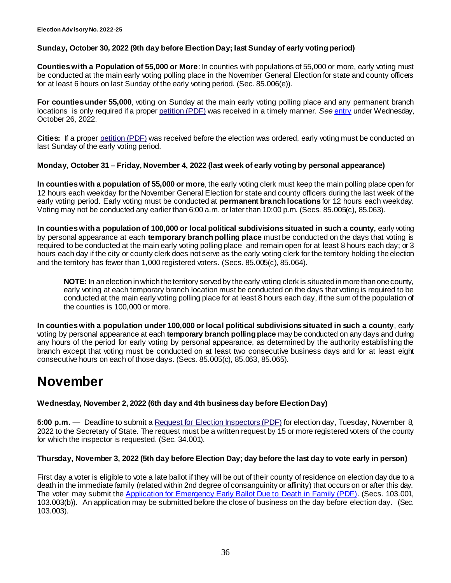#### **Sunday, October 30, 2022 (9th day before Election Day; last Sunday of early voting period)**

**Counties with a Population of 55,000 or More**: In counties with populations of 55,000 or more, early voting must be conducted at the main early voting polling place in the November General Election for state and county officers for at least 6 hours on last Sunday of the early voting period. (Sec. 85.006(e)).

**For counties under 55,000**, voting on Sunday at the main early voting polling place and any permanent branch locations is only required if a proper [petition \(PDF\)](http://www.sos.state.tx.us/elections/forms/pol-sub/5-45f.pdf) was received in a timely manner. *See* [entry](#page-32-1) under Wednesday, October 26, 2022.

**Cities:** If a proper [petition \(PDF\)](http://www.sos.state.tx.us/elections/forms/pol-sub/5-45f.pdf) was received before the election was ordered, early voting must be conducted on last Sunday of the early voting period.

#### **Monday, October 31 – Friday, November 4, 2022 (last week of early voting by personal appearance)**

**In counties with a population of 55,000 or more**, the early voting clerk must keep the main polling place open for 12 hours each weekday for the November General Election for state and county officers during the last week of the early voting period. Early voting must be conducted at **permanent branch locations** for 12 hours each weekday. Voting may not be conducted any earlier than 6:00 a.m. or later than 10:00 p.m. (Secs. 85.005(c), 85.063).

**In counties with a population of 100,000 or local political subdivisions situated in such a county,** early voting by personal appearance at each **temporary branch polling place** must be conducted on the days that voting is required to be conducted at the main early voting polling place and remain open for at least 8 hours each day; or 3 hours each day if the city or county clerk does not serve as the early voting clerk for the territory holding the election and the territory has fewer than 1,000 registered voters. (Secs. 85.005(c), 85.064).

**NOTE:** In an election in which the territory served by the early voting clerk is situated in more than one county, early voting at each temporary branch location must be conducted on the days that voting is required to be conducted at the main early voting polling place for at least 8 hours each day, if the sum of the population of the counties is 100,000 or more.

**In counties with a population under 100,000 or local political subdivisions situated in such a county**, early voting by personal appearance at each **temporary branch polling place** may be conducted on any days and during any hours of the period for early voting by personal appearance, as determined by the authority establishing the branch except that voting must be conducted on at least two consecutive business days and for at least eight consecutive hours on each of those days. (Secs. 85.005(c), 85.063, 85.065).

# **November**

**Wednesday, November 2, 2022 (6th day and 4th business day before Election Day)**

**5:00 p.m.** — Deadline to submit a [Request for Election Inspectors \(PDF\)](http://www.sos.state.tx.us/elections/forms/pol-sub/4-19f.pdf) for election day, Tuesday, November 8, 2022 to the Secretary of State. The request must be a written request by 15 or more registered voters of the county for which the inspector is requested. (Sec. 34.001).

#### **Thursday, November 3, 2022 (5th day before Election Day; day before the last day to vote early in person)**

First day a voter is eligible to vote a late ballot if they will be out of their county of residence on election day due to a death in the immediate family (related within 2nd degree of consanguinity or affinity) that occurs on or after this day. The voter may submit the [Application for Emergency Early Ballot Due to Death in Family \(PDF\).](https://www.sos.texas.gov/elections/forms/pol-sub/5-16nf.pdf) (Secs. 103.001, 103.003(b)). An application may be submitted before the close of business on the day before election day. (Sec. 103.003).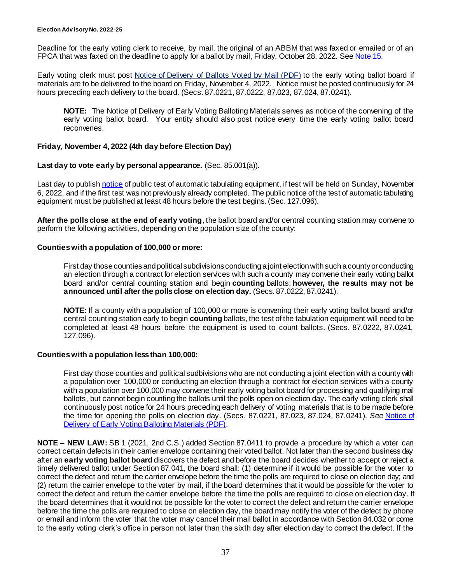Deadline for the early voting clerk to receive, by mail, the original of an ABBM that was faxed or emailed or of an FPCA that was faxed on the deadline to apply for a ballot by mail, Friday, October 28, 2022. Se[e Note 15.](#page-11-1)

Early voting clerk must post [Notice of Delivery of Ballots Voted by Mail \(PDF\)](http://www.sos.state.tx.us/elections/forms/pol-sub/6-6f.pdf) to the early voting ballot board if materials are to be delivered to the board on Friday, November 4, 2022. Notice must be posted continuously for 24 hours preceding each delivery to the board. (Secs. 87.0221, 87.0222, 87.023, 87.024, 87.0241).

**NOTE:** The Notice of Delivery of Early Voting Balloting Materials serves as notice of the convening of the early voting ballot board. Your entity should also post notice every time the early voting ballot board reconvenes.

#### **Friday, November 4, 2022 (4th day before Election Day)**

#### Last day to vote early by personal appearance. (Sec. 85.001(a)).

Last day to publis[h notice](http://www.sos.state.tx.us/elections/forms/pol-sub/6-1f.pdf) of public test of automatic tabulating equipment, if test will be held on Sunday, November 6, 2022, and if the first test was not previously already completed. The public notice of the test of automatic tabulating equipment must be published at least 48 hours before the test begins. (Sec. 127.096).

**After the polls close at the end of early voting**, the ballot board and/or central counting station may convene to perform the following activities, depending on the population size of the county:

#### **Counties with a population of 100,000 or more:**

First day those counties and political subdivisions conducting a joint election with such a county or conducting an election through a contract for election services with such a county may convene their early voting ballot board and/or central counting station and begin **counting** ballots; **however, the results may not be announced until after the polls close on election day.** (Secs. 87.0222, 87.0241).

**NOTE:** If a county with a population of 100,000 or more is convening their early voting ballot board and/or central counting station early to begin **counting** ballots, the test of the tabulation equipment will need to be completed at least 48 hours before the equipment is used to count ballots. (Secs. 87.0222, 87.0241, 127.096).

#### **Counties with a population less than 100,000:**

First day those counties and political sudbivisions who are not conducting a joint election with a county with a population over 100,000 or conducting an election through a contract for election services with a county with a population over 100,000 may convene their early voting ballot board for processing and qualifying mail ballots, but cannot begin counting the ballots until the polls open on election day. The early voting clerk shall continuously post notice for 24 hours preceding each delivery of voting materials that is to be made before the time for opening the polls on election day. (Secs. 87.0221, 87.023, 87.024, 87.0241). *See* [Notice of](https://www.sos.texas.gov/elections/forms/pol-sub/6-7f.pdf)  [Delivery of Early Voting Balloting Materials \(PDF\)](https://www.sos.texas.gov/elections/forms/pol-sub/6-7f.pdf).

**NOTE – NEW LAW:** SB 1 (2021, 2nd C.S.) added Section 87.0411 to provide a procedure by which a voter can correct certain defects in their carrier envelope containing their voted ballot. Not later than the second business day after an **early voting ballot board** discovers the defect and before the board decides whether to accept or reject a timely delivered ballot under Section 87.041, the board shall: (1) determine if it would be possible for the voter to correct the defect and return the carrier envelope before the time the polls are required to close on election day; and (2) return the carrier envelope to the voter by mail, if the board determines that it would be possible for the voter to correct the defect and return the carrier envelope before the time the polls are required to close on election day. If the board determines that it would not be possible for the voter to correct the defect and return the carrier envelope before the time the polls are required to close on election day, the board may notify the voter of the defect by phone or email and inform the voter that the voter may cancel their mail ballot in accordance with Section 84.032 or come to the early voting clerk's office in person not later than the sixth day after election day to correct the defect. If the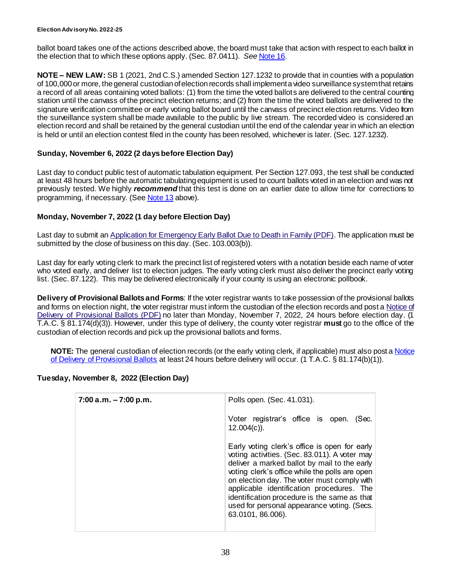ballot board takes one of the actions described above, the board must take that action with respect to each ballot in the election that to which these options apply. (Sec. 87.0411). *See* [Note 16.](#page-12-0)

**NOTE – NEW LAW:** SB 1 (2021, 2nd C.S.) amended Section 127.1232 to provide that in counties with a population of 100,000 or more, the general custodian of election records shall implement a video surveillance system that retains a record of all areas containing voted ballots: (1) from the time the voted ballots are delivered to the central counting station until the canvass of the precinct election returns; and (2) from the time the voted ballots are delivered to the signature verification committee or early voting ballot board until the canvass of precinct election returns. Video from the surveillance system shall be made available to the public by live stream. The recorded video is considered an election record and shall be retained by the general custodian until the end of the calendar year in which an election is held or until an election contest filed in the county has been resolved, whichever is later. (Sec. 127.1232).

#### **Sunday, November 6, 2022 (2 days before Election Day)**

Last day to conduct public test of automatic tabulation equipment. Per Section 127.093, the test shall be conducted at least 48 hours before the automatic tabulating equipment is used to count ballots voted in an election and was not previously tested. We highly *recommend* that this test is done on an earlier date to allow time for corrections to programming, if necessary. (See [Note 13](#page-10-0) above).

#### **Monday, November 7, 2022 (1 day before Election Day)**

Last day to submit an Application for [Emergency Early Ballot Due to Death in Family \(PDF\)](https://www.sos.texas.gov/elections/forms/pol-sub/5-16nf.pdf). The application must be submitted by the close of business on this day. (Sec. 103.003(b)).

Last day for early voting clerk to mark the precinct list of registered voters with a notation beside each name of voter who voted early, and deliver list to election judges. The early voting clerk must also deliver the precinct early voting list. (Sec. 87.122). This may be delivered electronically if your county is using an electronic pollbook.

**Delivery of Provisional Ballots and Forms**: If the voter registrar wants to take possession of the provisional ballots and forms on election night, the voter registrar must inform the custodian of the election records and post a [Notice of](http://www.sos.state.tx.us/elections/forms/pol-sub/8-19af.pdf)  [Delivery of Provisional Ballots](http://www.sos.state.tx.us/elections/forms/pol-sub/8-19af.pdf) (PDF) no later than Monday, November 7, 2022, 24 hours before election day. (1 T.A.C. § 81.174(d)(3)). However, under this type of delivery, the county voter registrar **must** go to the office of the custodian of election records and pick up the provisional ballots and forms.

**NOTE:** The general custodian of election records (or the early voting clerk, if applicable) must also post [a Notice](http://www.sos.state.tx.us/elections/forms/pol-sub/8-19af.pdf)  [of Delivery of Provisional Ballots](http://www.sos.state.tx.us/elections/forms/pol-sub/8-19af.pdf) at least 24 hours before delivery will occur. (1 T.A.C. § 81.174(b)(1)).

#### **Tuesday, November 8, 2022 (Election Day)**

| $7:00$ a.m. $-7:00$ p.m. | Polls open. (Sec. 41.031).                                                                                                                                                                                                                                                                                                                                                                                       |
|--------------------------|------------------------------------------------------------------------------------------------------------------------------------------------------------------------------------------------------------------------------------------------------------------------------------------------------------------------------------------------------------------------------------------------------------------|
|                          | Voter registrar's office is open.<br>(Sec.<br>$12.004(c)$ ).                                                                                                                                                                                                                                                                                                                                                     |
|                          | Early voting clerk's office is open for early<br>voting activities. (Sec. 83.011). A voter may<br>deliver a marked ballot by mail to the early<br>voting clerk's office while the polls are open<br>on election day. The voter must comply with<br>applicable identification procedures. The<br>identification procedure is the same as that<br>used for personal appearance voting. (Secs.<br>63.0101, 86.006). |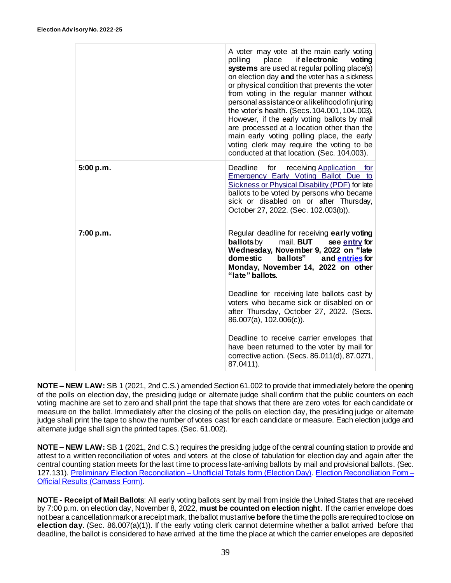|           | A voter may vote at the main early voting<br>place<br>if electronic<br>polling<br>voting<br>systems are used at regular polling place(s)<br>on election day and the voter has a sickness<br>or physical condition that prevents the voter<br>from voting in the regular manner without<br>personal assistance or a likelihood of injuring<br>the voter's health. (Secs. 104.001, 104.003).<br>However, if the early voting ballots by mail<br>are processed at a location other than the<br>main early voting polling place, the early<br>voting clerk may require the voting to be<br>conducted at that location. (Sec. 104.003). |
|-----------|------------------------------------------------------------------------------------------------------------------------------------------------------------------------------------------------------------------------------------------------------------------------------------------------------------------------------------------------------------------------------------------------------------------------------------------------------------------------------------------------------------------------------------------------------------------------------------------------------------------------------------|
| 5:00 p.m. | Deadline<br>for<br>receiving Application for<br><b>Emergency Early Voting Ballot Due to</b><br><b>Sickness or Physical Disability (PDF) for late</b><br>ballots to be voted by persons who became<br>sick or disabled on or after Thursday,<br>October 27, 2022. (Sec. 102.003(b)).                                                                                                                                                                                                                                                                                                                                                |
| 7:00 p.m. | Regular deadline for receiving early voting<br><b>ballots</b> by<br>mail. <b>BUT</b><br>see entry for<br>Wednesday, November 9, 2022 on "late<br>ballots" and entries for<br>domestic<br>Monday, November 14, 2022 on other<br>"late" ballots.                                                                                                                                                                                                                                                                                                                                                                                     |
|           | Deadline for receiving late ballots cast by<br>voters who became sick or disabled on or<br>after Thursday, October 27, 2022. (Secs.<br>86.007(a), 102.006(c)).                                                                                                                                                                                                                                                                                                                                                                                                                                                                     |
|           | Deadline to receive carrier envelopes that<br>have been returned to the voter by mail for<br>corrective action. (Secs. 86.011(d), 87.0271,<br>87.0411).                                                                                                                                                                                                                                                                                                                                                                                                                                                                            |

**NOTE – NEW LAW:** SB 1 (2021, 2nd C.S.) amended Section 61.002 to provide that immediately before the opening of the polls on election day, the presiding judge or alternate judge shall confirm that the public counters on each voting machine are set to zero and shall print the tape that shows that there are zero votes for each candidate or measure on the ballot. Immediately after the closing of the polls on election day, the presiding judge or alternate judge shall print the tape to show the number of votes cast for each candidate or measure. Each election judge and alternate judge shall sign the printed tapes. (Sec. 61.002).

**NOTE – NEW LAW:** SB 1 (2021, 2nd C.S.) requires the presiding judge of the central counting station to provide and attest to a written reconciliation of votes and voters at the close of tabulation for election day and again after the central counting station meets for the last time to process late-arriving ballots by mail and provisional ballots. (Sec. 127.131). [Preliminary Election Reconciliation –](https://www.sos.texas.gov/elections/forms/pol-sub/9-12f.pdf) Unofficial Totals form (Election Day)[. Election Reconciliation Form –](https://www.sos.texas.gov/elections/forms/pol-sub/9-13f.pdf) [Official Results \(Canvass Form\).](https://www.sos.texas.gov/elections/forms/pol-sub/9-13f.pdf)

**NOTE - Receipt of Mail Ballots**: All early voting ballots sent by mail from inside the United States that are received by 7:00 p.m. on election day, November 8, 2022, **must be counted on election night**. If the carrier envelope does not bear a cancellation mark or a receipt mark, the ballot must arrive **before** the time the polls are required to close **on election day**. (Sec. 86.007(a)(1)). If the early voting clerk cannot determine whether a ballot arrived before that deadline, the ballot is considered to have arrived at the time the place at which the carrier envelopes are deposited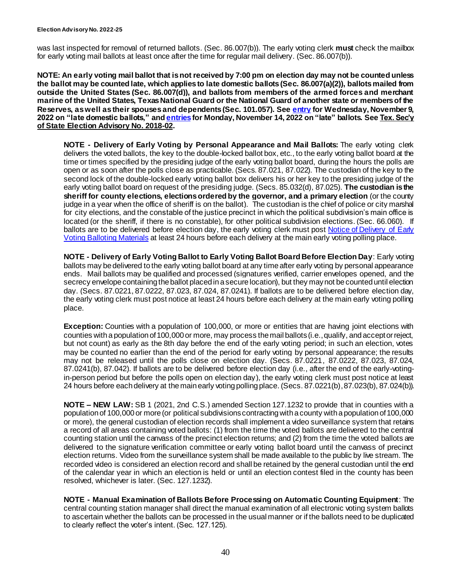was last inspected for removal of returned ballots. (Sec. 86.007(b)). The early voting clerk **must** check the mailbox for early voting mail ballots at least once after the time for regular mail delivery. (Sec. 86.007(b)).

**NOTE: An early voting mail ballot that is not received by 7:00 pm on election day may not be counted unless the ballot may be counted late, which applies to late domestic ballots (Sec. 86.007(a)(2)), ballots mailed from outside the United States (Sec. 86.007(d)), and ballots from members of the armed forces and merchant marine of the United States, Texas National Guard or the National Guard of another state or members of the Reserves, as well as their spouses and dependents (Sec. 101.057). See [entry](#page-41-1) for Wednesday, November 9, 2022 on "late domestic ballots," and [entries](#page-42-0)for Monday, November 14, 2022 on "late" ballots. See [Tex. Sec'y](https://www.sos.texas.gov/elections/laws/advisory2018-02.shtml)  [of State Election Advisory No. 2018-02.](https://www.sos.texas.gov/elections/laws/advisory2018-02.shtml)**

**NOTE - Delivery of Early Voting by Personal Appearance and Mail Ballots:** The early voting clerk delivers the voted ballots, the key to the double-locked ballot box, etc., to the early voting ballot board at the time or times specified by the presiding judge of the early voting ballot board, during the hours the polls are open or as soon after the polls close as practicable. (Secs. 87.021, 87.022). The custodian of the key to the second lock of the double-locked early voting ballot box delivers his or her key to the presiding judge of the early voting ballot board on request of the presiding judge. (Secs. 85.032(d), 87.025). **The custodian is the sheriff for county elections, elections ordered by the governor, and a primary election** (or the county judge in a year when the office of sheriff is on the ballot). The custodian is the chief of police or city marshal for city elections, and the constable of the justice precinct in which the political subdivision's main office is located (or the sheriff, if there is no constable), for other political subdivision elections. (Sec. 66.060). If ballots are to be delivered before election day, the early voting clerk must pos[t Notice of Delivery](https://www.sos.texas.gov/elections/forms/pol-sub/6-7f.pdf) of Early [Voting Balloting Materials](https://www.sos.texas.gov/elections/forms/pol-sub/6-7f.pdf) at least 24 hours before each delivery at the main early voting polling place.

**NOTE - Delivery of Early Voting Ballot to Early Voting Ballot Board Before Election Day**: Early voting ballots may be delivered to the early voting ballot board at any time after early voting by personal appearance ends. Mail ballots may be qualified and processed (signatures verified, carrier envelopes opened, and the secrecy envelope containing the ballot placed in a secure location), but they may not be counted until election day. (Secs. 87.0221, 87.0222, 87.023, 87.024, 87.0241). If ballots are to be delivered before election day, the early voting clerk must post notice at least 24 hours before each delivery at the main early voting polling place.

**Exception:** Counties with a population of 100,000, or more or entities that are having joint elections with counties with a population of 100,000 or more, may process the mail ballots (i.e., qualify, and accept or reject, but not count) as early as the 8th day before the end of the early voting period; in such an election, votes may be counted no earlier than the end of the period for early voting by personal appearance; the results may not be released until the polls close on election day. (Secs. 87.0221, 87.0222, 87.023, 87.024, 87.0241(b), 87.042). If ballots are to be delivered before election day (i.e., after the end of the early-votingin-person period but before the polls open on election day), the early voting clerk must post notice at least 24 hours before each delivery at the main early voting polling place. (Secs. 87.0221(b),87.023(b), 87.024(b)).

**NOTE – NEW LAW:** SB 1 (2021, 2nd C.S.) amended Section 127.1232 to provide that in counties with a population of 100,000 or more (or political subdivisions contracting with a county with a population of 100,000 or more), the general custodian of election records shall implement a video surveillance system that retains a record of all areas containing voted ballots: (1) from the time the voted ballots are delivered to the central counting station until the canvass of the precinct election returns; and (2) from the time the voted ballots are delivered to the signature verification committee or early voting ballot board until the canvass of precinct election returns. Video from the surveillance system shall be made available to the public by live stream. The recorded video is considered an election record and shall be retained by the general custodian until the end of the calendar year in which an election is held or until an election contest filed in the county has been resolved, whichever is later. (Sec. 127.1232).

**NOTE - Manual Examination of Ballots Before Processing on Automatic Counting Equipment**: The central counting station manager shall direct the manual examination of all electronic voting system ballots to ascertain whether the ballots can be processed in the usual manner or if the ballots need to be duplicated to clearly reflect the voter's intent. (Sec. 127.125).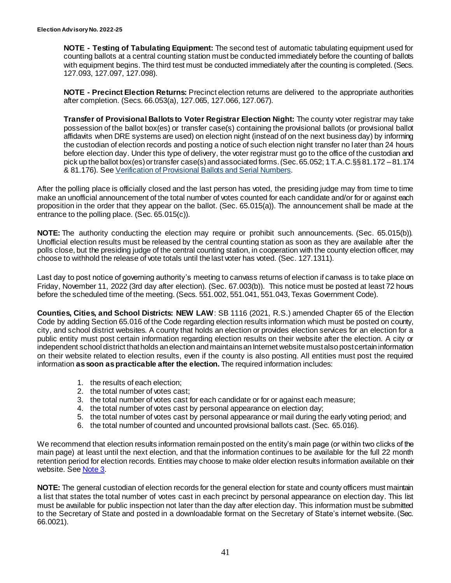**NOTE - Testing of Tabulating Equipment:** The second test of automatic tabulating equipment used for counting ballots at a central counting station must be conducted immediately before the counting of ballots with equipment begins. The third test must be conducted immediately after the counting is completed. (Secs. 127.093, 127.097, 127.098).

**NOTE - Precinct Election Returns:** Precinct election returns are delivered to the appropriate authorities after completion. (Secs. 66.053(a), 127.065, 127.066, 127.067).

**Transfer of Provisional Ballots to Voter Registrar Election Night:** The county voter registrar may take possession of the ballot box(es) or transfer case(s) containing the provisional ballots (or provisional ballot affidavits when DRE systems are used) on election night (instead of on the next business day) by informing the custodian of election records and posting a notice of such election night transfer no later than 24 hours before election day. Under this type of delivery, the voter registrar must go to the office of the custodian and pick up the ballot box(es) or transfer case(s) and associated forms. (Sec. 65.052; 1 T.A.C.§§ 81.172 –81.174 & 81.176). See [Verification of Provisional Ballots and Serial Numbers](https://www.sos.texas.gov/elections/forms/pol-sub/8-19f.pdf).

After the polling place is officially closed and the last person has voted, the presiding judge may from time to time make an unofficial announcement of the total number of votes counted for each candidate and/or for or against each proposition in the order that they appear on the ballot. (Sec. 65.015(a)). The announcement shall be made at the entrance to the polling place. (Sec. 65.015(c)).

**NOTE:** The authority conducting the election may require or prohibit such announcements. (Sec. 65.015(b)). Unofficial election results must be released by the central counting station as soon as they are available after the polls close, but the presiding judge of the central counting station, in cooperation with the county election officer, may choose to withhold the release of vote totals until the last voter has voted. (Sec. 127.1311).

Last day to post notice of governing authority's meeting to canvass returns of election if canvass is to take place on Friday, November 11, 2022 (3rd day after election). (Sec. 67.003(b)). This notice must be posted at least 72 hours before the scheduled time of the meeting. (Secs. 551.002, 551.041, 551.043, Texas Government Code).

**Counties, Cities, and School Districts: NEW LAW**: SB 1116 (2021, R.S.) amended Chapter 65 of the Election Code by adding Section 65.016 of the Code regarding election results information which must be posted on county, city, and school district websites. A county that holds an election or provides election services for an election for a public entity must post certain information regarding election results on their website after the election. A city or independent school district that holds an election and maintains an Internet website must also post certain information on their website related to election results, even if the county is also posting. All entities must post the required information **as soon as practicable after the election.** The required information includes:

- 1. the results of each election;
- 2. the total number of votes cast;
- 3. the total number of votes cast for each candidate or for or against each measure;
- 4. the total number of votes cast by personal appearance on election day;
- 5. the total number of votes cast by personal appearance or mail during the early voting period; and
- 6. the total number of counted and uncounted provisional ballots cast. (Sec. 65.016).

We recommend that election results information remain posted on the entity's main page (or within two clicks of the main page) at least until the next election, and that the information continues to be available for the full 22 month retention period for election records. Entities may choose to make older election results information available on their website. Se[e Note 3.](#page-1-1)

**NOTE:** The general custodian of election records for the general election for state and county officers must maintain a list that states the total number of votes cast in each precinct by personal appearance on election day. This list must be available for public inspection not later than the day after election day. This information must be submitted to the Secretary of State and posted in a downloadable format on the Secretary of State's internet website. (Sec. 66.0021).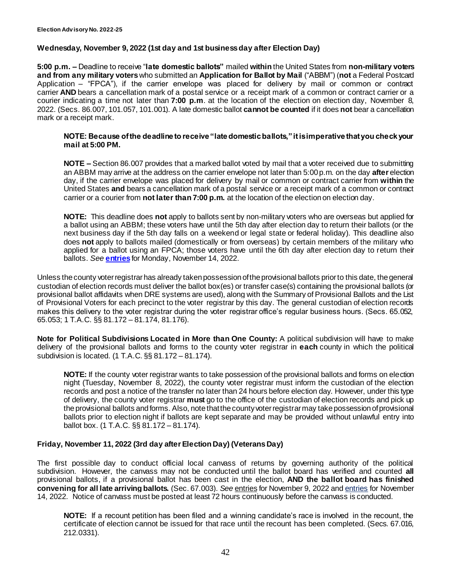#### <span id="page-41-1"></span><span id="page-41-0"></span>**Wednesday, November 9, 2022 (1st day and 1st business day after Election Day)**

**5:00 p.m. –** Deadline to receive "**late domestic ballots"** mailed **within** the United States from **non-military voters and from any military voters**who submitted an **Application for Ballot by Mail** ("ABBM") (**not** a Federal Postcard Application – "FPCA"), if the carrier envelope was placed for delivery by mail or common or contract carrier **AND** bears a cancellation mark of a postal service or a receipt mark of a common or contract carrier or a courier indicating a time not later than **7:00 p.m**. at the location of the election on election day, November 8, 2022. (Secs. 86.007, 101.057, 101.001). A late domestic ballot **cannot be counted** if it does **not** bear a cancellation mark or a receipt mark.

#### **NOTE: Because of the deadline to receive "late domestic ballots," it is imperative that you check your mail at 5:00 PM.**

**NOTE –** Section 86.007 provides that a marked ballot voted by mail that a voter received due to submitting an ABBM may arrive at the address on the carrier envelope not later than 5:00 p.m. on the day **after** election day, if the carrier envelope was placed for delivery by mail or common or contract carrier from **within** the United States **and** bears a cancellation mark of a postal service or a receipt mark of a common or contract carrier or a courier from **not later than 7:00 p.m.** at the location of the election on election day.

**NOTE:** This deadline does **not** apply to ballots sent by non-military voters who are overseas but applied for a ballot using an ABBM; these voters have until the 5th day after election day to return their ballots (or the next business day if the 5th day falls on a weekend or legal state or federal holiday). This deadline also does **not** apply to ballots mailed (domestically or from overseas) by certain members of the military who applied for a ballot using an FPCA; those voters have until the 6th day after election day to return their ballots. *See* **[entries](#page-42-0)** for Monday, November 14, 2022.

Unless the county voter registrar has already taken possession of the provisional ballots prior to this date, the general custodian of election records must deliver the ballot box(es) or transfer case(s) containing the provisional ballots (or provisional ballot affidavits when DRE systems are used), along with the Summary of Provisional Ballots and the List of Provisional Voters for each precinct to the voter registrar by this day. The general custodian of election records makes this delivery to the voter registrar during the voter registrar office's regular business hours. (Secs. 65.052, 65.053; 1 T.A.C. §§ 81.172 – 81.174, 81.176).

**Note for Political Subdivisions Located in More than One County:** A political subdivision will have to make delivery of the provisional ballots and forms to the county voter registrar in **each** county in which the political subdivision is located. (1 T.A.C. §§ 81.172 – 81.174).

**NOTE:** If the county voter registrar wants to take possession of the provisional ballots and forms on election night (Tuesday, November 8, 2022), the county voter registrar must inform the custodian of the election records and post a notice of the transfer no later than 24 hours before election day. However, under this type of delivery, the county voter registrar **must** go to the office of the custodian of election records and pick up the provisional ballots and forms. Also, note that the county voter registrar may take possession of provisional ballots prior to election night if ballots are kept separate and may be provided without unlawful entry into ballot box. (1 T.A.C. §§ 81.172 – 81.174).

#### **Friday, November 11, 2022 (3rd day after Election Day) (Veterans Day)**

The first possible day to conduct official local canvass of returns by governing authority of the political subdivision. However, the canvass may not be conducted until the ballot board has verified and counted **all** provisional ballots, if a provisional ballot has been cast in the election, **AND the ballot board has finished convening for all late arriving ballots.** (Sec. 67.003). *See* [entries](#page-41-0) for November 9, 2022 an[d entries](#page-42-0) for November 14, 2022. Notice of canvass must be posted at least 72 hours continuously before the canvass is conducted.

**NOTE:** If a recount petition has been filed and a winning candidate's race is involved in the recount, the certificate of election cannot be issued for that race until the recount has been completed. (Secs. 67.016, 212.0331).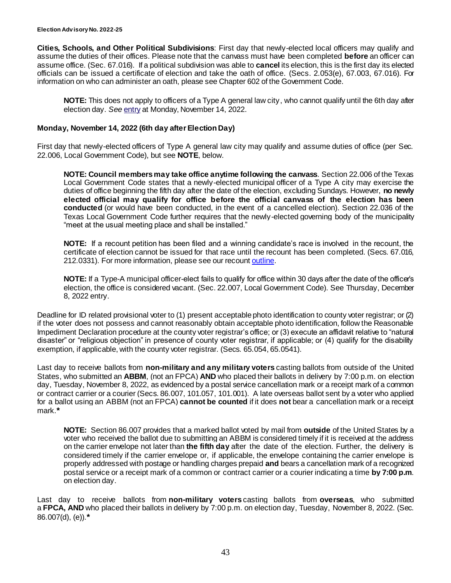#### **Election Adv isory No. 2022-25**

**Cities, Schools, and Other Political Subdivisions**: First day that newly-elected local officers may qualify and assume the duties of their offices. Please note that the canvass must have been completed **before** an officer can assume office. (Sec. 67.016). If a political subdivision was able to **cancel** its election, this is the first day its elected officials can be issued a certificate of election and take the oath of office. (Secs. 2.053(e), 67.003, 67.016). For information on who can administer an oath, please see Chapter 602 of the Government Code.

<span id="page-42-0"></span>**NOTE:** This does not apply to officers of a Type A general law city, who cannot qualify until the 6th day after election day. *See* [entry](#page-42-0) at Monday, November 14, 2022.

#### **Monday, November 14, 2022 (6th day after Election Day)**

First day that newly-elected officers of Type A general law city may qualify and assume duties of office (per Sec. 22.006, Local Government Code), but see **NOTE**, below.

**NOTE: Council members may take office anytime following the canvass**. Section 22.006 of the Texas Local Government Code states that a newly-elected municipal officer of a Type A city may exercise the duties of office beginning the fifth day after the date of the election, excluding Sundays. However, **no newly elected official may qualify for office before the official canvass of the election has been conducted** (or would have been conducted, in the event of a cancelled election). Section 22.036 of the Texas Local Government Code further requires that the newly-elected governing body of the municipality "meet at the usual meeting place and shall be installed."

**NOTE:** If a recount petition has been filed and a winning candidate's race is involved in the recount, the certificate of election cannot be issued for that race until the recount has been completed. (Secs. 67.016, 212.0331). For more information, please see our recoun[t outline](https://www.sos.texas.gov/elections/laws/recounts.shtml).

**NOTE:** If a Type-A municipal officer-elect fails to qualify for office within 30 days after the date of the officer's election, the office is considered vacant. (Sec. 22.007, Local Government Code). See Thursday, December 8, 2022 entry.

Deadline for ID related provisional voter to (1) present acceptable photo identification to county voter registrar; or (2) if the voter does not possess and cannot reasonably obtain acceptable photo identification, follow the Reasonable Impediment Declaration procedure at the county voter registrar's office; or (3) execute an affidavit relative to "natural disaster" or "religious objection" in presence of county voter registrar, if applicable; or (4) qualify for the disability exemption, if applicable, with the county voter registrar. (Secs. 65.054, 65.0541).

Last day to receive ballots from **non-military and any military voters** casting ballots from outside of the United States, who submitted an **ABBM**, (not an FPCA) **AND** who placed their ballots in delivery by 7:00 p.m. on election day, Tuesday, November 8, 2022, as evidenced by a postal service cancellation mark or a receipt mark of a common or contract carrier or a courier (Secs. 86.007, 101.057, 101.001). A late overseas ballot sent by a voter who applied for a ballot using an ABBM (not an FPCA) **cannot be counted** if it does **not** bear a cancellation mark or a receipt mark.**\***

**NOTE:** Section 86.007 provides that a marked ballot voted by mail from **outside** of the United States by a voter who received the ballot due to submitting an ABBM is considered timely if it is received at the address on the carrier envelope not later than **the fifth day** after the date of the election. Further, the delivery is considered timely if the carrier envelope or, if applicable, the envelope containing the carrier envelope is properly addressed with postage or handling charges prepaid **and** bears a cancellation mark of a recognized postal service or a receipt mark of a common or contract carrier or a courier indicating a time **by 7:00 p.m**. on election day.

Last day to receive ballots from **non-military voters** casting ballots from **overseas**, who submitted a **FPCA, AND** who placed their ballots in delivery by 7:00 p.m. on election day, Tuesday, November 8, 2022. (Sec. 86.007(d), (e)).**\***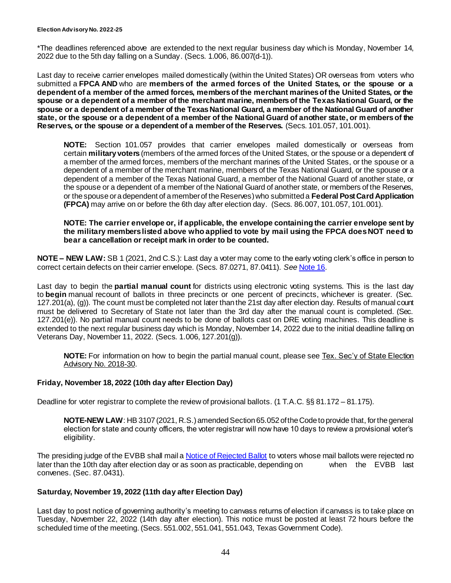\*The deadlines referenced above are extended to the next regular business day which is Monday, November 14, 2022 due to the 5th day falling on a Sunday. (Secs. 1.006, 86.007(d-1)).

Last day to receive carrier envelopes mailed domestically (within the United States) OR overseas from voters who submitted a **FPCA AND** who are **members of the armed forces of the United States, or the spouse or a dependent of a member of the armed forces, members of the merchant marines of the United States, or the spouse or a dependent of a member of the merchant marine, members of the Texas National Guard, or the spouse or a dependent of a member of the Texas National Guard, a member of the National Guard of another state, or the spouse or a dependent of a member of the National Guard of another state, or members of the Reserves, or the spouse or a dependent of a member of the Reserves.** (Secs. 101.057, 101.001).

**NOTE:** Section 101.057 provides that carrier envelopes mailed domestically or overseas from certain **military voters** (members of the armed forces of the United States, or the spouse or a dependent of a member of the armed forces, members of the merchant marines of the United States, or the spouse or a dependent of a member of the merchant marine, members of the Texas National Guard, or the spouse or a dependent of a member of the Texas National Guard, a member of the National Guard of another state, or the spouse or a dependent of a member of the National Guard of another state, or members of the Reserves, or the spouse or a dependent of a member of the Reserves) who submitted a **Federal Post Card Application (FPCA)** may arrive on or before the 6th day after election day. (Secs. 86.007, 101.057, 101.001).

#### **NOTE: The carrier envelope or, if applicable, the envelope containing the carrier envelope sent by the military members listed above who applied to vote by mail using the FPCA does NOT need to bear a cancellation or receipt mark in order to be counted.**

**NOTE – NEW LAW:** SB 1 (2021, 2nd C.S.): Last day a voter may come to the early voting clerk's office in person to correct certain defects on their carrier envelope. (Secs. 87.0271, 87.0411). *See* [Note 16](#page-12-0).

Last day to begin the **partial manual count** for districts using electronic voting systems. This is the last day to **begin** manual recount of ballots in three precincts or one percent of precincts, whichever is greater. (Sec. 127.201(a), (g)). The count must be completed not later than the 21st day after election day. Results of manual count must be delivered to Secretary of State not later than the 3rd day after the manual count is completed. (Sec. 127.201(e)). No partial manual count needs to be done of ballots cast on DRE voting machines. This deadline is extended to the next regular business day which is Monday, November 14, 2022 due to the initial deadline falling on Veterans Day, November 11, 2022. (Secs. 1.006, 127.201(g)).

**NOTE:** For information on how to begin the partial manual count, please see [Tex. Sec'y of State Election](https://www.sos.texas.gov/elections/laws/advisory2018-30.shtml)  [Advisory No. 2018-30.](https://www.sos.texas.gov/elections/laws/advisory2018-30.shtml)

#### **Friday, November 18, 2022 (10th day after Election Day)**

Deadline for voter registrar to complete the review of provisional ballots. (1 T.A.C. §§ 81.172 – 81.175).

**NOTE-NEW LAW**: HB 3107 (2021, R.S.) amended Section 65.052 of the Code to provide that, for the general election for state and county officers, the voter registrar will now have 10 days to review a provisional voter's eligibility.

The presiding judge of the EVBB shall mail [a Notice of Rejected Ballot](http://www.sos.state.tx.us/elections/forms/pol-sub/5-42f.pdf) to voters whose mail ballots were rejected no later than the 10th day after election day or as soon as practicable, depending on when the EVBB last convenes. (Sec. 87.0431).

#### **Saturday, November 19, 2022 (11th day after Election Day)**

Last day to post notice of governing authority's meeting to canvass returns of election if canvass is to take place on Tuesday, November 22, 2022 (14th day after election). This notice must be posted at least 72 hours before the scheduled time of the meeting. (Secs. 551.002, 551.041, 551.043, Texas Government Code).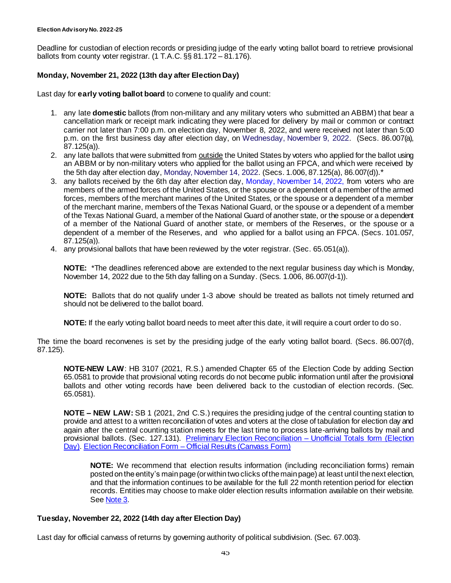Deadline for custodian of election records or presiding judge of the early voting ballot board to retrieve provisional ballots from county voter registrar. (1 T.A.C. §§ 81.172 – 81.176).

#### **Monday, November 21, 2022 (13th day after Election Day)**

Last day for **early voting ballot board** to convene to qualify and count:

- 1. any late **domestic** ballots (from non-military and any military voters who submitted an ABBM) that bear a cancellation mark or receipt mark indicating they were placed for delivery by mail or common or contract carrier not later than 7:00 p.m. on election day, November 8, 2022, and were received not later than 5:00 p.m. on the first business day after election day, on [Wednesday, November 9, 2022.](#page-41-0) (Secs. 86.007(a), 87.125(a)).
- 2. any late ballots that were submitted from outside the United States by voters who applied for the ballot using an ABBM or by non-military voters who applied for the ballot using an FPCA, and which were received by the 5th day after election day, [Monday, November 14, 2022.](#page-42-0) (Secs. 1.006, 87.125(a), 86.007(d)).\*
- 3. any ballots received by the 6th day after election day, [Monday, November 14, 2022,](#page-42-0) from voters who are members of the armed forces of the United States, or the spouse or a dependent of a member of the armed forces, members of the merchant marines of the United States, or the spouse or a dependent of a member of the merchant marine, members of the Texas National Guard, or the spouse or a dependent of a member of the Texas National Guard, a member of the National Guard of another state, or the spouse or a dependent of a member of the National Guard of another state, or members of the Reserves, or the spouse or a dependent of a member of the Reserves, and who applied for a ballot using an FPCA. (Secs. 101.057, 87.125(a)).
- 4. any provisional ballots that have been reviewed by the voter registrar. (Sec. 65.051(a)).

**NOTE:** \*The deadlines referenced above are extended to the next regular business day which is Monday, November 14, 2022 due to the 5th day falling on a Sunday. (Secs. 1.006, 86.007(d-1)).

**NOTE:** Ballots that do not qualify under 1-3 above should be treated as ballots not timely returned and should not be delivered to the ballot board.

**NOTE:** If the early voting ballot board needs to meet after this date, it will require a court order to do so.

The time the board reconvenes is set by the presiding judge of the early voting ballot board. (Secs. 86.007(d), 87.125).

**NOTE-NEW LAW**: HB 3107 (2021, R.S.) amended Chapter 65 of the Election Code by adding Section 65.0581 to provide that provisional voting records do not become public information until after the provisional ballots and other voting records have been delivered back to the custodian of election records. (Sec. 65.0581).

**NOTE – NEW LAW:** SB 1 (2021, 2nd C.S.) requires the presiding judge of the central counting station to provide and attest to a written reconciliation of votes and voters at the close of tabulation for election day and again after the central counting station meets for the last time to process late-arriving ballots by mail and provisional ballots. (Sec. 127.131). [Preliminary Election Reconciliation –](https://www.sos.texas.gov/elections/forms/pol-sub/9-12f.pdf) Unofficial Totals form (Election [Day\).](https://www.sos.texas.gov/elections/forms/pol-sub/9-12f.pdf) Election Reconciliation Form – [Official Results \(Canvass Form\)](https://www.sos.texas.gov/elections/forms/pol-sub/9-13f.pdf)

**NOTE:** We recommend that election results information (including reconciliation forms) remain posted on the entity's main page (or within two clicks of the main page) at least until the next election, and that the information continues to be available for the full 22 month retention period for election records. Entities may choose to make older election results information available on their website. Se[e Note 3.](#page-1-1)

#### **Tuesday, November 22, 2022 (14th day after Election Day)**

Last day for official canvass of returns by governing authority of political subdivision. (Sec. 67.003).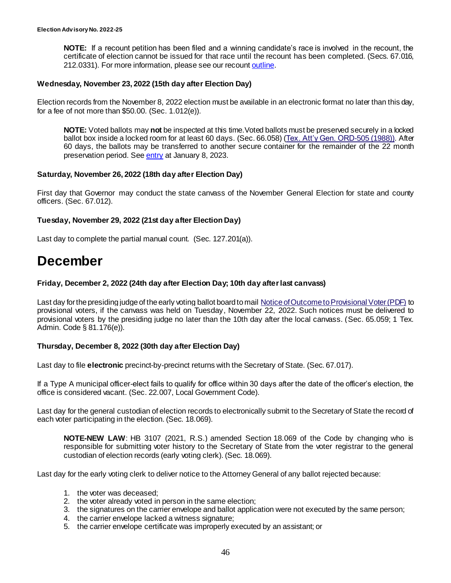**NOTE:** If a recount petition has been filed and a winning candidate's race is involved in the recount, the certificate of election cannot be issued for that race until the recount has been completed. (Secs. 67.016, 212.0331). For more information, please see our recoun[t outline](https://www.sos.texas.gov/elections/laws/recounts.shtml).

#### **Wednesday, November 23, 2022 (15th day after Election Day)**

Election records from the November 8, 2022 election must be available in an electronic format no later than this day, for a fee of not more than \$50.00. (Sec. 1.012(e)).

**NOTE:** Voted ballots may **not** be inspected at this time.Voted ballots must be preserved securely in a locked ballot box inside a locked room for at least 60 days. (Sec. 66.058) [\(Tex. Att'y Gen. ORD-505 \(1988\)\)](https://www.texasattorneygeneral.gov/opinions/openrecords/47mattox/ord/1988/htm/ord19880505.txt). After 60 days, the ballots may be transferred to another secure container for the remainder of the 22 month preservation period. Se[e entry](#page-13-0) at January 8, 2023.

#### **Saturday, November 26, 2022 (18th day after Election Day)**

First day that Governor may conduct the state canvass of the November General Election for state and county officers. (Sec. 67.012).

#### **Tuesday, November 29, 2022 (21st day after Election Day)**

Last day to complete the partial manual count. (Sec. 127.201(a)).

# **December**

#### **Friday, December 2, 2022 (24th day after Election Day; 10th day after last canvass)**

Last day for the presiding judge of the early voting ballot board to mail [Notice of Outcome to Provisional Voter \(PDF\)](http://www.sos.state.tx.us/elections/forms/pol-sub/8-17f.pdf) to provisional voters, if the canvass was held on Tuesday, November 22, 2022. Such notices must be delivered to provisional voters by the presiding judge no later than the 10th day after the local canvass. (Sec. 65.059; 1 Tex. Admin. Code § 81.176(e)).

#### **Thursday, December 8, 2022 (30th day after Election Day)**

Last day to file **electronic** precinct-by-precinct returns with the Secretary of State. (Sec. 67.017).

If a Type A municipal officer-elect fails to qualify for office within 30 days after the date of the officer's election, the office is considered vacant. (Sec. 22.007, Local Government Code).

Last day for the general custodian of election records to electronically submit to the Secretary of State the record of each voter participating in the election. (Sec. 18.069).

**NOTE-NEW LAW**: HB 3107 (2021, R.S.) amended Section 18.069 of the Code by changing who is responsible for submitting voter history to the Secretary of State from the voter registrar to the general custodian of election records (early voting clerk). (Sec. 18.069).

Last day for the early voting clerk to deliver notice to the Attorney General of any ballot rejected because:

- 1. the voter was deceased;
- 2. the voter already voted in person in the same election;
- 3. the signatures on the carrier envelope and ballot application were not executed by the same person;
- 4. the carrier envelope lacked a witness signature;
- 5. the carrier envelope certificate was improperly executed by an assistant; or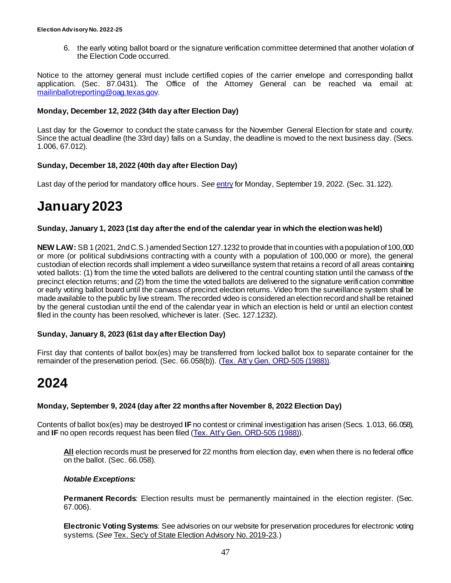6. the early voting ballot board or the signature verification committee determined that another violation of the Election Code occurred.

Notice to the attorney general must include certified copies of the carrier envelope and corresponding ballot application. (Sec. 87.0431). The Office of the Attorney General can be reached via email at: [mailinballotreporting@oag.texas.gov.](mailto:mailinballotreporting@oag.texas.gov)

#### **Monday, December 12, 2022 (34th day after Election Day)**

Last day for the Governor to conduct the state canvass for the November General Election for state and county. Since the actual deadline (the 33rd day) falls on a Sunday, the deadline is moved to the next business day. (Secs. 1.006, 67.012).

#### **Sunday, December 18, 2022 (40th day after Election Day)**

Last day of the period for mandatory office hours. *See* [entry](#page-23-0) for Monday, September 19, 2022. (Sec. 31.122).

# **January 2023**

#### **Sunday, January 1, 2023 (1st day after the end of the calendar year in which the election was held)**

**NEW LAW:** SB 1 (2021, 2nd C.S.) amended Section 127.1232 to provide that in counties with a population of 100,000 or more (or political subdivisions contracting with a county with a population of 100,000 or more), the general custodian of election records shall implement a video surveillance system that retains a record of all areas containing voted ballots: (1) from the time the voted ballots are delivered to the central counting station until the canvass of the precinct election returns; and (2) from the time the voted ballots are delivered to the signature verification committee or early voting ballot board until the canvass of precinct election returns. Video from the surveillance system shall be made available to the public by live stream. The recorded video is considered an election record and shall be retained by the general custodian until the end of the calendar year in which an election is held or until an election contest filed in the county has been resolved, whichever is later. (Sec. 127.1232).

#### **Sunday, January 8, 2023 (61st day after Election Day)**

First day that contents of ballot box(es) may be transferred from locked ballot box to separate container for the remainder of the preservation period. (Sec. 66.058(b)). [\(Tex. Att'y Gen. ORD-505 \(1988\)](https://www.texasattorneygeneral.gov/opinions/openrecords/47mattox/ord/1988/htm/ord19880505.txt)).

# **2024**

#### **Monday, September 9, 2024 (day after 22 months after November 8, 2022 Election Day)**

Contents of ballot box(es) may be destroyed **IF** no contest or criminal investigation has arisen (Secs. 1.013, 66.058), and **IF** no open records request has been filed [\(Tex. Att'y Gen. ORD-505 \(1988\)](https://www.texasattorneygeneral.gov/opinions/openrecords/47mattox/ord/1988/htm/ord19880505.txt)).

**All** election records must be preserved for 22 months from election day, even when there is no federal office on the ballot. (Sec. 66.058).

#### *Notable Exceptions:*

**Permanent Records:** Election results must be permanently maintained in the election register. (Sec. 67.006).

**Electronic Voting Systems**: See advisories on our website for preservation procedures for electronic voting systems. (*See* Tex. [Sec'y of State Election Advisory No. 2019-23.](https://www.sos.texas.gov/elections/laws/advisory2019-23.shtml))